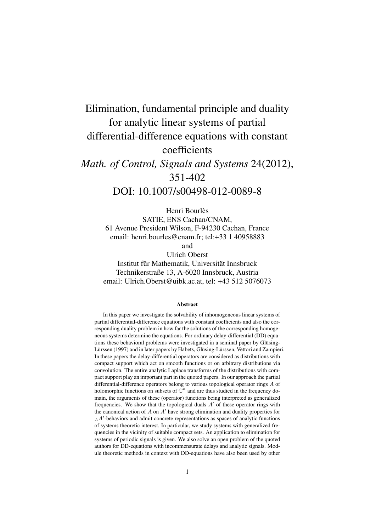# Elimination, fundamental principle and duality for analytic linear systems of partial differential-difference equations with constant coefficients *Math. of Control, Signals and Systems* 24(2012), 351-402 DOI: 10.1007/s00498-012-0089-8

Henri Bourlès SATIE, ENS Cachan/CNAM, 61 Avenue President Wilson, F-94230 Cachan, France email: henri.bourles@cnam.fr; tel:+33 1 40958883 and Ulrich Oberst

Institut für Mathematik, Universität Innsbruck Technikerstraße 13, A-6020 Innsbruck, Austria email: Ulrich.Oberst@uibk.ac.at, tel: +43 512 5076073

#### Abstract

In this paper we investigate the solvability of inhomogeneous linear systems of partial differential-difference equations with constant coefficients and also the corresponding duality problem in how far the solutions of the corresponding homogeneous systems determine the equations. For ordinary delay-differential (DD) equations these behavioral problems were investigated in a seminal paper by Glüsing-Lürssen (1997) and in later papers by Habets, Glüsing-Lürssen, Vettori and Zampieri. In these papers the delay-differential operators are considered as distributions with compact support which act on smooth functions or on arbitrary distributions via convolution. The entire analytic Laplace transforms of the distributions with compact support play an important part in the quoted papers. In our approach the partial differential-difference operators belong to various topological operator rings *A* of holomorphic functions on subsets of  $\mathbb{C}^n$  and are thus studied in the frequency domain, the arguments of these (operator) functions being interpreted as generalized frequencies. We show that the topological duals *A ′* of these operator rings with the canonical action of *A* on *A ′* have strong elimination and duality properties for *AA*<sup> $\prime$ </sup>-behaviors and admit concrete representations as spaces of analytic functions of systems theoretic interest. In particular, we study systems with generalized frequencies in the vicinity of suitable compact sets. An application to elimination for systems of periodic signals is given. We also solve an open problem of the quoted authors for DD-equations with incommensurate delays and analytic signals. Module theoretic methods in context with DD-equations have also been used by other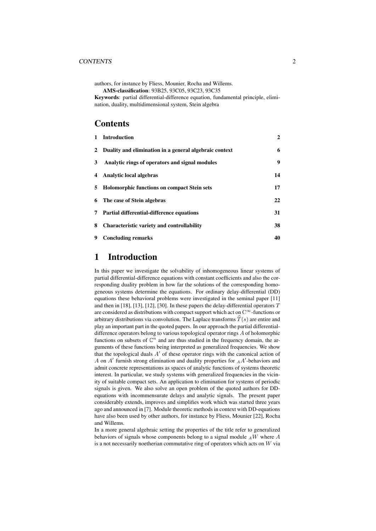#### CONTENTS 2

authors, for instance by Fliess, Mounier, Rocha and Willems.

AMS-classification: 93B25, 93C05, 93C23, 93C35

Keywords: partial differential-difference equation, fundamental principle, elimination, duality, multidimensional system, Stein algebra

## **Contents**

| $\mathbf{1}$ | <b>Introduction</b>                                      | $\mathbf{2}$ |
|--------------|----------------------------------------------------------|--------------|
|              | 2 Duality and elimination in a general algebraic context | 6            |
| 3            | Analytic rings of operators and signal modules           | 9            |
|              | 4 Analytic local algebras                                | 14           |
| 5            | <b>Holomorphic functions on compact Stein sets</b>       | 17           |
|              | 6 The case of Stein algebras                             | 22           |
|              | 7 Partial differential-difference equations              | 31           |
| 8            | <b>Characteristic variety and controllability</b>        | 38           |
| 9            | <b>Concluding remarks</b>                                | 40           |

## 1 Introduction

In this paper we investigate the solvability of inhomogeneous linear systems of partial differential-difference equations with constant coefficients and also the corresponding duality problem in how far the solutions of the corresponding homogeneous systems determine the equations. For ordinary delay-differential (DD) equations these behavioral problems were investigated in the seminal paper [11] and then in [18], [13], [12], [30]. In these papers the delay-differential operators *T* are considered as distributions with compact support which act on C *<sup>∞</sup>*-functions or arbitrary distributions via convolution. The Laplace transforms  $\widehat{T}(s)$  are entire and play an important part in the quoted papers. In our approach the partial differentialdifference operators belong to various topological operator rings *A* of holomorphic functions on subsets of  $\mathbb{C}^n$  and are thus studied in the frequency domain, the arguments of these functions being interpreted as generalized frequencies. We show that the topological duals *A ′* of these operator rings with the canonical action of *A* on *A ′* furnish strong elimination and duality properties for *<sup>A</sup>A ′* -behaviors and admit concrete representations as spaces of analytic functions of systems theoretic interest. In particular, we study systems with generalized frequencies in the vicinity of suitable compact sets. An application to elimination for systems of periodic signals is given. We also solve an open problem of the quoted authors for DDequations with incommensurate delays and analytic signals. The present paper considerably extends, improves and simplifies work which was started three years ago and announced in [7]. Module theoretic methods in context with DD-equations have also been used by other authors, for instance by Fliess, Mounier [22], Rocha and Willems.

In a more general algebraic setting the properties of the title refer to generalized behaviors of signals whose components belong to a signal module *<sup>A</sup>W* where *A* is a not necessarily noetherian commutative ring of operators which acts on *W* via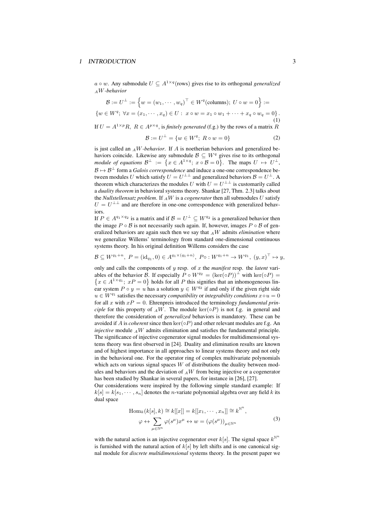#### 1 INTRODUCTION 3

*a*  $\circ$  *w*. Any submodule *U* ⊆  $A^{1 \times q}$  (rows) gives rise to its orthogonal *generalized <sup>A</sup>W-behavior*

$$
\mathcal{B} := U^{\perp} := \left\{ w = (w_1, \dots, w_q)^{\top} \in W^q(\text{columns}); \ U \circ w = 0 \right\} :=
$$
  

$$
\left\{ w \in W^q; \ \forall x = (x_1, \dots, x_q) \in U: \ x \circ w = x_1 \circ w_1 + \dots + x_q \circ w_q = 0 \right\}.
$$
  
If  $U = A^{1 \times p}R, \ R \in A^{p \times q}$ , is *finitely generated (f.g.)* by the rows of a matrix R

$$
\mathcal{B} := U^{\perp} = \{ w \in W^q; \ R \circ w = 0 \}
$$
 (2)

is just called an  $_A$ *W-behavior*. If *A* is noetherian behaviors and generalized behaviors coincide. Likewise any submodule  $\mathcal{B} \subseteq W^q$  gives rise to its orthogonal *module of equations*  $\mathcal{B}^{\perp} := \{x \in A^{1 \times q}; x \circ \mathcal{B} = 0\}$ . The maps  $U \mapsto U^{\perp}$ ,  $B \mapsto B^{\perp}$  form a *Galois correspondence* and induce a one-one correspondence between modules *U* which satisfy  $U = U^{\perp \perp}$  and generalized behaviors  $B = U^{\perp}$ . A theorem which characterizes the modules *U* with  $U = U^{\perp \perp}$  is customarily called a *duality theorem* in behavioral systems theory. Shankar [27, Thm. 2.3] talks about the *Nullstellensatz problem*. If  $_A W$  is a *cogenerator* then all submodules  $U$  satisfy  $U = U^{\perp \perp}$  and are therefore in one-one correspondence with generalized behaviors.

If  $P \in A^{q_1 \times q_2}$  is a matrix and if  $B = U^{\perp} \subseteq W^{q_2}$  is a generalized behavior then the image  $P \circ B$  is not necessarily such again. If, however, images  $P \circ B$  of generalized behaviors are again such then we say that *<sup>A</sup>W* admits *elimination* where we generalize Willems' terminology from standard one-dimensional continuous systems theory. In his original definition Willems considers the case

$$
\mathcal{B} \subseteq W^{q_1+n}, \ P = (\mathrm{id}_{q_1}, 0) \in A^{q_1 \times (q_1+n)}, \ P \circ : W^{q_1+n} \to W^{q_1}, \ (y, x)^\top \mapsto y,
$$

only and calls the components of *y* resp. of *x* the *manifest* resp. the *latent* variables of the behavior *B*. If especially  $\overline{P} \circ W^{q_2} = (\ker(\circ P))^{\perp}$  with  $\ker(\circ P) =$  ${x \in A^{1 \times q_1}$ ;  $xP = 0}$  holds for all *P* this signifies that an inhomogeneous linear system  $P \circ y = u$  has a solution  $y \in W^{q_2}$  if and only if the given right side  $u \in W^{q_1}$  satisfies the necessary *compatibility* or *integrability conditions*  $x \circ u = 0$ for all *x* with  $xP = 0$ . Ehrenpreis introduced the terminology *fundamental principle* for this property of  $_A W$ . The module ker( $\circ P$ ) is not f.g. in general and therefore the consideration of *generalized* behaviors is mandatory. These can be avoided if *A* is *coherent* since then ker(*◦P*) and other relevant modules are f.g. An *injective* module *<sup>A</sup>W* admits elimination and satisfies the fundamental principle. The significance of injective cogenerator signal modules for multidimensional systems theory was first observed in [24]. Duality and elimination results are known and of highest importance in all approaches to linear systems theory and not only in the behavioral one. For the operator ring of complex multivariate polynomials which acts on various signal spaces *W* of distributions the duality between modules and behaviors and the deviation of  $_A W$  from being injective or a cogenerator has been studied by Shankar in several papers, for instance in [26], [27].

Our considerations were inspired by the following simple standard example: If  $k[s] = k[s_1, \cdots, s_n]$  denotes the *n*-variate polynomial algebra over any field *k* its dual space

$$
\text{Hom}_k(k[s], k) \cong k[[x]] = k[[x_1, \cdots, x_n]] \cong k^{\mathbb{N}^n},
$$

$$
\varphi \leftrightarrow \sum_{\mu \in \mathbb{N}^n} \varphi(s^{\mu}) x^{\mu} \leftrightarrow w = (\varphi(s^{\mu}))_{\mu \in \mathbb{N}^n}
$$
(3)

with the natural action is an injective cogenerator over  $k[s]$ . The signal space  $k^{\mathbb{N}^n}$ is furnished with the natural action of *k*[*s*] by left shifts and is one canonical signal module for *discrete multidimensional* systems theory. In the present paper we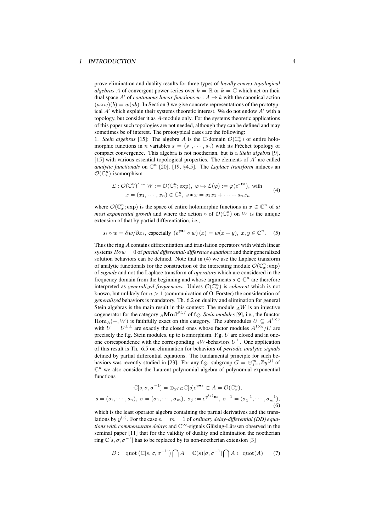prove elimination and duality results for three types of *locally convex topological algebras A* of convergent power series over  $k = \mathbb{R}$  or  $k = \mathbb{C}$  which act on their dual space A' of *continuous linear functions*  $w : A \rightarrow k$  with the canonical action  $(a \circ w)(b) = w(ab)$ . In Section 3 we give concrete representations of the prototypical *A ′* which explain their systems theoretic interest. We do not endow *A ′* with a topology, but consider it as *A*-module only. For the systems theoretic applications of this paper such topologies are not needed, although they can be defined and may sometimes be of interest. The prototypical cases are the following:

1. *Stein algebras* [15]: The algebra *A* is the  $\mathbb{C}$ -domain  $\mathcal{O}(\mathbb{C}_{s}^{n})$  of entire holomorphic functions in *n* variables  $s = (s_1, \dots, s_n)$  with its Fréchet topology of compact convergence. This algebra is not noetherian, but is a *Stein algebra* [9], [15] with various essential topological properties. The elements of *A ′* are called *analytic functionals* on  $\mathbb{C}^n$  [20], [19, §4.5]. The *Laplace transform* induces an  $\mathcal{O}(\mathbb{C}_s^n)$ -isomorphism

$$
\mathcal{L}: \mathcal{O}(\mathbb{C}_s^n)' \cong W := \mathcal{O}(\mathbb{C}_x^n; \exp), \ \varphi \mapsto \mathcal{L}(\varphi) := \varphi(e^{s \bullet x}), \text{ with}
$$
\n
$$
x = (x_1, \cdots, x_n) \in \mathbb{C}_x^n, \ s \bullet x = s_1 x_1 + \cdots + s_n x_n \tag{4}
$$

where  $\mathcal{O}(\mathbb{C}_x^n; \text{exp})$  is the space of entire holomorphic functions in  $x \in \mathbb{C}^n$  of *at most exponential growth* and where the action  $\circ$  of  $\mathcal{O}(\mathbb{C}_s^n)$  on W is the unique extension of that by partial differentiation, i.e.,

$$
s_i \circ w = \partial w / \partial x_i
$$
, especially  $(e^{y \bullet s} \circ w)(x) = w(x + y), x, y \in \mathbb{C}^n$ . (5)

Thus the ring *A* contains differentiation and translation operators with which linear systems *R◦w* = 0 of *partial differential-difference equations* and their generalized solution behaviors can be defined. Note that in (4) we use the Laplace transform of analytic functionals for the construction of the interesting module  $\mathcal{O}(\mathbb{C}_x^n; \text{exp})$ of *signals* and not the Laplace transform of *operators* which are considered in the frequency domain from the beginning and whose arguments  $s \in \mathbb{C}^n$  are therefore interpreted as *generalized frequencies*. Unless  $\mathcal{O}(\mathbb{C}_s^n)$  is *coherent* which is not known, but unlikely for *n >* 1 (communication of O. Forster) the consideration of *generalized* behaviors is mandatory. Th. 6.2 on duality and elimination for general Stein algebras is the main result in this context: The module  $_A W$  is an injective cogenerator for the category  $_A \mathbf{Mod}^{St,f}$  of f.g. *Stein modules* [9], i.e., the functor  $\text{Hom}_A(-, W)$  is faithfully exact on this category. The submodules  $U \subseteq A^{1 \times q}$ with  $U = U^{\perp \perp}$  are exactly the closed ones whose factor modules  $A^{1 \times q}/U$  are precisely the f.g. Stein modules, up to isomorphism. F.g. *U* are closed and in oneone correspondence with the corresponding  $_A W$ -behaviors  $U^{\perp}$ . One application of this result is Th. 6.5 on elimination for behaviors of *periodic analytic signals* defined by partial differential equations. The fundamental principle for such behaviors was recently studied in [23]. For any f.g. subgroup  $G = \bigoplus_{j=1}^{m} \mathbb{Z} y^{(j)}$  of  $\mathbb{C}^n$  we also consider the Laurent polynomial algebra of polynomial-exponential functions

$$
\mathbb{C}[s,\sigma,\sigma^{-1}] = \oplus_{y \in G} \mathbb{C}[s]e^{y \bullet s} \subset A = \mathcal{O}(\mathbb{C}_s^n),
$$
  

$$
s = (s_1, \cdots, s_n), \ \sigma = (\sigma_1, \cdots, \sigma_m), \ \sigma_j := e^{y^{(j)} \bullet s}, \ \sigma^{-1} = (\sigma_1^{-1}, \cdots, \sigma_m^{-1}),
$$
  
(6)

which is the least operator algebra containing the partial derivatives and the translations by  $y^{(j)}$ . For the case  $n = m = 1$  of *ordinary delay-differential (DD) equations with commensurate delays* and C *<sup>∞</sup>*-signals Glüsing-Lürssen observed in the seminal paper [11] that for the validity of duality and elimination the noetherian ring  $\mathbb{C}[s, \sigma, \sigma^{-1}]$  has to be replaced by its non-noetherian extension [3]

$$
B := \text{quot} \left( \mathbb{C}[s, \sigma, \sigma^{-1}] \right) \bigcap A = \mathbb{C}(s) [\sigma, \sigma^{-1}] \bigcap A \subset \text{quot}(A) \tag{7}
$$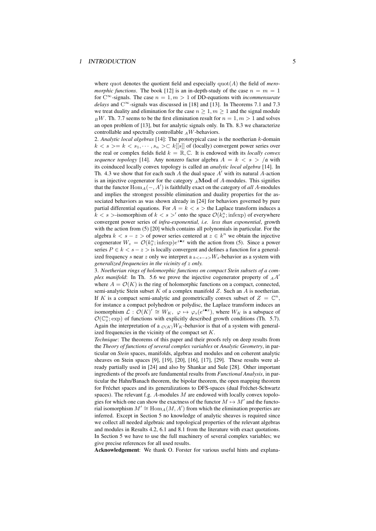where quot denotes the quotient field and especially  $\text{quot}(A)$  the field of *meromorphic functions*. The book [12] is an in-depth-study of the case  $n = m = 1$ for  $C^{\infty}$ -signals. The case  $n = 1, m > 1$  of DD-equations with *incommensurate delays* and C *<sup>∞</sup>*-signals was discussed in [18] and [13]. In Theorems 7.1 and 7.3 we treat duality and elimination for the case  $n \geq 1, m \geq 1$  and the signal module  $_B$ *W*. Th. 7.7 seems to be the first elimination result for  $n = 1, m > 1$  and solves an open problem of [13], but for analytic signals only. In Th. 8.3 we characterize controllable and spectrally controllable *<sup>A</sup>W*-behaviors.

2. *Analytic local algebras* [14]: The prototypical case is the noetherian *k*-domain  $k < s$  >=  $k < s_1, \dots, s_n$  > $\subset k[[s]]$  of (locally) convergent power series over the real or complex fields field  $k = \mathbb{R}, \mathbb{C}$ . It is endowed with its *locally convex sequence topology* [14]. Any nonzero factor algebra  $A = k < s > /a$  with its coinduced locally convex topology is called an *analytic local algebra* [14]. In Th. 4.3 we show that for each such *A* the dual space *A ′* with its natural *A*-action is an injective cogenerator for the category *<sup>A</sup>***Mod** of *A*-modules. This signifies that the functor Hom*A*(*−, A′* ) is faithfully exact on the category of *all A*-modules and implies the strongest possible elimination and duality properties for the associated behaviors as was shown already in [24] for behaviors governed by pure partial differential equations. For  $A = k < s$  > the Laplace transform induces a  $k < s$  >-isomorphism of  $k < s$  >' onto the space  $\mathcal{O}(k_x^n; \text{infexp})$  of everywhere convergent power series of *infra-exponential, i.e. less than exponential*, growth with the action from (5) [20] which contains all polynomials in particular. For the algebra  $k < s - z >$  of power series centered at  $z \in k^n$  we obtain the injective cogenerator  $W_z = \mathcal{O}(k_x^n; \text{infexp})e^{z \cdot \bullet x}$  with the action from (5). Since a power series  $P \in k < s - z >$  is locally convergent and defines a function for a generalized frequency *s* near *z* only we interpret a  $k \leq s-z > W_z$ -behavior as a system with *generalized frequencies in the vicinity of z only.*

3. *Noetherian rings of holomorphic functions on compact Stein subsets of a complex manifold*: In Th. 5.6 we prove the injective cogenerator property of *<sup>A</sup>A ′* where  $A = \mathcal{O}(K)$  is the ring of holomorphic functions on a compact, connected, semi-analytic Stein subset *K* of a complex manifold *Z*. Such an *A* is noetherian. If *K* is a compact semi-analytic and geometrically convex subset of  $Z = \mathbb{C}^n$ , for instance a compact polyhedron or polydisc, the Laplace transform induces an isomorphism  $\mathcal{L}: \mathcal{O}(K)' \cong W_K$ ,  $\varphi \mapsto \varphi_s(e^{s \bullet x})$ , where  $W_K$  is a subspace of  $\mathcal{O}(\mathbb{C}_x^n; \text{exp})$  of functions with explicitly described growth conditions (Th. 5.7). Again the interpretation of a  $_{\mathcal{O}(K)}W_K$ -behavior is that of a system with generalized frequencies in the vicinity of the compact set *K*.

*Technique*: The theorems of this paper and their proofs rely on deep results from the *Theory of functions of several complex variables* or *Analytic Geometry*, in particular on *Stein* spaces, manifolds, algebras and modules and on coherent analytic sheaves on Stein spaces [9], [19], [20], [16], [17], [29]. These results were already partially used in [24] and also by Shankar and Sule [28]. Other important ingredients of the proofs are fundamental results from *Functional Analysis*, in particular the Hahn/Banach theorem, the bipolar theorem, the open mapping theorem for Fréchet spaces and its generalizations to DFS-spaces (dual Fréchet-Schwartz spaces). The relevant f.g. *A*-modules *M* are endowed with locally convex topologies for which one can show the exactness of the functor  $M \mapsto M'$  and the functorial isomorphism  $M' \cong \text{Hom}_A(M, A')$  from which the elimination properties are inferred. Except in Section 5 no knowledge of analytic sheaves is required since we collect all needed algebraic and topological properties of the relevant algebras and modules in Results 4.2, 6.1 and 8.1 from the literature with exact quotations. In Section 5 we have to use the full machinery of several complex variables; we give precise references for all used results.

Acknowledgement: We thank O. Forster for various useful hints and explana-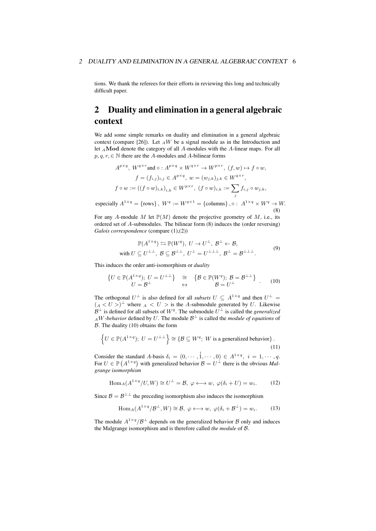tions. We thank the referees for their efforts in reviewing this long and technically difficult paper.

## 2 Duality and elimination in a general algebraic context

We add some simple remarks on duality and elimination in a general algebraic context (compare [26]). Let  $_A W$  be a signal module as in the Introduction and let *<sup>A</sup>***Mod** denote the category of all *A*-modules with the *A*-linear maps. For all  $p, q, r \in \mathbb{N}$  there are the *A*-modules and *A*-bilinear forms

$$
A^{p \times q}, W^{q \times r} \text{ and } \circ: A^{p \times q} \times W^{q \times r} \to W^{p \times r}, (f, w) \mapsto f \circ w,
$$
  
\n
$$
f = (f_{i,j})_{i,j} \in A^{p \times q}, w = (w_{j,k})_{j,k} \in W^{q \times r},
$$
  
\n
$$
f \circ w := ((f \circ w)_{i,k})_{i,k} \in W^{p \times r}, (f \circ w)_{i,k} := \sum_{j} f_{i,j} \circ w_{j,k},
$$
  
\n
$$
\vdots \text{ and } A^{1 \times q} \text{ (even), } W^{q} \text{ and } W^{q \times 1} \text{ (defined), } A^{1 \times q} \text{ and } W^{q} \text{ are } W^{q} \text{ is } W^{q}.
$$

especially  $A^{1 \times q} = \{rows\}$ ,  $W^q := W^{q \times 1} = \{$  columns $\}$ ,  $\circ : A^{1 \times q} \times W^q \to W$ . (8)

For any A-module M let  $\mathbb{P}(M)$  denote the projective geometry of M, i.e., its ordered set of *A*-submodules. The bilinear form (8) induces the (order reversing) *Galois correspondence* (compare (1),(2))

$$
\mathbb{P}(A^{1 \times q}) \leftrightarrows \mathbb{P}(W^q), U \to U^{\perp}, \mathcal{B}^{\perp} \leftarrow \mathcal{B},
$$
  
with  $U \subseteq U^{\perp \perp}, \mathcal{B} \subseteq \mathcal{B}^{\perp \perp}, U^{\perp} = U^{\perp \perp \perp}, \mathcal{B}^{\perp} = \mathcal{B}^{\perp \perp \perp}.$  (9)

This induces the order anti-isomorphism or *duality*

$$
\begin{array}{ccc} \{U \in \mathbb{P}(A^{1 \times q}); U = U^{\perp \perp} \} & \cong & \{\mathcal{B} \in \mathbb{P}(W^q); \, \mathcal{B} = \mathcal{B}^{\perp \perp} \} \\ U = \mathcal{B}^{\perp} & \leftrightarrow & \mathcal{B} = U^{\perp} \end{array} \tag{10}
$$

The orthogonal  $U^{\perp}$  is also defined for all *subsets*  $U \subseteq A^{1 \times q}$  and then  $U^{\perp} =$  $(A \lt U >)^{\perp}$  where  $A \lt U >$  is the *A*-submodule generated by *U*. Likewise *B*<sup>⊥</sup> is defined for all subsets of  $W<sup>q</sup>$ . The submodule  $U<sup>⊥</sup>$  is called the *generalized AW* -*behavior* defined by *U*. The module  $B^{\perp}$  is called the *module of equations* of *B*. The duality (10) obtains the form

$$
\left\{ U \in \mathbb{P}(A^{1 \times q}); \ U = U^{\perp \perp} \right\} \cong \left\{ \mathcal{B} \subseteq W^q; \ W \text{ is a generalized behavior} \right\}.
$$
\n(11)

Consider the standard A-basis  $\delta_i = (0, \dots, 1, \dots, 0) \in A^{1 \times q}, i = 1, \dots, q$ . For  $U \in \mathbb{P}(A^{1 \times q})$  with generalized behavior  $B = U^{\perp}$  there is the obvious *Malgrange isomorphism*

$$
\text{Hom}_A(A^{1 \times q}/U, W) \cong U^{\perp} = \mathcal{B}, \ \varphi \longleftrightarrow w, \ \varphi(\delta_i + U) = w_i. \tag{12}
$$

Since  $\mathcal{B} = \mathcal{B}^{\perp \perp}$  the preceding isomorphism also induces the isomorphism

$$
\text{Hom}_{A}(A^{1 \times q}/\mathcal{B}^{\perp}, W) \cong \mathcal{B}, \ \varphi \longleftrightarrow w, \ \varphi(\delta_{i} + \mathcal{B}^{\perp}) = w_{i}.
$$
 (13)

The module  $A^{1 \times q}/B^{\perp}$  depends on the generalized behavior *B* only and induces the Malgrange isomorphism and is therefore called *the module* of *B*.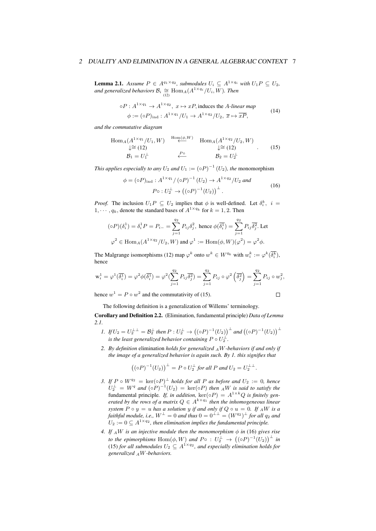**Lemma 2.1.** Assume  $P \in A^{q_1 \times q_2}$ , submodules  $U_i \subseteq A^{1 \times q_i}$  with  $U_1 P \subseteq U_2$ ,  $\partial$ *and generalized behaviors*  $B_i \cong \text{Hom}_A(A^{1 \times q_i}/U_i, W)$ *. Then* 

$$
\circ P: A^{1 \times q_1} \to A^{1 \times q_2}, \ x \mapsto xP, \text{ induces the } A\text{-linear map}
$$

$$
\phi := (\circ P)_{\text{ind}}: A^{1 \times q_1}/U_1 \to A^{1 \times q_2}/U_2, \ \overline{x} \mapsto \overline{xP}, \tag{14}
$$

*and the commutative diagram*

$$
\text{Hom}_{A}(A^{1 \times q_{1}}/U_{1}, W) \xrightarrow{\text{Hom}(\phi, W)} \text{Hom}_{A}(A^{1 \times q_{2}}/U_{2}, W)
$$
  
\n
$$
\downarrow \cong (12) \qquad \qquad \downarrow \cong (12) \qquad (15)
$$
  
\n
$$
\mathcal{B}_{1} = U_{1}^{\perp} \qquad \qquad \stackrel{P^{\circ}}{\longleftarrow} \qquad \qquad \mathcal{B}_{2} = U_{2}^{\perp}
$$

*This applies especially to any*  $U_2$  *and*  $U_1 := (\circ P)^{-1} (U_2)$ *, the* monomorphism

$$
\phi = (\circ P)_{\text{ind}} : A^{1 \times q_1} / (\circ P)^{-1} (U_2) \to A^{1 \times q_2} / U_2 \text{ and}
$$
  
\n
$$
P \circ : U_2^{\perp} \to ((\circ P)^{-1} (U_2))^{\perp}.
$$
 (16)

*Proof.* The inclusion  $U_1P \subseteq U_2$  implies that  $\phi$  is well-defined. Let  $\delta_i^k$ ,  $i =$ 1,  $\cdots$ ,  $q_k$ , denote the standard bases of  $A^{1 \times q_k}$  for  $k = 1, 2$ . Then

$$
(\circ P)(\delta_i^1) = \delta_i^1 P = P_{i-} = \sum_{j=1}^{q_2} P_{ij} \delta_j^2, \text{ hence } \phi(\overline{\delta_i^1}) = \sum_{j=1}^{q_2} P_{ij} \overline{\delta_j^2}. \text{ Let }
$$
  

$$
\varphi^2 \in \text{Hom}_A(A^{1 \times q_2}/U_2, W) \text{ and } \varphi^1 := \text{Hom}(\phi, W)(\varphi^2) = \varphi^2 \phi.
$$

The Malgrange isomorphisms (12) map  $\varphi^k$  onto  $w^k \in W^{q_k}$  with  $w_i^k := \varphi^k(\overline{\delta_i^k})$ , hence

$$
\mathbf{w}_i^1 = \varphi^1(\overline{\delta_i^1}) = \varphi^2 \phi(\overline{\delta_i^1}) = \varphi^2 \left( \sum_{j=1}^{q_2} P_{ij} \overline{\delta_j^2} \right) = \sum_{j=1}^{q_2} P_{ij} \circ \varphi^2 \left( \overline{\delta_j^2} \right) = \sum_{j=1}^{q_2} P_{ij} \circ w_j^2,
$$

hence  $w^1 = P \circ w^2$  and the commutativity of (15).

$$
\Box
$$

The following definition is a generalization of Willems' terminology.

Corollary and Definition 2.2. (Elimination, fundamental principle) *Data of Lemma 2.1.*

- 1. If  $U_2 = U_2^{\perp \perp} = \mathcal{B}_2^{\perp}$  then  $P: U_2^{\perp} \to ((\circ P)^{-1}(U_2))^{\perp}$  and  $((\circ P)^{-1}(U_2))^{\perp}$ *is the least generalized behavior containing*  $P \circ U_2^{\perp}$ *.*
- *2. By definition* elimination *holds for generalized <sup>A</sup>W-behaviors if and only if the image of a generalized behavior is again such. By 1. this signifies that*

$$
((\circ P)^{-1}(U_2))^{\perp} = P \circ U_2^{\perp} \text{ for all } P \text{ and } U_2 = U_2^{\perp \perp}.
$$

- *3. If*  $P \circ W^{q_2} = \text{ker}(\circ P)^{\perp}$  *holds for all*  $P$  *as before and*  $U_2 := 0$ *, hence*  $U_2^{\perp} = W^q$  and  $({\circ}P)^{-1}(U_2) = \text{ker}({\circ}P)$  then  ${}_AW$  is said to satisfy the fundamental principle. If, in addition,  $\text{ker}(\circ P) = A^{1 \times k}Q$  is finitely gen*erated by the rows of a matrix*  $Q \in A^{k \times q_1}$  then the inhomogeneous linear *system*  $P \circ y = u$  *has a solution*  $y$  *if and only if*  $Q \circ u = 0$ *. If*  $_A W$  *is a*  $f$ aithful module, i.e.,  $W^\perp = 0$  and thus  $0 = 0^{\perp\perp} = (W^{q_2})^\perp$  for all  $q_2$  and  $U_2 := 0 \subseteq A^{1 \times q_2}$ , then elimination implies the fundamental principle.
- *4.* If  $_A W$  is an injective module then the monomorphism  $\phi$  in (16) gives rise *to the epimorphisms*  $\text{Hom}(\phi, W)$  *and*  $P \circ : U_2^{\perp} \rightarrow ((\circ P)^{-1}(U_2))^{\perp}$  *in* (15) *for all submodules*  $U_2 \subseteq A^{1 \times q_2}$ , and especially elimination holds for *generalized <sup>A</sup>W-behaviors.*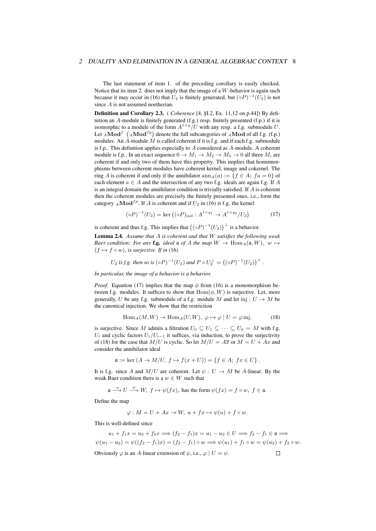The last statement of item 1. of the preceding corollary is easily checked. Notice that its item 2. does not imply that the image of a *W*-behavior is again such because it may occur in (16) that  $U_2$  is finitely generated, but  $({\circ}P)^{-1}(U_2)$  is not since *A* is not assumed noetherian.

Definition and Corollary 2.3. ( *Coherence* [4, §I.2, Ex. 11,12 on p.44]) By definition an *A*-module is finitely generated (f.g.) resp. finitely presented (f.p.) if it is isomorphic to a module of the form  $A^{1 \times q}/U$  with any resp. a f.g. submodule U. Let  $_A \textbf{Mod}^f$   $({}_A \textbf{Mod}^{fp})$  denote the full subcategories of  $_A \textbf{Mod}$  of all f.g. (f.p.) modules. An  $\hat{A}$ -module  $\hat{M}$  is called coherent if it is f.g. and if each f.g. submodule is f.p.. This definition applies especially to *A* considered as *A*-module. A coherent module is f.p.. In an exact sequence  $0 \rightarrow M_1 \rightarrow M_2 \rightarrow M_3 \rightarrow 0$  all three  $M_i$  are coherent if and only two of them have this property. This implies that homomorphisms between coherent modules have coherent kernel, image and cokernel. The ring *A* is coherent if and only if the annihilator  $\text{ann}_A(a) := \{f \in A; \ f a = 0\}$  of each element *a ∈ A* and the intersection of any two f.g. ideals are again f.g. If *A* is an integral domain the annihilator condition is trivially satisfied. If *A* is coherent then the coherent modules are precisely the finitely presented ones, i.e., form the category  $_A \textbf{Mod}^{fp}$ . If *A* is coherent and if  $U_2$  in (16) is f.g. the kernel

$$
(\circ P)^{-1}(U_2) = \ker ((\circ P)_{\text{ind}} : A^{1 \times q_1} \to A^{1 \times q_2}/U_2) \tag{17}
$$

is coherent and thus f.g. This implies that  $((\circ P)^{-1}(U_2))^{\perp}$  is a behavior.

Lemma 2.4. *Assume that A is coherent and that W satisfies the following weak Baer condition: For any* **f.g.** *ideal*  $\mathfrak{a}$  *of*  $A$  *the map*  $W \to \text{Hom}_A(\mathfrak{a}, W)$ *,*  $w \mapsto$  $(f \mapsto f \circ w)$ *, is surjective. If in* (16)

$$
U_2
$$
 is f.g. then so is  $(\circ P)^{-1}(U_2)$  and  $P \circ U_2^{\perp} = ((\circ P)^{-1}(U_2))^{\perp}$ .

*In particular, the image of a behavior is a behavior.*

*Proof.* Equation (17) implies that the map  $\phi$  from (16) is a monomorphism between f.g. modules. It suffices to show that  $Hom(\phi, W)$  is surjective. Let, more generally, *U* be any f.g. submodule of a f.g. module *M* and let inj :  $U \rightarrow M$  be the canonical injection. We show that the restriction

$$
\text{Hom}_A(M, W) \to \text{Hom}_A(U, W), \ \varphi \mapsto \varphi \mid U = \varphi \text{ inj}, \tag{18}
$$

is surjective. Since *M* admits a filtration  $U_0 \subseteq U_1 \subseteq \cdots \subseteq U_k = M$  with f.g.  $U_i$  and cyclic factors  $U_i/U_{i-1}$  it suffices, via induction, to prove the surjectivity of (18) for the case that  $M/U$  is cyclic. So let  $M/U = A\overline{x}$  or  $M = U + Ax$  and consider the annihilator ideal

$$
\mathfrak{a} := \ker (A \to M/U, \ f \mapsto f(x+U)) = \{ f \in A; \ fx \in U \}.
$$

It is f.g. since *A* and  $M/U$  are coherent. Let  $\psi : U \to M$  be *A*-linear. By the weak Baer condition there is a  $w \in W$  such that

$$
\mathfrak{a} \stackrel{x}{\longrightarrow} U \stackrel{\psi}{\longrightarrow} W, \ f \mapsto \psi(fx), \text{ has the form } \psi(fx) = f \circ w, \ f \in \mathfrak{a}.
$$

Define the map

$$
\varphi: M = U + Ax \to W, \ u + fx \mapsto \psi(u) + f \circ w.
$$

This is well-defined since

$$
u_1 + f_1 x = u_2 + f_2 x \Longrightarrow (f_2 - f_1)x = u_1 - u_2 \in U \Longrightarrow f_2 - f_1 \in \mathfrak{a} \Longrightarrow
$$
  

$$
\psi(u_1 - u_2) = \psi((f_2 - f_1)x) = (f_2 - f_1) \circ w \Longrightarrow \psi(u_1) + f_1 \circ w = \psi(u_2) + f_2 \circ w.
$$
  
Obviously  $\varphi$  is an A-linear extension of  $\psi$ , i.e.,  $\varphi \mid U = \psi$ .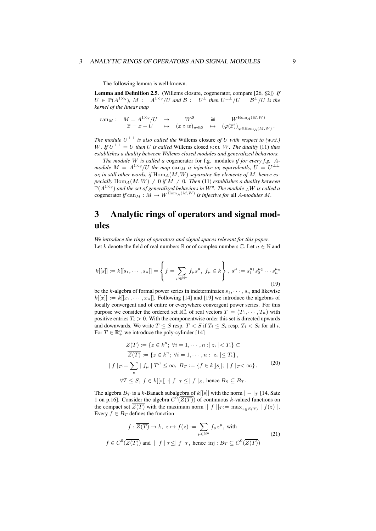#### <sup>3</sup> ANALYTIC RINGS OF OPERATORS AND SIGNAL MODULES 9

The following lemma is well-known.

Lemma and Definition 2.5. (Willems closure, cogenerator, compare [26, §2]) *If*  $U \in \mathbb{P}(A^{1 \times q})$ ,  $M := A^{1 \times q}/U$  and  $\mathcal{B} := U^{\perp}$  then  $U^{\perp \perp}/U = \mathcal{B}^{\perp}/U$  is the *kernel of the linear map*

$$
\begin{array}{ccccccc} {\rm can}_{M}:& M = A^{1 \times q}/U & \to & W^{\mathcal{B}} & \cong & W^{{\rm Hom}_{A}(M, W)} \\ & \overline{x} = x + U & \mapsto & (x \circ w)_{w \in \mathcal{B}} & \mapsto & \big(\varphi(\overline{x})\big)_{\varphi \in {\rm Hom}_{A}(M, W)}\,. \end{array}
$$

*The module*  $U^{\perp \perp}$  *is also called the Willems closure of U with respect to (w.r.t.) W. If*  $U^{\perp \perp} = U$  *then U is called* Willems closed *w.r.t. W.* The duality (11) *thus establishes a duality between Willems closed modules and generalized behaviors.*

*The module W is called a* cogenerator for f.g. modules *if for every f.g. Amodule*  $M = A^{1 \times q}/U$  the map  $\text{can}_M$  is injective or, equivalently,  $U = U^{\perp \perp}$ or, in still other words, if  $\text{Hom}_A(M, W)$  separates the elements of M, hence es*pecially*  $\text{Hom}_A(M, W) \neq 0$  *if*  $M \neq 0$ *. Then* (11) *establishes a duality between*  $\mathbb{P}(A^{1 \times q})$  and the set of generalized behaviors in  $W^q$ . The module  ${}_AW$  is called a cogenerator *if* can<sub>*M*</sub> :  $M \to W^{\text{Hom}_A(M,W)}$  *is injective for* all *A-modules M*.

## 3 Analytic rings of operators and signal modules

*We introduce the rings of operators and signal spaces relevant for this paper*. Let *k* denote the field of real numbers  $\mathbb{R}$  or of complex numbers  $\mathbb{C}$ . Let  $n \in \mathbb{N}$  and

$$
k[[s]] := k[[s_1, \cdots, s_n]] = \left\{ f = \sum_{\mu \in \mathbb{N}^n} f_{\mu} s^{\mu}, f_{\mu} \in k \right\}, s^{\mu} := s_1^{\mu_1} s_2^{\mu_2} \cdots s_n^{\mu_n}
$$
(19)

be the *k*-algebra of formal power series in indeterminates  $s_1, \dots, s_n$  and likewise  $k[[x]] := k[[x_1, \cdots, x_n]]$ . Following [14] and [19] we introduce the algebras of locally convergent and of entire or everywhere convergent power series. For this purpose we consider the ordered set  $\mathbb{R}^n_+$  of real vectors  $T = (T_1, \dots, T_n)$  with positive entries  $T_i > 0$ . With the componentwise order this set is directed upwards and downwards. We write  $T \leq S$  resp.  $T < S$  if  $T_i \leq S_i$  resp.  $T_i < S_i$  for all *i*. For  $T \in \mathbb{R}^n_+$  we introduce the poly-cylinder [14]

$$
Z(T) := \{ z \in k^n; \forall i = 1, \dots, n : |z_i| < T_i \} \subset
$$
\n
$$
\overline{Z(T)} := \{ z \in k^n; \forall i = 1, \dots, n : |z_i| \le T_i \},
$$
\n
$$
|f|_{T} := \sum_{\mu} |f_{\mu}| T^{\mu} \le \infty, B_T := \{ f \in k[[s]]; |f|_{T} < \infty \},
$$
\n
$$
\forall T \le S, f \in k[[s]] : |f|_{T} \le |f|_{S}, \text{ hence } B_S \subseteq B_T.
$$
\n
$$
(20)
$$

The algebra  $B_T$  is a *k*-Banach subalgebra of *k*[[*s*]] with the norm  $| - |_T$  [14, Satz 1 on p.16]. Consider the algebra  $C^0(\overline{Z(T)})$  of continuous *k*-valued functions on the compact set  $Z(T)$  with the maximum norm  $|| f ||_T := \max_{z \in \overline{Z(T)}} | f(z) |$ . Every  $f \in B_T$  defines the function

$$
f: \overline{Z(T)} \to k, \ z \mapsto f(z) := \sum_{\mu \in \mathbb{N}^n} f_{\mu} z^{\mu}, \text{ with}
$$

$$
f \in C^0(\overline{Z(T)}) \text{ and } ||f||_{T} \leq |f|_{T}, \text{ hence } \text{inj}: B_T \subseteq C^0(\overline{Z(T)})
$$
(21)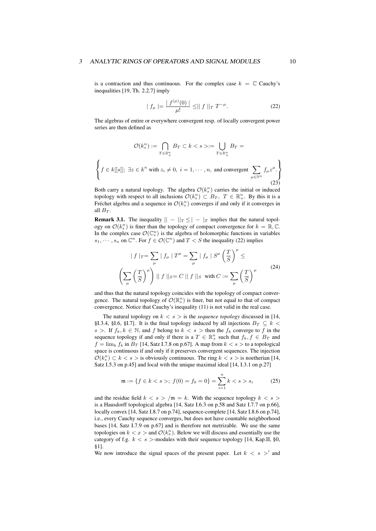#### 3 ANALYTIC RINGS OF OPERATORS AND SIGNAL MODULES 10

is a contraction and thus continuous. For the complex case  $k = \mathbb{C}$  Cauchy's inequalities [19, Th. 2.2.7] imply

$$
|f_{\mu}| = \frac{|f^{(\mu)}(0)|}{\mu!} \leq ||f||_{T} T^{-\mu}.
$$
 (22)

The algebras of entire or everywhere convergent resp. of locally convergent power series are then defined as

$$
\mathcal{O}(k_s^n) := \bigcap_{T \in \mathbb{R}_+^n} B_T \subset k < s > := \bigcup_{T \in \mathbb{R}_+^n} B_T =
$$
\n
$$
\left\{ f \in k[[s]]; \; \exists z \in k^n \text{ with } z_i \neq 0, \; i = 1, \cdots, n, \text{ and convergent } \sum_{\mu \in \mathbb{N}^n} f_\mu z^\mu \right\}
$$
\n
$$
(23)
$$

Both carry a natural topology. The algebra  $\mathcal{O}(k_s^n)$  carries the initial or induced topology with respect to all inclusions  $\mathcal{O}(k_s^n) \subset B_T$ ,  $T \in \mathbb{R}_+^n$ . By this it is a Fréchet algebra and a sequence in  $\mathcal{O}(k_s^n)$  converges if and only if it converges in all  $B_T$ .

**Remark 3.1.** The inequality  $|| - ||_T \leq || - |_T$  implies that the natural topology on  $\mathcal{O}(k_s^n)$  is finer than the topology of compact convergence for  $k = \mathbb{R}, \mathbb{C}$ . In the complex case  $\mathcal{O}(\mathbb{C}_s^n)$  is the algebra of holomorphic functions in variables  $s_1, \dots, s_n$  on  $\mathbb{C}^n$ . For  $f \in \mathcal{O}(\mathbb{C}^n)$  and  $T < S$  the inequality (22) implies

$$
|f|_{T} = \sum_{\mu} |f_{\mu}| T^{\mu} = \sum_{\mu} |f_{\mu}| S^{\mu} \left(\frac{T}{S}\right)^{\mu} \le
$$
  

$$
\left(\sum_{\mu} \left(\frac{T}{S}\right)^{\mu}\right) ||f||_{S} = C ||f||_{S} \text{ with } C := \sum_{\mu} \left(\frac{T}{S}\right)^{\mu}
$$
 (24)

and thus that the natural topology coincides with the topology of compact convergence. The natural topology of  $\mathcal{O}(\mathbb{R}^n_s)$  is finer, but not equal to that of compact convergence. Notice that Cauchy's inequality (11) is not valid in the real case.

The natural topology on  $k < s >$  is the *sequence topology* discussed in [14, §I.3.4, §I.6, §I.7]. It is the final topology induced by all injections  $B_T \subseteq k$ *s* >. If  $f_k, k \in \mathbb{N}$ , and *f* belong to  $k < s$  > then the  $f_k$  converge to *f* in the sequence topology if and only if there is a  $T \in \mathbb{R}^n_+$  such that  $f_k, f \in B_T$  and  $f = \lim_k f_k$  in  $B_T$  [14, Satz I.7.8 on p.67]. A map from  $k < s >$  to a topological space is continuous if and only if it preserves convergent sequences. The injection  $\mathcal{O}(k_s^n) \subset k < s >$  is obviously continuous. The ring  $k < s >$  is noetherian [14, Satz I.5.3 on p.45] and local with the unique maximal ideal [14, I.3.1 on p.27]

$$
\mathfrak{m} := \{ f \in k < s >; \ f(0) = f_0 = 0 \} = \sum_{i=1}^{n} k < s > s_i \tag{25}
$$

and the residue field  $k < s > /m = k$ . With the sequence topology  $k < s >$ is a Hausdorff topological algebra [14, Satz I.6.3 on p.58 and Satz I.7.7 on p.66], locally convex [14, Satz I.8.7 on p.74], sequence-complete [14, Satz I.8.6 on p.74], i.e., every Cauchy sequence converges, but does not have countable neighborhood bases [14, Satz I.7.9 on p.67] and is therefore not metrizable. We use the same topologies on  $k < x >$  and  $\mathcal{O}(k_x^n)$ . Below we will discuss and essentially use the category of f.g.  $k < s$  >-modules with their sequence topology [14, Kap.II, §0, §1].

We now introduce the signal spaces of the present paper. Let  $k < s$  >' and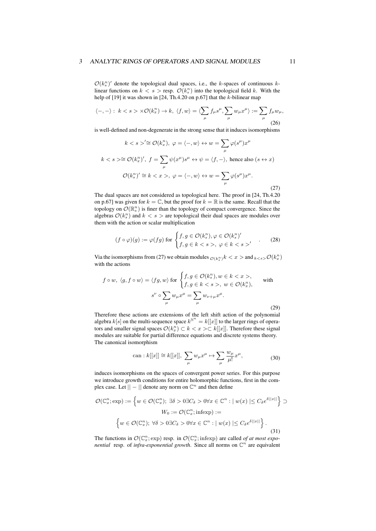#### 3 ANALYTIC RINGS OF OPERATORS AND SIGNAL MODULES 11

 $\mathcal{O}(k_s^n)'$  denote the topological dual spaces, i.e., the *k*-spaces of continuous *k*linear functions on  $k < s$  > resp.  $\mathcal{O}(k_s^n)$  into the topological field *k*. With the help of [19] it was shown in [24, Th.4.20 on p.67] that the *k*-bilinear map

$$
\langle -, - \rangle: k < s > \times \mathcal{O}(k_x^n) \to k, \ \langle f, w \rangle = \langle \sum_{\mu} f_{\mu} s^{\mu}, \sum_{\mu} w_{\mu} x^{\mu} \rangle := \sum_{\mu} f_{\mu} w_{\mu}, \tag{26}
$$

is well-defined and non-degenerate in the strong sense that it induces isomorphisms

$$
k < s > \stackrel{\prime \cong}{=} \mathcal{O}(k_x^n), \ \varphi = \langle -, w \rangle \leftrightarrow w = \sum_{\mu} \varphi(s^{\mu}) x^{\mu}
$$
\n
$$
k < s > \stackrel{\sim}{=} \mathcal{O}(k_x^n)', \ f = \sum_{\mu} \psi(x^{\mu}) s^{\mu} \leftrightarrow \psi = \langle f, - \rangle, \text{ hence also } (s \leftrightarrow x)
$$
\n
$$
\mathcal{O}(k_s^n)' \cong k < x > , \ \varphi = \langle -, w \rangle \leftrightarrow w = \sum_{\mu} \varphi(s^{\mu}) x^{\mu}.
$$
\n
$$
(27)
$$

The dual spaces are not considered as topological here. The proof in [24, Th.4.20 on p.67] was given for  $k = \mathbb{C}$ , but the proof for  $k = \mathbb{R}$  is the same. Recall that the topology on  $\mathcal{O}(\mathbb{R}^n_s)$  is finer than the topology of compact convergence. Since the algebras  $\mathcal{O}(k_s^n)$  and  $k < s >$  are topological their dual spaces are modules over them with the action or scalar multiplication

$$
(f \circ \varphi)(g) := \varphi(fg) \text{ for } \begin{cases} f, g \in \mathcal{O}(k_s^n), \varphi \in \mathcal{O}(k_s^n)' \\ f, g \in k < s > \varphi \in k < s >' \end{cases} \tag{28}
$$

Via the isomorphisms from (27) we obtain modules  $\mathcal{O}(\mathfrak{c}_s^n)$   $k < x >$  and  $\mathfrak{c}_{k < s} > \mathcal{O}(\mathfrak{k}_x^n)$ with the actions

$$
f \circ w, \ \langle g, f \circ w \rangle = \langle fg, w \rangle \text{ for } \begin{cases} f, g \in \mathcal{O}(k_s^n), w \in k < x >, \\ f, g \in k < s >, w \in \mathcal{O}(k_x^n), \end{cases} \text{ with } \\ s^{\nu} \circ \sum_{\mu} w_{\mu} x^{\mu} = \sum_{\mu} w_{\nu + \mu} x^{\mu}.
$$

Therefore these actions are extensions of the left shift action of the polynomial algebra  $k[s]$  on the multi-sequence space  $k^{\mathbb{N}^n} = k[[x]]$  to the larger rings of operators and smaller signal spaces  $\mathcal{O}(k_x^n) \subset k < x > \subset k[[x]]$ . Therefore these signal modules are suitable for partial difference equations and discrete systems theory. The canonical isomorphism

can: 
$$
k[[x]] \cong k[[x]], \sum_{\mu} w_{\mu} x^{\mu} \mapsto \sum_{\mu} \frac{w_{\mu}}{\mu!} x^{\mu},
$$
 (30)

induces isomorphisms on the spaces of convergent power series. For this purpose we introduce growth conditions for entire holomorphic functions, first in the complex case. Let  $|| - ||$  denote any norm on  $\mathbb{C}^n$  and then define

$$
\mathcal{O}(\mathbb{C}_x^n; \exp) := \left\{ w \in \mathcal{O}(\mathbb{C}_x^n); \exists \delta > 0 \exists C_\delta > 0 \forall x \in \mathbb{C}^n : |w(x)| \le C_\delta e^{\delta ||x||} \right\} \supset
$$
  

$$
W_0 := \mathcal{O}(\mathbb{C}_x^n; \text{infexp}) :=
$$
  

$$
\left\{ w \in \mathcal{O}(\mathbb{C}_x^n); \forall \delta > 0 \exists C_\delta > 0 \forall x \in \mathbb{C}^n : |w(x)| \le C_\delta e^{\delta ||x||} \right\}.
$$
 (31)

The functions in  $\mathcal{O}(\mathbb{C}_x^n; \text{exp})$  resp. in  $\mathcal{O}(\mathbb{C}_x^n; \text{infexp})$  are called *of at most exponential* resp. of *infra-exponential growth*. Since all norms on  $\mathbb{C}^n$  are equivalent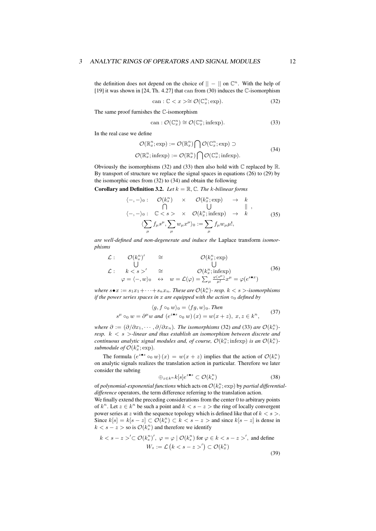the definition does not depend on the choice of  $|| - ||$  on  $\mathbb{C}^n$ . With the help of [19] it was shown in [24, Th. 4.27] that can from (30) induces the C-isomorphism

$$
can: \mathbb{C} < x \ge \cong \mathcal{O}(\mathbb{C}_x^n; \exp). \tag{32}
$$

The same proof furnishes the C-isomorphism

$$
can: \mathcal{O}(\mathbb{C}_x^n) \cong \mathcal{O}(\mathbb{C}_x^n; \text{infexp}). \tag{33}
$$

In the real case we define

$$
\mathcal{O}(\mathbb{R}_x^n; \exp) := \mathcal{O}(\mathbb{R}_x^n) \bigcap \mathcal{O}(\mathbb{C}_x^n; \exp) \supset
$$
  

$$
\mathcal{O}(\mathbb{R}_x^n; \text{infexp}) := \mathcal{O}(\mathbb{R}_x^n) \bigcap \mathcal{O}(\mathbb{C}_x^n; \text{infexp}).
$$
 (34)

Obviously the isomorphisms (32) and (33) then also hold with  $\mathbb C$  replaced by  $\mathbb R$ . By transport of structure we replace the signal spaces in equations (26) to (29) by the isomorphic ones from (32) to (34) and obtain the following

**Corollary and Definition 3.2.** *Let*  $k = \mathbb{R}, \mathbb{C}$ *. The k-bilinear forms* 

$$
\langle -, -\rangle_0: \quad \mathcal{O}(k_s^n) \times \mathcal{O}(k_x^n; \exp) \rightarrow k
$$
  
\n
$$
\langle -, -\rangle_0: \quad \mathbb{C} < s > \times \mathcal{O}(k_x^n; \text{infexp}) \rightarrow k
$$
  
\n
$$
\langle \sum_{\mu} f_{\mu} s^{\mu}, \sum_{\mu} w_{\mu} x^{\mu} \rangle_0 := \sum_{\mu} f_{\mu} w_{\mu} \mu!,
$$
\n(35)

*are well-defined and non-degenerate and induce the* Laplace transform *isomorphisms*

$$
\mathcal{L}: \quad \mathcal{O}(k_{s}^{n})' \quad \cong \quad \mathcal{O}(k_{x}^{n}; \exp)
$$
\n
$$
\mathcal{L}: \quad k < s >' \quad \cong \quad \mathcal{O}(k_{x}^{n}; \text{infexp})
$$
\n
$$
\varphi = \langle -, w \rangle_{0} \quad \leftrightarrow \quad w = \mathcal{L}(\varphi) = \sum_{\mu} \frac{\varphi(s^{\mu})}{\mu!} x^{\mu} = \varphi(e^{s \bullet x})
$$
\n(36)

*where*  $s \bullet x := s_1 x_1 + \cdots + s_n x_n$ . These are  $\mathcal{O}(k_s^n)$ - resp.  $k < s >$ -isomorphisms *if the power series spaces in x are equipped with the action ◦*<sup>0</sup> *defined by*

$$
\langle g, f \circ_0 w \rangle_0 = \langle fg, w \rangle_0. \text{ Then}
$$
  

$$
s^{\mu} \circ_0 w = \partial^{\mu} w \text{ and } (e^{z \bullet s} \circ_0 w)(x) = w(x + z), x, z \in k^n,
$$
 (37)

*where*  $\partial := (\partial/\partial x_1, \cdots, \partial/\partial x_n)$ *. The isomorphisms* (32) *and* (33) *are*  $\mathcal{O}(k_s^n)$ *resp. k < s >-linear and thus establish an isomorphism between discrete and continuous analytic signal modules and, of course,*  $\mathcal{O}(k_x^n; \text{infexp})$  *<i>is an*  $\mathcal{O}(k_s^n)$ *submodule of*  $\mathcal{O}(k_x^n; \exp)$ *.* 

The formula  $(e^{z \bullet s} \circ_0 w)(x) = w(x + z)$  implies that the action of  $\mathcal{O}(k_s^n)$ on analytic signals realizes the translation action in particular. Therefore we later consider the subring

$$
\bigoplus_{z \in k^n} k[s]e^{z \bullet s} \subset \mathcal{O}(k_s^n) \tag{38}
$$

of *polynomial-exponential functions* which acts on  $\mathcal{O}(k_x^n; \text{exp})$  by *partial differentialdifference* operators, the term difference referring to the translation action.

We finally extend the preceding considerations from the center 0 to arbitrary points of  $k^n$ . Let  $z \in k^n$  be such a point and  $k < s - z >$  the ring of locally convergent power series at *z* with the sequence topology which is defined like that of *k < s >*. Since  $k[s] = k[s - z]$  ⊂  $\mathcal{O}(k_s^n)$  ⊂  $k < s - z >$  and since  $k[s - z]$  is dense in  $k < s - z >$  so is  $\mathcal{O}(k_s^n)$  and therefore we identify

$$
k < s - z > \text{C} \mathcal{O}(k_s^n)', \ \varphi = \varphi \mid \mathcal{O}(k_s^n) \text{ for } \varphi \in k < s - z > \text{'}, \text{ and define}
$$
\n
$$
W_z := \mathcal{L} \left( k < s - z > \text{'} \right) \subset \mathcal{O}(k_x^n)
$$
\n(39)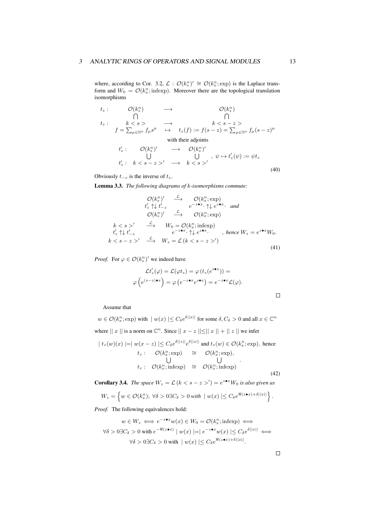where, according to Cor. 3.2,  $\mathcal{L} : \mathcal{O}(k_s^n)' \cong \mathcal{O}(k_x^n; \exp)$  is the Laplace transform and  $W_0 = \mathcal{O}(k_x^n; \text{infexp})$ . Moreover there are the topological translation isomorphisms

$$
t_z: \begin{array}{ccc}\n\mathcal{O}(k_s^n) & \longrightarrow & \mathcal{O}(k_s^n) \\
\bigcap & \bigcap & \bigcap \\
t_z: & k < s > \longrightarrow & k < s - z > \\
f = \sum_{\mu \in \mathbb{N}^n} f_\mu s^\mu & \mapsto & t_z(f) := f(s - z) = \sum_{\mu \in \mathbb{N}^n} f_\mu (s - z)^\mu \\
& \text{with their adjoints} \\
t_z': \mathcal{O}(k_s^n)' & \longrightarrow & \mathcal{O}(k_s^n)'\n\end{array}
$$

$$
t'_{z}: k < s-z >' \longrightarrow k < s >' \qquad (40)
$$

Obviously  $t_{-z}$  is the inverse of  $t_z$ .

Lemma 3.3. *The following diagrams of k-isomorphisms commute:*

$$
\mathcal{O}(k_x^n) \xrightarrow{\mathcal{L}} \mathcal{O}(k_x^n; \exp)
$$
  
\n $t'_z \uparrow \downarrow t'_{-z} \xrightarrow{e^{-z \bullet x}} \uparrow \downarrow e^{z \bullet x}.$  and  
\n $\mathcal{O}(k_x^n) \xrightarrow{\mathcal{L}} \mathcal{O}(k_x^n; \exp)$   
\n $k < s >$   $\xrightarrow{\mathcal{L}} W_0 = \mathcal{O}(k_x^n; \text{infexp})$   
\n $t'_z \uparrow \downarrow t'_{-z} \xrightarrow{e^{-z \bullet x}} \uparrow \downarrow e^{z \bullet x}.$ , hence  $W_z = e^{z \bullet x} W_0$ .  
\n $k < s - z >$   $\xrightarrow{\mathcal{L}} W_z = \mathcal{L}(k < s - z >$ ' (41)

*Proof.* For  $\varphi \in \mathcal{O}(k_s^n)'$  we indeed have

$$
\mathcal{L}t'_{z}(\varphi) = \mathcal{L}(\varphi t_{z}) = \varphi(t_{z}(e^{s \bullet x})) =
$$

$$
\varphi(e^{(s-z)\bullet x}) = \varphi(e^{-z \bullet x}e^{s \bullet x}) = e^{-z \bullet x}\mathcal{L}(\varphi).
$$

Assume that

 $w \in \mathcal{O}(k_x^n; \text{exp})$  with  $|w(x)| \leq C_{\delta} e^{\delta ||x||}$  for some  $\delta, C_{\delta} > 0$  and all  $x \in \mathbb{C}^n$ where  $||x||$  is a norm on  $\mathbb{C}^n$ . Since  $||x - z|| \le ||x|| + ||z||$  we infer  $|t_z(w)(x)| = |w(x-z)| \leq C_\delta e^{\delta ||z||} e^{\delta ||x||}$  and  $t_z(w) \in \mathcal{O}(k_x^n; \text{exp}),$  hence

$$
t_z: \quad \mathcal{O}(k_x^n; \exp) \quad \cong \quad \mathcal{O}(k_x^n; \exp),
$$
\n
$$
t_z: \quad \mathcal{O}(k_x^n; \exp) \quad \cong \quad \mathcal{O}(k_x^n; \exp),
$$
\n
$$
t_z: \quad \mathcal{O}(k_x^n; \inf \exp) \quad \cong \quad \mathcal{O}(k_x^n; \inf \exp).
$$
\n
$$
(42)
$$

**Corollary 3.4.** *The space*  $W_z = \mathcal{L}$   $(k < s - z >') = e^{z \cdot x} W_0$  *is also given as* 

$$
W_z = \left\{ w \in \mathcal{O}(k_x^n); \ \forall \delta > 0 \exists C_\delta > 0 \ \text{with} \ \mid w(x) \mid \leq C_\delta e^{\Re(z \bullet x) + \delta ||x||} \right\}.
$$

*Proof.* The following equivalences hold:

$$
w \in W_z \iff e^{-z \bullet x} w(x) \in W_0 = \mathcal{O}(k_x^n; \text{infexp}) \iff
$$
  

$$
\forall \delta > 0 \exists C_{\delta} > 0 \text{ with } e^{-\Re(z \bullet x)} \mid w(x) \mid = \mid e^{-z \bullet x} w(x) \mid \leq C_{\delta} e^{\delta ||x||} \iff
$$
  

$$
\forall \delta > 0 \exists C_{\delta} > 0 \text{ with } \mid w(x) \mid \leq C_{\delta} e^{\Re(z \bullet x) + \delta ||x||}.
$$

 $\Box$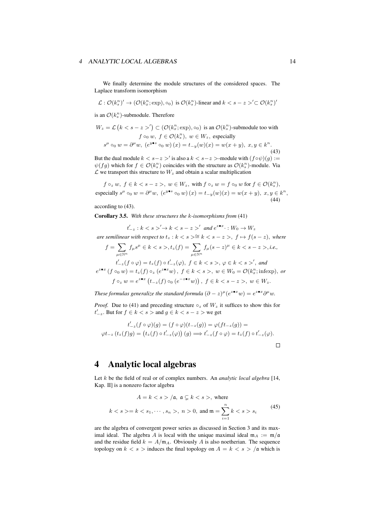#### 4 ANALYTIC LOCAL ALGEBRAS 14

We finally determine the module structures of the considered spaces. The Laplace transform isomorphism

$$
\mathcal{L}: \mathcal{O}(k_s^n)' \to (\mathcal{O}(k_x^n; \exp), \circ_0) \text{ is } \mathcal{O}(k_s^n)
$$
-linear and  $k < s - z >' \subset \mathcal{O}(k_s^n)'$ 

is an  $\mathcal{O}(k_s^n)$ -submodule. Therefore

$$
W_z = \mathcal{L} \left( k < s - z >' \right) \subset (\mathcal{O}(k_x^n; \exp), \circ_0) \text{ is an } \mathcal{O}(k_s^n)\text{-submodule too with}
$$
\n
$$
f \circ_0 w, f \in \mathcal{O}(k_s^n), w \in W_z, \text{ especially}
$$
\n
$$
s^{\mu} \circ_0 w = \partial^{\mu} w, \ (e^{y \bullet s} \circ_0 w)(x) = t_{-y}(w)(x) = w(x + y), x, y \in k^n.
$$
\n
$$
(43)
$$

But the dual module  $k < s-z >'$  is also a  $k < s-z >$ -module with  $(f \circ \psi)(g) :=$  $\psi(fg)$  which for  $f \in \mathcal{O}(k_s^n)$  coincides with the structure as  $\mathcal{O}(k_s^n)$ -module. Via  $\mathcal L$  we transport this structure to  $W_z$  and obtain a scalar multiplication

 $f \circ_z w, f \in k < s-z>, w \in W_z$ , with  $f \circ_z w = f \circ_0 w$  for  $f \in \mathcal{O}(k_s^n)$ , especially  $s^{\mu} \circ_0 w = \partial^{\mu} w$ ,  $(e^{y \bullet s} \circ_0 w)(x) = t_{-y}(w)(x) = w(x + y)$ ,  $x, y \in k^n$ , (44)

according to (43).

Corollary 3.5. *With these structures the k-isomorphisms from* (41)

 $t'_{-z}: k < s >' \rightarrow k < s - z >'$  and  $e^{z \cdot x} : W_0 \rightarrow W_z$ *are semilinear with respect to*  $t_z$  :  $k < s$  > $\cong$   $k < s$  -  $z$  >,  $f \mapsto f(s - z)$ *, where*  $f = \sum$ *<sup>µ</sup>∈*N*<sup>n</sup>*  $f_\mu s^\mu \in k < s >, t_z(f) = \sum$ *<sup>µ</sup>∈*N*<sup>n</sup> f*<sub>µ</sub> $(s − z)$ <sup> $μ$ </sup> ∈ *k* < *s* − *z* >, *i.e.*,  $t'_{-z}(f\circ\varphi)=t_z(f)\circ t'_{-z}(\varphi),\;f\in k~~,\;\varphi\in k~~^\prime,\;and~~~~$  $e^{z \bullet x}$   $(f \circ_0 w) = t_z(f) \circ_z (e^{z \bullet x} w)$ ,  $f \in k < s >$ ,  $w \in W_0 = \mathcal{O}(k_x^n; \text{infexp})$ , or  $f \circ_z w = e^{z \cdot x} (t_{-z}(f) \circ_0 (e^{-z \cdot x} w)), \ f \in k \lt s - z >, \ w \in W_z.$ 

*These formulas generalize the standard formula*  $(\partial - z)^{\mu} (e^{z \cdot x} w) = e^{z \cdot x} \partial^{\mu} w$ *.* 

*Proof.* Due to (41) and preceding structure  $\circ$ <sub>*z*</sub> of *W<sub>z</sub>* it suffices to show this for *t*<sup> $′$ </sup> $_{−z}$ . But for *f* ∈ *k* < *s* > and *g* ∈ *k* < *s* − *z* > we get

$$
t'_{-z}(f \circ \varphi)(g) = (f \circ \varphi)(t_{-z}(g)) = \varphi(f t_{-z}(g)) =
$$
  

$$
\varphi t_{-z}(t_z(f)g) = (t_z(f) \circ t'_{-z}(\varphi)) (g) \Longrightarrow t'_{-z}(f \circ \varphi) = t_z(f) \circ t'_{-z}(\varphi).
$$

## 4 Analytic local algebras

Let *k* be the field of real or of complex numbers. An *analytic local algebra* [14, Kap. II] is a nonzero factor algebra

$$
A = k < s > / \mathfrak{a}, \ \mathfrak{a} \subsetneq k < s > \text{, where}
$$
\n
$$
k < s > = k < s_1, \dots, s_n > \text{, } n > 0, \ \text{and} \ \mathfrak{m} = \sum_{i=1}^n k < s > s_i \tag{45}
$$

are the algebra of convergent power series as discussed in Section 3 and its maximal ideal. The algebra *A* is local with the unique maximal ideal  $m_A := m/a$ and the residue field  $k = A/m_A$ . Obviously *A* is also noetherian. The sequence topology on  $k < s$  > induces the final topology on  $A = k < s$  > /a which is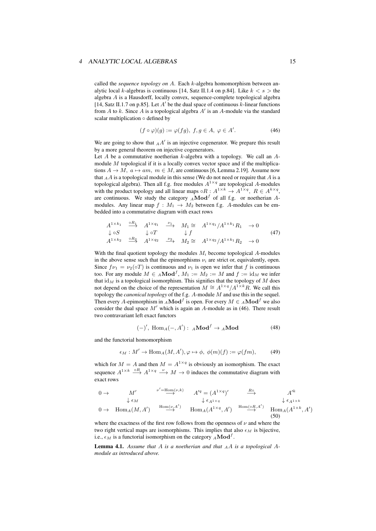#### 4 ANALYTIC LOCAL ALGEBRAS 15

called the *sequence topology on A*. Each *k*-algebra homomorphism between analytic local *k*-algebras is continuous [14, Satz II.1.4 on p.84]. Like  $k < s >$  the algebra *A* is a Hausdorff, locally convex, sequence-complete topological algebra [14, Satz II.1.7 on p.85]. Let *A ′* be the dual space of continuous *k*-linear functions from *A* to *k*. Since *A* is a topological algebra *A ′* is an *A*-module via the standard scalar multiplication *◦* defined by

$$
(f \circ \varphi)(g) := \varphi(fg), \ f, g \in A, \ \varphi \in A'. \tag{46}
$$

We are going to show that  $_A A'$  is an injective cogenerator. We prepare this result by a more general theorem on injective cogenerators.

Let *A* be a commutative noetherian *k*-algebra with a topology. We call an *A*module *M* topological if it is a locally convex vector space and if the multiplications  $A \rightarrow M$ ,  $a \mapsto am$ ,  $m \in M$ , are continuous [6, Lemma 2.19]. Assume now that *<sup>A</sup>A* is a topological module in this sense (We do not need or require that *A* is a topological algebra). Then all f.g. free modules  $A^{1 \times q}$  are topological A-modules with the product topology and all linear maps  $\circ R : A^{1 \times k} \to A^{1 \times q}, R \in A^{k \times q}$ , are continuous. We study the category  $_A \textbf{Mod}^f$  of all f.g. or noetherian Amodules. Any linear map  $f : M_1 \to M_2$  between f.g. A-modules can be embedded into a commutative diagram with exact rows

$$
A^{1 \times k_1} \xrightarrow{\circ R_1} A^{1 \times q_1} \xrightarrow{\nu_1} M_1 \cong A^{1 \times q_1} / A^{1 \times k_1} R_1 \to 0
$$
  
\n
$$
\downarrow \circ S \qquad \downarrow \circ T \qquad \downarrow f
$$
  
\n
$$
A^{1 \times k_2} \xrightarrow{\circ R_2} A^{1 \times q_2} \xrightarrow{\nu_2} M_2 \cong A^{1 \times q_2} / A^{1 \times k_1} R_2 \to 0
$$
\n
$$
(47)
$$

With the final quotient topology the modules *M<sup>i</sup>* become topological *A*-modules in the above sense such that the epimorphisms  $\nu_i$  are strict or, equivalently, open. Since  $f\nu_1 = \nu_2(\circ T)$  is continuous and  $\nu_1$  is open we infer that f is continuous too. For any module  $M \in A\textbf{Mod}^f$ ,  $M_1 := M_2 := M$  and  $f := id_M$  we infer that  $\mathrm{id}_M$  is a topological isomorphism. This signifies that the topology of  $M$  does not depend on the choice of the representation  $M \cong A^{1 \times q} / A^{1 \times k} R$ . We call this topology the *canonical topology* of the f.g. *A*-module *M* and use this in the sequel. Then every *A*-epimorphism in  $_A \mathbf{Mod}^f$  is open. For every  $M \in {_A \mathbf{Mod}^f}$  we also consider the dual space *M′* which is again an *A*-module as in (46). There result two contravariant left exact functors

$$
(-)' , Hom_A(-, A') : AMod^f \to AMod \tag{48}
$$

and the functorial homomorphism

$$
\epsilon_M : M' \to \text{Hom}_A(M, A'), \varphi \mapsto \phi, \ \phi(m)(f) := \varphi(fm), \tag{49}
$$

which for  $M = A$  and then  $M = A^{1 \times q}$  is obviously an isomorphism. The exact sequence  $A^{1 \times k} \stackrel{\circ R}{\longrightarrow} A^{1 \times q} \stackrel{\nu}{\longrightarrow} M \to 0$  induces the commutative diagram with exact rows

$$
0 \to M' \xrightarrow{\nu'=\text{Hom}(\nu,k)} A'^q = (A^{1 \times q})' \xrightarrow{R \circ} A'^k
$$
  
\n
$$
\downarrow \epsilon_M \qquad \qquad \downarrow \epsilon_{A^{1 \times q}}
$$
  
\n
$$
0 \to \text{Hom}_A(M, A') \xrightarrow{\text{Hom}(\nu, A')} \text{Hom}_A(A^{1 \times q}, A') \xrightarrow{\text{Hom}(\text{OR}, A')} \text{Hom}_A(A^{1 \times k}, A')
$$
  
\n(50)

where the exactness of the first row follows from the openness of  $\nu$  and where the two right vertical maps are isomorphisms. This implies that also  $\epsilon_M$  is bijective, i.e.,  $\epsilon_M$  is a functorial isomorphism on the category  $_A \mathbf{Mod}^f$ .

Lemma 4.1. *Assume that A is a noetherian and that <sup>A</sup>A is a topological Amodule as introduced above.*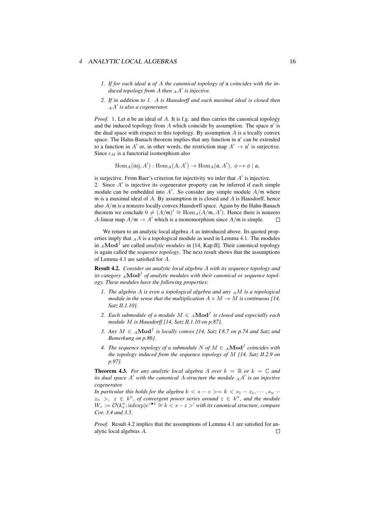#### 4 ANALYTIC LOCAL ALGEBRAS 16

- *1. If for each ideal* a *of A the canonical topology of* a *coincides with the induced topology from A then <sup>A</sup>A ′ is injective.*
- *2. If in addition to 1. A is Hausdorff and each maximal ideal is closed then <sup>A</sup>A ′ is also a cogenerator.*

*Proof.* 1. Let a be an ideal of *A*. It is f.g. and thus carries the canonical topology and the induced topology from *A* which coincide by assumption. The space a *′* is the dual space with respect to this topology. By assumption *A* is a locally convex space. The Hahn-Banach theorem implies that any function in a *′* can be extended to a function in *A'* or, in other words, the restriction map  $A' \rightarrow \mathfrak{a}'$  is surjective. Since  $\epsilon_M$  is a functorial isomorphism also

 $\text{Hom}_A(\text{inj}, A') : \text{Hom}_A(A, A') \to \text{Hom}_A(\mathfrak{a}, A'), \phi \mapsto \phi \mid \mathfrak{a},$ 

is surjective. From Baer's criterion for injectivity we infer that *A ′* is injective. 2. Since *A ′* is injective its cogenerator property can be inferred if each simple module can be embedded into *A ′* . So consider any simple module *A/*m where m is a maximal ideal of *A*. By assumption m is closed and *A* is Hausdorff, hence also *A/*m is a nonzero locally convex Hausdorff space. Again by the Hahn-Banach theorem we conclude  $0 \neq (A/\mathfrak{m})' \cong \text{Hom}_A(A/\mathfrak{m}, A')$ . Hence there is nonzero *A*-linear map  $A/\mathfrak{m} \to A'$  which is a monomorphism since  $A/\mathfrak{m}$  is simple.

We return to an analytic local algebra *A* as introduced above. Its quoted properties imply that *<sup>A</sup>A* is a topological module as used in Lemma 4.1. The modules in *<sup>A</sup>***Mod***<sup>f</sup>* are called *analytic modules* in [14, Kap.II]. Their canonical topology is again called the *sequence topology*. The next result shows that the assumptions of Lemma 4.1 are satisfied for *A*.

Result 4.2. *Consider an analytic local algebra A with its sequence topology and its category <sup>A</sup>***Mod***<sup>f</sup> of analytic modules with their canonical or sequence topology. These modules have the following properties:*

- *1. The algebra A is even a topological algebra and any <sup>A</sup>M is a topological module in the sense that the multiplication*  $A \times M \rightarrow M$  *is continuous* [14, *Satz II.1.10].*
- 2. *Each submodule of a module*  $M \in A$ **Mod**<sup>*f*</sup> is closed and especially each *module M is Hausdorff [14, Satz II.1.10 on p.87].*
- *3. Any M ∈ <sup>A</sup>***Mod***<sup>f</sup> is locally convex [14, Satz I.8.7 on p.74 and Satz and Bemerkung on p.86].*
- *4. The sequence topology of a submodule*  $N$  *of*  $M \in A$ **Mod**<sup>*f*</sup> *coincides with the topology induced from the sequence topology of M [14, Satz II.2.9 on p.97].*

**Theorem 4.3.** For any analytic local algebra A over  $k = \mathbb{R}$  or  $k = \mathbb{C}$  and *its dual space A ′ with the canonical A-structure the module <sup>A</sup>A ′ is an injective cogenerator.*

*In particular this holds for the algebra*  $k < s - z > = k < s_1 - z_1, \cdots, s_n - z_n$  $z_n$ ,  $z \in k^n$ , of convergent power series around  $z \in k^n$ , and the module *W*<sub>z</sub> :=  $\mathcal{O}(k_x^n; \text{infexp})e^{z \cdot x} \cong k < s-z >'$  *with its canonical structure, compare Cor. 3.4 and 3.5.*

*Proof.* Result 4.2 implies that the assumptions of Lemma 4.1 are satisfied for analytic local algebras *A*. $\Box$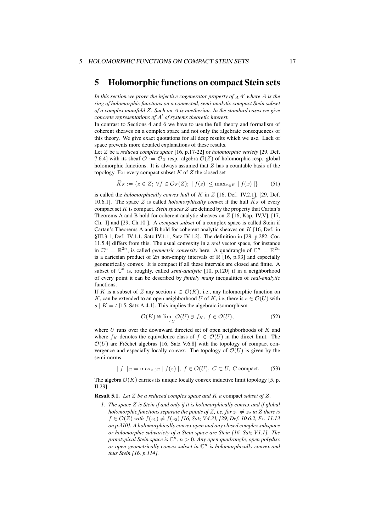### 5 Holomorphic functions on compact Stein sets

*In this section we prove the injective cogenerator property of <sup>A</sup>A ′ where A is the ring of holomorphic functions on a connected, semi-analytic compact Stein subset of a complex manifold Z. Such an A is noetherian. In the standard cases we give concrete representations of A ′ of systems theoretic interest.*

In contrast to Sections 4 and 6 we have to use the full theory and formalism of coherent sheaves on a complex space and not only the algebraic consequences of this theory. We give exact quotations for all deep results which we use. Lack of space prevents more detailed explanations of these results.

Let *Z* be a *reduced complex space* [16, p.17-22] or *holomorphic variety* [29, Def. 7.6.4] with its sheaf  $\mathcal{O} := \mathcal{O}_Z$  resp. algebra  $\mathcal{O}(Z)$  of holomorphic resp. global holomorphic functions. It is always assumed that *Z* has a countable basis of the topology. For every compact subset *K* of *Z* the closed set

$$
K_Z := \{ z \in Z; \ \forall f \in \mathcal{O}_Z(Z); \ |f(z)| \le \max_{x \in K} |f(x)| \}
$$
(51)

is called the *holomorphically convex hull* of *K* in *Z* [16, Def. IV.2.1], [29, Def. 10.6.1]. The space *Z* is called *holomorphically convex* if the hull  $K_Z$  of every compact set  $K$  is compact. *Stein spaces*  $Z$  are defined by the property that Cartan's Theorems A and B hold for coherent analytic sheaves on *Z* [16, Kap. IV,V], [17, Ch. I] and [29, Ch.10 ]. A *compact subset* of a complex space is called Stein if Cartan's Theorems A and B hold for coherent analytic sheaves on *K* [16, Def. in §III.3.1, Def. IV.1.1, Satz IV.1.1, Satz IV.1.2]. The definition in [29, p.282, Cor. 11.5.4] differs from this. The usual convexity in a *real* vector space, for instance in  $\mathbb{C}^n = \mathbb{R}^{2n}$ , is called *geometric convexity* here. A quadrangle of  $\mathbb{C}^n = \mathbb{R}^{2n}$ is a cartesian product of  $2n$  non-empty intervals of  $\mathbb R$  [16, p.93] and especially geometrically convex. It is compact if all these intervals are closed and finite. A subset of  $\mathbb{C}^n$  is, roughly, called *semi-analytic* [10, p.120] if in a neighborhood of every point it can be described by *finitely many* inequalities of *real-analytic* functions.

If *K* is a subset of *Z* any section  $t \in \mathcal{O}(K)$ , i.e., any holomorphic function on *K*, can be extended to an open neighborhood *U* of *K*, i.e, there is  $s \in \mathcal{O}(U)$  with  $s \mid K = t$  [15, Satz A.4.1]. This implies the algebraic isomorphism

$$
\mathcal{O}(K) \cong \lim_{\longrightarrow_{II}} \mathcal{O}(U) \ni f_K, \ f \in \mathcal{O}(U),\tag{52}
$$

where *U* runs over the downward directed set of open neighborhoods of *K* and where  $f_K$  denotes the equivalence class of  $f \in \mathcal{O}(U)$  in the direct limit. The  $O(U)$  are Fréchet algebras [16, Satz V.6.8] with the topology of compact convergence and especially locally convex. The topology of  $\mathcal{O}(U)$  is given by the semi-norms

$$
\| f \|_{C} := \max_{z \in C} |f(z)|, f \in \mathcal{O}(U), C \subset U, C \text{ compact.}
$$
 (53)

The algebra  $\mathcal{O}(K)$  carries its unique locally convex inductive limit topology [5, p. II.29].

Result 5.1. *Let Z be a reduced complex space and K a* compact *subset of Z.*

*1. The space Z is Stein if and only if it is holomorphically convex and if global holomorphic functions separate the points of <i>Z*, *i.e. for*  $z_1 \neq z_2$  *in Z there is f* ∈  $\mathcal{O}(Z)$  *with*  $f(z_1) \neq f(z_2)$  [16, Satz V.4.3], [29, Def. 10.6.2, Ex. 11.13 *on p.310]. A holomorphically convex open and any closed complex subspace or holomorphic subvariety of a Stein space are Stein [16, Satz V.1.1]. The prototypical Stein space is* C *n , n >* 0*. Any open quadrangle, open polydisc or open geometrically convex subset in* C *n is holomorphically convex and thus Stein [16, p.114].*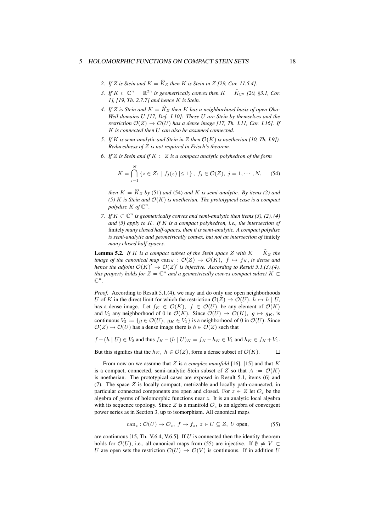#### 5 HOLOMORPHIC FUNCTIONS ON COMPACT STEIN SETS 18

- *2. If Z is Stein and*  $K = \hat{K}_Z$  *then K is Stein in Z* [29, *Cor. 11.5.4].*
- *3. If*  $K \subset \mathbb{C}^n = \mathbb{R}^{2n}$  *is geometrically convex then*  $K = \widehat{K}_{\mathbb{C}^n}$  [20, §3.1, Cor. *1], [19, Th. 2.7.7] and hence K is Stein.*
- 4. If *Z* is Stein and  $K = \hat{K}_Z$  then *K* has a neighborhood basis of open Oka-*Weil domains U [17, Def. I.10]: These U are Stein by themselves and the restriction*  $\mathcal{O}(Z) \to \mathcal{O}(U)$  *has a dense image* [17, Th. I.11, Cor. I.16]. If *K is connected then U can also be assumed connected.*
- *5. If K is semi-analytic and Stein in Z then O*(*K*) *is noetherian [10, Th. I.9]). Reducedness of Z is not required in Frisch's theorem.*
- *6. If Z is Stein and if K ⊂ Z is a compact analytic polyhedron of the form*

$$
K = \bigcap_{j=1}^{N} \{ z \in Z; \mid f_j(z) \mid \leq 1 \}, f_j \in \mathcal{O}(Z), j = 1, \cdots, N,
$$
 (54)

*then*  $K = \hat{K}_Z$  *by* (51) *and* (54) *and K is semi-analytic. By items* (2) *and (5) K is Stein and O*(*K*) *is noetherian. The prototypical case is a compact* polydisc  $K$  of  $\mathbb{C}^n$ .

*7. If*  $K \subset \mathbb{C}^n$  *is geometrically convex and semi-analytic then items (3), (2), (4) and (5) apply to K. If K is a compact polyhedron, i.e., the intersection of* finitely *many closed half-spaces, then it is semi-analytic. A compact polydisc is semi-analytic and geometrically convex, but not an intersection of* finitely *many closed half-spaces.*

**Lemma 5.2.** If K is a compact subset of the Stein space Z with  $K = \hat{K}_Z$  the *image of the canonical map*  $\text{can}_K : \mathcal{O}(Z) \to \mathcal{O}(K)$ ,  $f \mapsto f_K$ , *is dense and hence the adjoint*  $\mathcal{O}(K)' \to \mathcal{O}(Z)'$  *is injective. According to Result* 5.1,(3),(4), *this property holds for*  $Z = \mathbb{C}^n$  *and a geometrically convex compact subset*  $K \subset$  $\mathbb{C}^n$ .

*Proof.* According to Result 5.1,(4), we may and do only use open neighborhoods *U* of *K* in the direct limit for which the restriction  $\mathcal{O}(Z) \to \mathcal{O}(U)$ ,  $h \mapsto h \mid U$ , has a dense image. Let  $f_K \in \mathcal{O}(K)$ ,  $f \in \mathcal{O}(U)$ , be any element of  $\mathcal{O}(K)$ and *V*<sub>1</sub> any neighborhood of 0 in  $\mathcal{O}(K)$ . Since  $\mathcal{O}(U) \to \mathcal{O}(K)$ ,  $g \mapsto g_K$ , is continuous  $V_2 := \{ g \in \mathcal{O}(U) ; g_K \in V_1 \}$  is a neighborhood of 0 in  $\mathcal{O}(U)$ . Since  $O(Z) \rightarrow O(U)$  has a dense image there is  $h \in O(Z)$  such that

 $f-(h | U) \in V_2$  and thus  $f_K-(h | U)_K = f_K - h_K \in V_1$  and  $h_K \in f_K + V_1$ .

But this signifies that the  $h_K$ ,  $h \in \mathcal{O}(Z)$ , form a dense subset of  $\mathcal{O}(K)$ .  $\Box$ 

From now on we assume that *Z* is a *complex manifold* [16], [15] and that *K* is a compact, connected, semi-analytic Stein subset of *Z* so that  $A := \mathcal{O}(K)$ is noetherian. The prototypical cases are exposed in Result 5.1, items (6) and (7). The space *Z* is locally compact, metrizable and locally path-connected, in particular connected components are open and closed. For  $z \in Z$  let  $\mathcal{O}_z$  be the algebra of germs of holomorphic functions near *z*. It is an analytic local algebra with its sequence topology. Since Z is a manifold  $\mathcal{O}_z$  is an algebra of convergent power series as in Section 3, up to isomorphism. All canonical maps

$$
can_z: \mathcal{O}(U) \to \mathcal{O}_z, \ f \mapsto f_z, \ z \in U \subseteq Z, \ U \text{ open}, \tag{55}
$$

are continuous [15, Th. V.6.4, V.6.5]. If *U* is connected then the identity theorem holds for  $\mathcal{O}(U)$ , i.e., all canonical maps from (55) are injective. If  $\emptyset \neq V \subset$ *U* are open sets the restriction  $\mathcal{O}(U) \to \mathcal{O}(V)$  is continuous. If in addition *U*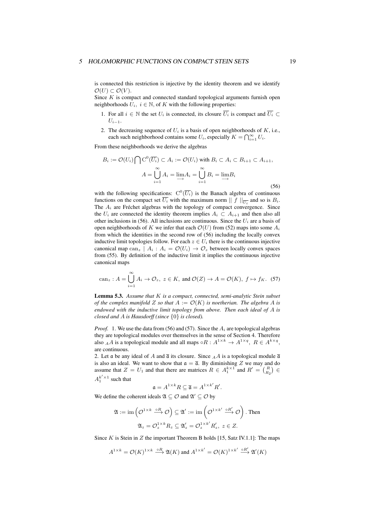#### 5 HOLOMORPHIC FUNCTIONS ON COMPACT STEIN SETS 19

is connected this restriction is injective by the identity theorem and we identify  $O(U)$  ⊂  $O(V)$ .

Since *K* is compact and connected standard topological arguments furnish open neighborhoods  $U_i$ ,  $i \in \mathbb{N}$ , of  $K$  with the following properties:

- 1. For all  $i \in \mathbb{N}$  the set  $U_i$  is connected, its closure  $\overline{U_i}$  is compact and  $\overline{U_i} \subset$ *U<sup>i</sup>−*<sup>1</sup>.
- 2. The decreasing sequence of  $U_i$  is a basis of open neighborhoods of  $K$ , i.e., each such neighborhood contains some  $U_i$ , especially  $K = \bigcap_{i=1}^{\infty} U_i$ .

From these neighborhoods we derive the algebras

$$
B_i := \mathcal{O}(U_i) \bigcap \mathcal{C}^0(\overline{U_i}) \subset A_i := \mathcal{O}(U_i) \text{ with } B_i \subset A_i \subset B_{i+1} \subset A_{i+1},
$$

$$
A = \bigcup_{i=1}^{\infty} A_i = \varinjlim_{i \to 1} A_i = \bigcup_{i=1}^{\infty} B_i = \varinjlim_{i \to 1} B_i
$$
(56)

with the following specifications:  $C^0(\overline{U_i})$  is the Banach algebra of continuous functions on the compact set  $U_i$  with the maximum norm  $|| f ||_{\overline{U_i}}$  and so is  $B_i$ . The *A<sup>i</sup>* are Fréchet algebras with the topology of compact convergence. Since the  $U_i$  are connected the identity theorem implies  $A_i \subset A_{i+1}$  and then also all other inclusions in (56). All inclusions are continuous. Since the  $U_i$  are a basis of open neighborhoods of *K* we infer that each  $\mathcal{O}(U)$  from (52) maps into some  $A_i$ from which the identities in the second row of (56) including the locally convex inductive limit topologies follow. For each  $z \in U_i$  there is the continuous injective canonical map can<sub>z</sub>  $| A_i : A_i = \mathcal{O}(U_i) \rightarrow \mathcal{O}_z$  between locally convex spaces from (55). By definition of the inductive limit it implies the continuous injective canonical maps

$$
\operatorname{can}_z: A = \bigcup_{i=1}^{\infty} A_i \to \mathcal{O}_z, \ z \in K, \text{ and } \mathcal{O}(Z) \to A = \mathcal{O}(K), \ f \mapsto f_K. \tag{57}
$$

Lemma 5.3. *Assume that K is a compact, connected, semi-analytic Stein subset of the complex manifold Z so that*  $A := \mathcal{O}(K)$  *is noetherian. The algebra A is endowed with the inductive limit topology from above. Then each ideal of A is closed and A is Hausdorff (since {*0*} is closed).*

*Proof.* 1. We use the data from (56) and (57). Since the  $A_i$  are topological algebras they are topological modules over themselves in the sense of Section 4. Therefore also *AA* is a topological module and all maps  $\circ R : A^{1 \times k} \to A^{1 \times q}, R \in A^{k \times q}$ , are continuous.

2. Let a be any ideal of *A* and  $\overline{\mathfrak{a}}$  its closure. Since *AA* is a topological module  $\overline{\mathfrak{a}}$ is also an ideal. We want to show that  $\mathfrak{a} = \overline{\mathfrak{a}}$ . By diminishing *Z* we may and do assume that  $Z = U_1$  and that there are matrices  $R \in A_1^{k \times 1}$  and  $R' = \binom{R}{R_2} \in$  $A_1^{k' \times 1}$  such that

$$
\mathfrak{a} = A^{1 \times k} R \subseteq \overline{\mathfrak{a}} = A^{1 \times k'} R'.
$$

We define the coherent ideals  $\mathfrak{A} \subseteq \mathcal{O}$  and  $\mathfrak{A}' \subseteq \mathcal{O}$  by

$$
\mathfrak{A} := \mathrm{im}\left(\mathcal{O}^{1 \times k} \xrightarrow{\circ R} \mathcal{O}\right) \subseteq \mathfrak{A}' := \mathrm{im}\left(\mathcal{O}^{1 \times k'} \xrightarrow{\circ R'} \mathcal{O}\right). \text{ Then}
$$

$$
\mathfrak{A}_z = \mathcal{O}_z^{1 \times k} R_z \subseteq \mathfrak{A}'_z = \mathcal{O}_z^{1 \times k'} R'_z, \ z \in Z.
$$

Since *K* is Stein in *Z* the important Theorem B holds [15, Satz IV.1.1]: The maps

$$
A^{1 \times k} = \mathcal{O}(K)^{1 \times k} \stackrel{\circ R}{\longrightarrow} \mathfrak{A}(K)
$$
 and  $A^{1 \times k'} = \mathcal{O}(K)^{1 \times k'} \stackrel{\circ R'}{\longrightarrow} \mathfrak{A}'(K)$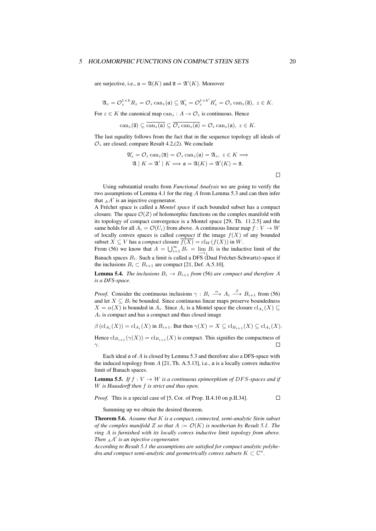#### 5 HOLOMORPHIC FUNCTIONS ON COMPACT STEIN SETS 20

are surjective, i.e.,  $\mathfrak{a} = \mathfrak{A}(K)$  and  $\overline{\mathfrak{a}} = \mathfrak{A}'(K)$ . Moreover

$$
\mathfrak{A}_z=\mathcal{O}_z^{1\times k}R_z=\mathcal{O}_z\operatorname{can}_z(\mathfrak{a})\subseteq \mathfrak{A}_z'=\mathcal{O}_z^{1\times k'}R_z'=\mathcal{O}_z\operatorname{can}_z(\overline{\mathfrak{a}}),\ z\in K.
$$

For  $z \in K$  the canonical map  $can_z : A \to \mathcal{O}_z$  is continuous. Hence

$$
\operatorname{can}_z(\overline{\mathfrak{a}}) \subseteq \overline{\operatorname{can}_z(\mathfrak{a})} \subseteq \overline{\mathcal{O}_z \operatorname{can}_z(\mathfrak{a})} = \mathcal{O}_z \operatorname{can}_z(\mathfrak{a}), \ z \in K.
$$

The last equality follows from the fact that in the sequence topology all ideals of  $\mathcal{O}_z$  are closed; compare Result 4.2,(2). We conclude

$$
\mathfrak{A}'_z = \mathcal{O}_z \operatorname{can}_z(\overline{\mathfrak{a}}) = \mathcal{O}_z \operatorname{can}_z(\mathfrak{a}) = \mathfrak{A}_z, \ z \in K \Longrightarrow
$$
  

$$
\mathfrak{A} \mid K = \mathfrak{A}' \mid K \Longrightarrow \mathfrak{a} = \mathfrak{A}(K) = \mathfrak{A}'(K) = \overline{\mathfrak{a}}.
$$

Using substantial results from *Functional Analysis* we are going to verify the two assumptions of Lemma 4.1 for the ring *A* from Lemma 5.3 and can then infer that  $_A A'$  is an injective cogenerator.

A Fréchet space is called a *Montel space* if each bounded subset has a compact closure. The space  $\mathcal{O}(Z)$  of holomorphic functions on the complex manifold with its topology of compact convergence is a Montel space [29, Th. 11.2.5] and the same holds for all  $A_i = \mathcal{O}(U_i)$  from above. A continuous linear map  $f: V \to W$ of locally convex spaces is called *compact* if the image  $f(X)$  of any bounded subset  $X \subseteq V$  has a *compact* closure  $f(X) = cl_W(f(X))$  in *W*.

From (56) we know that  $A = \bigcup_{i=1}^{\infty} B_i = \lim_{i \to \infty} B_i$  is the inductive limit of the Banach spaces *Bi*. Such a limit is called a DFS (Dual Fréchet-Schwartz)-space if the inclusions  $B_i \subset B_{i+1}$  are compact [21, Def. A.5.10].

**Lemma 5.4.** *The inclusions*  $B_i \to B_{i+1}$  *from* (56) *are compact and therefore A is a DFS-space.*

*Proof.* Consider the continuous inclusions  $\gamma : B_i \longrightarrow A_i \longrightarrow B_{i+1}$  from (56) and let  $X \subseteq B_i$  be bounded. Since continuous linear maps preserve boundedness  $X = \alpha(X)$  is bounded in  $A_i$ . Since  $A_i$  is a Montel space the closure  $\text{cl}_{A_i}(X) \subseteq$  $A_i$  is compact and has a compact and thus closed image

 $\beta(\text{cl}_{A_i}(X)) = \text{cl}_{A_i}(X)$  in  $B_{i+1}$ . But then  $\gamma(X) = X \subseteq \text{cl}_{B_{i+1}}(X) \subseteq \text{cl}_{A_i}(X)$ .

Hence  $\text{cl}_{B_{i+1}}(\gamma(X)) = \text{cl}_{B_{i+1}}(X)$  is compact. This signifies the compactness of *γ*.  $\Box$ 

Each ideal a of *A* is closed by Lemma 5.3 and therefore also a DFS-space with the induced topology from *A* [21, Th. A.5.13], i.e., a is a locally convex inductive limit of Banach spaces.

**Lemma 5.5.** *If*  $f: V \to W$  *is a continuous epimorphism of DFS-spaces and if W is Hausdorff then f is strict and thus open.*

*Proof.* This is a special case of [5, Cor. of Prop. II.4.10 on p.II.34].  $\Box$ 

Summing up we obtain the desired theorem.

Theorem 5.6. *Assume that K is a compact, connected, semi-analytic Stein subset of the complex manifold Z so that*  $A := \mathcal{O}(K)$  *is noetherian by Result 5.1. The ring A is furnished with its locally convex inductive limit topology from above. Then <sup>A</sup>A ′ is an injective cogenerator.*

*According to Result 5.1 the assumptions are satisfied for compact analytic polyhedra and compact semi-analytic and geometrically convex subsets*  $K \subset \mathbb{C}^n$ .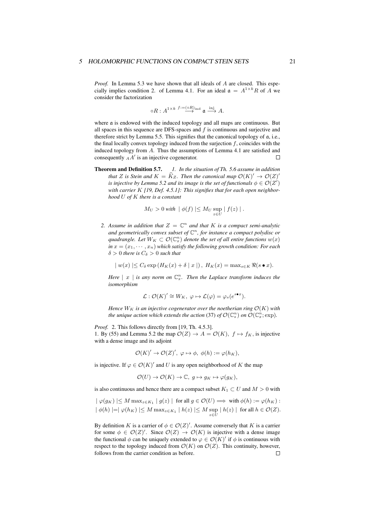*Proof.* In Lemma 5.3 we have shown that all ideals of *A* are closed. This especially implies condition 2. of Lemma 4.1. For an ideal  $\mathfrak{a} = A^{1 \times k} R$  of A we consider the factorization

$$
\circ R: A^{1 \times k} \stackrel{f:=(\circ R)_{\text{ind}}}{\longrightarrow} \mathfrak{a} \stackrel{\text{inj}}{\longrightarrow} A.
$$

where a is endowed with the induced topology and all maps are continuous. But all spaces in this sequence are DFS-spaces and *f* is continuous and surjective and therefore strict by Lemma 5.5. This signifies that the canonical topology of a, i.e., the final locally convex topology induced from the surjection *f*, coincides with the induced topology from *A*. Thus the assumptions of Lemma 4.1 are satisfied and  $\Box$ consequently *<sup>A</sup>A ′* is an injective cogenerator.

Theorem and Definition 5.7. *1. In the situation of Th. 5.6 assume in addition that*  $Z$  *is Stein and*  $K = K_Z$ . Then the canonical map  $\mathcal{O}(K)' \to \mathcal{O}(Z)'$ *is injective by Lemma 5.2 and its image is the set of functionals*  $\phi \in \mathcal{O}(Z')$ *with carrier K [19, Def. 4.5.1]: This signifies that for each open neighborhood U of K there is a constant*

$$
M_U > 0 \text{ with } | \phi(f) | \leq M_U \sup_{z \in U} | f(z) | .
$$

2. Assume in addition that  $Z = \mathbb{C}^n$  and that K is a compact semi-analytic *and geometrically convex subset of* C *n , for instance a compact polydisc or quadrangle. Let*  $W_K \subset \mathcal{O}(\mathbb{C}^n_x)$  *denote the set of all entire functions*  $w(x)$  $in x = (x_1, \dots, x_n)$  *which satisfy the following growth condition: For each*  $\delta > 0$  *there is*  $C_{\delta} > 0$  *such that* 

$$
| w(x) | \leq C_{\delta} \exp(H_K(x) + \delta | x |), H_K(x) = \max_{s \in K} \Re(s \bullet x).
$$

*Here*  $|x|$  *is any norm on*  $\mathbb{C}_x^n$ *. Then the Laplace transform induces the isomorphism*

$$
\mathcal{L}: \mathcal{O}(K)' \cong W_K, \ \varphi \mapsto \mathcal{L}(\varphi) = \varphi_s(e^{s \bullet x}).
$$

*Hence*  $W_K$  *is an injective cogenerator over the noetherian ring*  $\mathcal{O}(K)$  *with the unique action which extends the action (37) of*  $\mathcal{O}(\mathbb{C}_s^n)$  *on*  $\mathcal{O}(\mathbb{C}_x^n;\text{exp})$ *.* 

*Proof.* 2. This follows directly from [19, Th. 4.5.3]. 1. By (55) and Lemma 5.2 the map  $\mathcal{O}(Z) \to A = \mathcal{O}(K)$ ,  $f \mapsto f_K$ , is injective with a dense image and its adjoint

$$
\mathcal{O}(K)' \to \mathcal{O}(Z)', \varphi \mapsto \phi, \ \phi(h) := \varphi(h_K),
$$

is injective. If  $\varphi \in \mathcal{O}(K)'$  and *U* is any open neighborhood of *K* the map

$$
\mathcal{O}(U) \to \mathcal{O}(K) \to \mathbb{C}, \ g \mapsto g_K \mapsto \varphi(g_K),
$$

is also continuous and hence there are a compact subset  $K_1 \subset U$  and  $M > 0$  with

$$
|\varphi(g_K)| \le M \max_{z \in K_1} |g(z)| \text{ for all } g \in \mathcal{O}(U) \implies \text{ with } \phi(h) := \varphi(h_K) :
$$
  

$$
|\phi(h)| = |\varphi(h_K)| \le M \max_{z \in K_1} |h(z)| \le M \sup_{z \in U} |h(z)| \text{ for all } h \in \mathcal{O}(Z).
$$

By definition *K* is a carrier of  $\phi \in \mathcal{O}(Z)'$ . Assume conversely that *K* is a carrier for some  $\phi \in \mathcal{O}(Z)'$ . Since  $\mathcal{O}(Z) \to \mathcal{O}(K)$  is injective with a dense image the functional  $\phi$  can be uniquely extended to  $\varphi \in \mathcal{O}(K)'$  if  $\phi$  is continuous with respect to the topology induced from  $\mathcal{O}(K)$  on  $\mathcal{O}(Z)$ . This continuity, however, follows from the carrier condition as before. $\Box$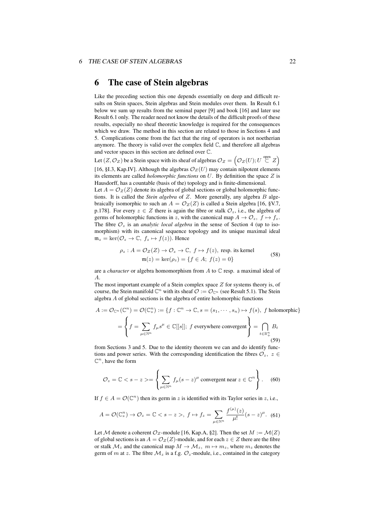## 6 The case of Stein algebras

Like the preceding section this one depends essentially on deep and difficult results on Stein spaces, Stein algebras and Stein modules over them. In Result 6.1 below we sum up results from the seminal paper [9] and book [16] and later use Result 6.1 only. The reader need not know the details of the difficult proofs of these results, especially no sheaf theoretic knowledge is required for the consequences which we draw. The method in this section are related to those in Sections 4 and 5. Complications come from the fact that the ring of operators is not noetherian anymore. The theory is valid over the complex field  $\mathbb{C}$ , and therefore all algebras and vector spaces in this section are defined over C.

Let  $(Z, \mathcal{O}_Z)$  be a Stein space with its sheaf of algebras  $\mathcal{O}_Z = \left(\mathcal{O}_Z(U); U \stackrel{\text{open}}{\subset} Z\right)$ [16, §I.3, Kap.IV]. Although the algebras  $\mathcal{O}_Z(U)$  may contain nilpotent elements its elements are called *holomorphic functions* on *U*. By definition the space *Z* is Hausdorff, has a countable (basis of the) topology and is finite-dimensional.

Let  $A = \mathcal{O}_Z(Z)$  denote its algebra of global sections or global holomorphic functions. It is called the *Stein algebra* of *Z*. More generally, any algebra *B* algebraically isomorphic to such an  $A = \mathcal{O}_Z(Z)$  is called a Stein algebra [16, §V.7, p.178]. For every  $z \in Z$  there is again the fibre or stalk  $\mathcal{O}_z$ , i.e., the algebra of germs of holomorphic functions in *z*, with the canonical map  $A \to \mathcal{O}_z$ ,  $f \mapsto f_z$ . The fibre  $\mathcal{O}_z$  is an *analytic local algebra* in the sense of Section 4 (up to isomorphism) with its canonical sequence topology and its unique maximal ideal  $m_z = \ker(\mathcal{O}_z \to \mathbb{C}, f_z \mapsto f(z)$ . Hence

$$
\rho_z : A = \mathcal{O}_Z(Z) \to \mathcal{O}_z \to \mathbb{C}, \ f \mapsto f(z), \text{ resp. its kernel}
$$
  

$$
\mathfrak{m}(z) = \ker(\rho_z) = \{ f \in A; \ f(z) = 0 \}
$$
 (58)

are a *character* or algebra homomorphism from *A* to C resp. a maximal ideal of *A*.

The most important example of a Stein complex space *Z* for systems theory is, of course, the Stein manifold  $\mathbb{C}^n$  with its sheaf  $\mathcal{O} := \mathcal{O}_{\mathbb{C}^n}$  (see Result 5.1). The Stein algebra *A* of global sections is the algebra of entire holomorphic functions

$$
A := \mathcal{O}_{\mathbb{C}^n}(\mathbb{C}^n) = \mathcal{O}(\mathbb{C}_s^n) := \{ f : \mathbb{C}^n \to \mathbb{C}, s = (s_1, \dots, s_n) \mapsto f(s), \ f \text{ holomorphic} \}
$$

$$
= \left\{ f = \sum_{\mu \in \mathbb{N}^n} f_{\mu} s^{\mu} \in \mathbb{C}[[s]]; \ f \text{ everywhere convergent} \right\} = \bigcap_{t \in \mathbb{R}_+^n} B_t
$$
(59)

from Sections 3 and 5. Due to the identity theorem we can and do identify functions and power series. With the corresponding identification the fibres  $\mathcal{O}_z$ ,  $z \in \mathcal{O}_z$  $\mathbb{C}^n$ , have the form

$$
\mathcal{O}_z = \mathbb{C} < s - z > = \left\{ \sum_{\mu \in \mathbb{N}^n} f_{\mu} (s - z)^{\mu} \text{ convergent near } z \in \mathbb{C}^n \right\}. \tag{60}
$$

If  $f \in A = \mathcal{O}(\mathbb{C}^n)$  then its germ in *z* is identified with its Taylor series in *z*, i.e.,

$$
A = \mathcal{O}(\mathbb{C}_s^n) \to \mathcal{O}_z = \mathbb{C} < s - z > \text{, } f \mapsto f_z = \sum_{\mu \in \mathbb{N}^n} \frac{f^{(\mu)}(z)}{\mu!} (s - z)^{\mu}. \tag{61}
$$

Let *M* denote a coherent  $\mathcal{O}_Z$ -module [16, Kap.A, §2]. Then the set  $M := \mathcal{M}(Z)$ of global sections is an  $A = \mathcal{O}_Z(Z)$ -module, and for each  $z \in Z$  there are the fibre or stalk  $\mathcal{M}_z$  and the canonical map  $M \to \mathcal{M}_z$ ,  $m \mapsto m_z$ , where  $m_z$  denotes the germ of *m* at *z*. The fibre  $M_z$  is a f.g.  $\mathcal{O}_z$ -module, i.e., contained in the category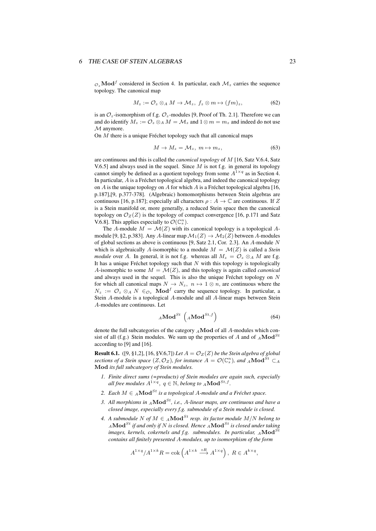$O_z \textbf{Mod}^f$  considered in Section 4. In particular, each  $\mathcal{M}_z$  carries the sequence topology. The canonical map

$$
M_z := \mathcal{O}_z \otimes_A M \to \mathcal{M}_z, \ f_z \otimes m \mapsto (fm)_z, \tag{62}
$$

is an  $\mathcal{O}_z$ -isomorphism of f.g.  $\mathcal{O}_z$ -modules [9, Proof of Th. 2.1]. Therefore we can and do identify  $M_z := \mathcal{O}_z \otimes_A M = \mathcal{M}_z$  and  $1 \otimes m = m_z$  and indeed do not use *M* anymore.

On *M* there is a unique Fréchet topology such that all canonical maps

$$
M \to M_z = \mathcal{M}_z, \ m \mapsto m_z,\tag{63}
$$

are continuous and this is called the *canonical topology* of *M* [16, Satz V.6.4, Satz V.6.5] and always used in the sequel. Since *M* is not f.g. in general its topology cannot simply be defined as a quotient topology from some  $A^{1\times q}$  as in Section 4. In particular, *A* is a Fréchet topological algebra, and indeed the canonical topology on *A* is the unique topology on *A* for which *A* is a Fréchet topological algebra [16, p.187],[9, p.377-378]. (Algebraic) homomorphisms between Stein algebras are continuous [16, p.187]; especially all characters  $\rho : A \to \mathbb{C}$  are continuous. If Z is a Stein manifold or, more generally, a reduced Stein space then the canonical topology on  $\mathcal{O}_Z(Z)$  is the topology of compact convergence [16, p.171 and Satz V.6.8]. This applies especially to  $\mathcal{O}(\mathbb{C}_s^n)$ .

The *A*-module  $M = \mathcal{M}(Z)$  with its canonical topology is a topological *A*module [9, §2, p.383]. Any *A*-linear map  $\mathcal{M}_1(Z) \to \mathcal{M}_2(Z)$  between *A*-modules of global sections as above is continuous [9, Satz 2.1, Cor. 2.3]. An *A*-module *N* which is algebraically A-isomorphic to a module  $M = \mathcal{M}(Z)$  is called a *Stein module* over *A*. In general, it is not f.g. whereas all  $M_z = \mathcal{O}_z \otimes_A M$  are f.g. It has a unique Fréchet topology such that *N* with this topology is topologically *A*-isomorphic to some  $M = \mathcal{M}(Z)$ , and this topology is again called *canonical* and always used in the sequel. This is also the unique Fréchet topology on *N* for which all canonical maps  $N \to N_z$ ,  $n \mapsto 1 \otimes n$ , are continuous where the  $N_z := \mathcal{O}_z \otimes_A N \in \mathcal{O}_z$  **Mod**<sup>*f*</sup> carry the sequence topology. In particular, a Stein *A*-module is a topological *A*-module and all *A*-linear maps between Stein *A*-modules are continuous. Let

$$
{}_{A}\textbf{Mod}^{St} \, \left( {}_{A}\textbf{Mod}^{St,f} \right) \tag{64}
$$

denote the full subcategories of the category *<sup>A</sup>***Mod** of all *A*-modules which consist of all (f.g.) Stein modules. We sum up the properties of *A* and of  $_A\textbf{Mod}^{St}$ according to [9] and [16].

**Result 6.1.** ([9, §1,2], [16, §V.6,7]) *Let*  $A = \mathcal{O}_Z(Z)$  *be the Stein algebra of global sections of a Stein space*  $(Z, \mathcal{O}_Z)$ *, for instance*  $A = \mathcal{O}(\mathbb{C}_s^n)$ *, and*  $_A \mathbf{Mod}^{St} \subset_A$ **Mod** *its full subcategory of Stein modules.*

- *1. Finite direct sums (=products) of Stein modules are again such, especially all free modules*  $A^{1\times q}$ ,  $q \in \mathbb{N}$ , *belong to*  $_A \mathbf{Mod}^{St,f}$ .
- 2. *Each*  $M \in A$ **Mod**<sup>*St*</sup> *is a topological A-module and a Fréchet space.*
- *3. All morphisms in <sup>A</sup>***Mod***St, i.e., A-linear maps, are continuous and have a closed image, especially every f.g. submodule of a Stein module is closed.*
- *4. A submodule*  $N$  *of*  $M \in A$ **Mod**<sup>*St*</sup> *resp. its factor module*  $M/N$  *belong to <sup>A</sup>***Mod***St if and only if N is closed. Hence <sup>A</sup>***Mod***St is closed under taking images, kernels, cokernels and f.g. submodules. In particular, A***Mod**<sup>*S*</sup> *contains all finitely presented A-modules, up to isomorphism of the form*

$$
A^{1 \times q} / A^{1 \times k} R = \text{cok} \left( A^{1 \times k} \stackrel{\circ R}{\longrightarrow} A^{1 \times q} \right), \ R \in A^{k \times q},
$$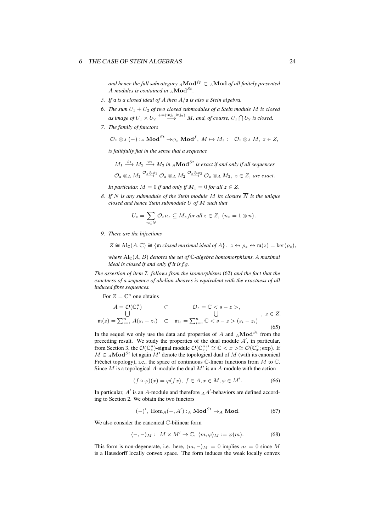*and hence the full subcategory*  $_A \textbf{Mod}^{fp} \subset A \textbf{Mod}$  *of all finitely presented A-modules is contained in <sup>A</sup>***Mod***St .*

- *5. If* a *is a closed ideal of A then A/*a *is also a Stein algebra.*
- 6. *The sum*  $U_1 + U_2$  *of two closed submodules of a Stein module M is closed* as image of  $U_1 \times U_2 \stackrel{+=(\text{inj}_1, \text{inj}_2)}{\longrightarrow} M$ , and, of course,  $U_1 \bigcap U_2$  is closed.
- *7. The family of functors*

$$
\mathcal{O}_z \otimes_A (-) :_A \mathbf{Mod}^{St} \to_{\mathcal{O}_z} \mathbf{Mod}^f, M \mapsto M_z := \mathcal{O}_z \otimes_A M, z \in Z,
$$

*is faithfully flat in the sense that a sequence*

 $M_1 \stackrel{\phi_1}{\longrightarrow} M_2 \stackrel{\phi_2}{\longrightarrow} M_3$  *in*  $_A \textbf{Mod}^{St}$  *is exact if and only if all sequences*  $\mathcal{O}_z\otimes_A M_1 \stackrel{\mathcal{O}_z\otimes\phi_1}{\longrightarrow} \mathcal{O}_z\otimes_A M_2 \stackrel{\mathcal{O}_z\otimes\phi_2}{\longrightarrow} \mathcal{O}_z\otimes_A M_3, \ z\in Z,$  are exact.

*In particular,*  $M = 0$  *if and only if*  $M_z = 0$  *for all*  $z \in Z$ *.* 

*8. If N* is any submodule of the Stein module *M* its closure  $\overline{N}$  *is the unique closed and hence Stein submodule U of M such that*

$$
U_z = \sum_{n \in N} \mathcal{O}_z n_z \subseteq M_z \text{ for all } z \in Z, \ (n_z = 1 \otimes n).
$$

*9. There are the bijections*

$$
Z \cong \mathrm{Al}_{\mathbb{C}}(A, \mathbb{C}) \cong \{ \mathfrak{m} \text{ closed maximal ideal of } A \}, \ z \leftrightarrow \rho_z \leftrightarrow \mathfrak{m}(z) = \ker(\rho_z),
$$

*where*  $\text{Al}_\mathbb{C}(A, B)$  *denotes the set of*  $\mathbb{C}$ *-algebra homomorphisms. A maximal ideal is closed if and only if it is f.g.*

*The assertion of item 7. follows from the isomorphisms* (62) *and the fact that the exactness of a sequence of abelian sheaves is equivalent with the exactness of all induced fibre sequences.*

For  $Z = \mathbb{C}^n$  one obtains

$$
A = \mathcal{O}(\mathbb{C}_s^n) \qquad \subset \qquad \mathcal{O}_z = \mathbb{C} < s - z > ,
$$
\n
$$
\bigcup_{i=1}^n A(s_i - z_i) \qquad \subset \qquad \mathfrak{m}_z = \sum_{i=1}^n \mathbb{C} < s - z > (s_i - z_i) \qquad (65)
$$

In the sequel we only use the data and properties of  $A$  and  $_A \textbf{Mod}^{St}$  from the preceding result. We study the properties of the dual module *A ′* , in particular, from Section 3, the  $\mathcal{O}(\mathbb{C}_{s}^{n})$ -signal module  $\mathcal{O}(\mathbb{C}_{s}^{n})' \cong \mathbb{C} < x > \cong \mathcal{O}(\mathbb{C}_{x}^{n}; \exp)$ . If *M* ∈  $_A$ **Mod**<sup>St</sup> let again *M'* denote the topological dual of *M* (with its canonical Fréchet topology), i.e., the space of continuous C-linear functions from *M* to C. Since *M* is a topological *A*-module the dual *M′* is an *A*-module with the action

$$
(f \circ \varphi)(x) = \varphi(fx), \ f \in A, x \in M, \varphi \in M'.
$$
 (66)

In particular,  $A'$  is an  $A$ -module and therefore  $_A A'$ -behaviors are defined according to Section 2. We obtain the two functors

$$
(-)' , Hom_A(-, A') : _A \mathbf{Mod}^{St} \to _A \mathbf{Mod}.
$$
 (67)

We also consider the canonical C-bilinear form

$$
\langle -, - \rangle_M : M \times M' \to \mathbb{C}, \langle m, \varphi \rangle_M := \varphi(m). \tag{68}
$$

This form is non-degenerate, i.e. here,  $\langle m, - \rangle_M = 0$  implies  $m = 0$  since M is a Hausdorff locally convex space. The form induces the weak locally convex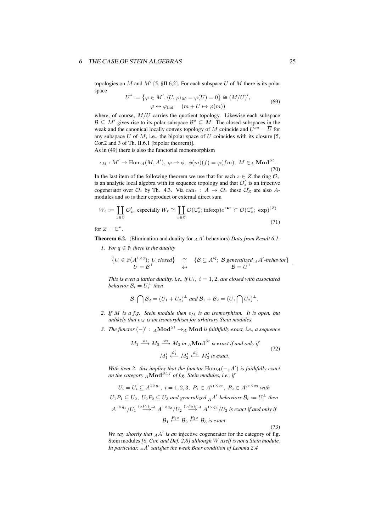topologies on *M* and *M′* [5, §II.6,2]. For each subspace *U* of *M* there is its polar space

$$
U^{o} := \{ \varphi \in M'; \langle U, \varphi \rangle_{M} = \varphi(U) = 0 \} \cong (M/U)',
$$
  

$$
\varphi \leftrightarrow \varphi_{\text{ind}} = (m + U \mapsto \varphi(m))
$$
 (69)

where, of course,  $M/U$  carries the quotient topology. Likewise each subspace  $\mathcal{B} \subseteq M'$  gives rise to its polar subspace  $\mathcal{B}^{\circ} \subseteq M$ . The closed subspaces in the weak and the canonical locally convex topology of *M* coincide and  $U^{oo} = \overline{U}$  for any subspace  $U$  of  $M$ , i.e., the bipolar space of  $U$  coincides with its closure [5, Cor.2 and 3 of Th. II.6.1 (bipolar theorem)].

As in (49) there is also the functorial monomorphism

$$
\epsilon_M : M' \to \text{Hom}_A(M, A'), \ \varphi \mapsto \phi, \ \phi(m)(f) = \varphi(fm), \ M \in_A \text{Mod}^{St}.
$$
\n(70)

In the last item of the following theorem we use that for each  $z \in Z$  the ring  $\mathcal{O}_z$ is an analytic local algebra with its sequence topology and that  $\mathcal{O}'_z$  is an injective cogenerator over  $\mathcal{O}_z$  by Th. 4.3. Via  $\text{can}_z : A \to \mathcal{O}_z$  these  $\mathcal{O}'_Z$  are also Amodules and so is their coproduct or external direct sum

$$
W_{\ell} := \coprod_{z \in Z} \mathcal{O}'_z, \text{ especially } W_{\ell} \cong \coprod_{z \in Z} \mathcal{O}(\mathbb{C}_x^n; \text{infexp})e^{z \cdot \bullet x} \subset \mathcal{O}(\mathbb{C}_x^n; \text{exp})^{(Z)} \tag{71}
$$

for  $Z = \mathbb{C}^n$ .

Theorem 6.2. (Elimination and duality for *<sup>A</sup>A ′* -behaviors) *Data from Result 6.1.*

*1. For*  $q \in \mathbb{N}$  *there is the duality* 

$$
\begin{array}{rcl}\n\{U \in \mathbb{P}(A^{1 \times q}); U \text{ closed}\} & \cong & \{\mathcal{B} \subseteq A'^q; \text{ $\mathcal{B}$ generalized $_{A}A'^$-behavior}\}\\
U = \mathcal{B}^{\perp} & \leftrightarrow & \mathcal{B} = U^{\perp}\n\end{array}.
$$

*This is even a lattice duality, i.e., if*  $U_i$ ,  $i = 1, 2$ *, are closed with associated behavior*  $B_i = U_i^{\perp}$  *then* 

$$
\mathcal{B}_1\bigcap\mathcal{B}_2=(U_1+U_2)^{\perp}\text{ and }\mathcal{B}_1+\mathcal{B}_2=(U_1\bigcap U_2)^{\perp}.
$$

- *2. If M is a f.g. Stein module then ϵ<sup>M</sup> is an isomorphism. It is open, but unlikely that*  $\epsilon_M$  *is an isomorphism for arbitrary Stein modules.*
- *3. The functor* (*−*) *′* : *<sup>A</sup>***Mod***St →<sup>A</sup>* **Mod** *is faithfully exact, i.e., a sequence*

$$
M_1 \xrightarrow{\phi_1} M_2 \xrightarrow{\phi_2} M_3 \text{ in } {}_A \textbf{Mod}^{St} \text{ is exact if and only if}
$$
  

$$
M'_1 \xleftarrow{\phi'_1} M'_2 \xleftarrow{\phi'_2} M'_3 \text{ is exact.}
$$
 (72)

*With item 2. this implies that the functor*  $Hom_A(-, A')$  *is faithfully exact on the category <sup>A</sup>***Mod***St,f of f.g. Stein modules, i.e., if*

$$
U_i = \overline{U_i} \subseteq A^{1 \times q_i}, \ i = 1, 2, 3, \ P_1 \in A^{q_1 \times q_2}, \ P_2 \in A^{q_2 \times q_3} \text{ with}
$$
  
\n
$$
U_1 P_1 \subseteq U_2, \ U_2 P_2 \subseteq U_3 \text{ and generalized } {}_{A}A' \text{-behavors } \mathcal{B}_i := U_i^{\perp} \text{ then}
$$
  
\n
$$
A^{1 \times q_1} / U_1 \xrightarrow{(oP_1)_{\text{ind}}} A^{1 \times q_2} / U_2 \xrightarrow{(oP_2)_{\text{ind}}} A^{1 \times q_3} / U_3 \text{ is exact if and only if}
$$
  
\n
$$
\mathcal{B}_1 \xleftarrow{P_1 \circ} \mathcal{B}_2 \xleftarrow{P_2 \circ} \mathcal{B}_3 \text{ is exact.}
$$
\n(73)

*We say shortly that*  $_A A'$  *is an* injective cogenerator for the category of f.g. Stein modules *[6, Cor. and Def. 2.8] although W itself is not a Stein module. In particular, <sup>A</sup>A ′ satisfies the weak Baer condition of Lemma 2.4*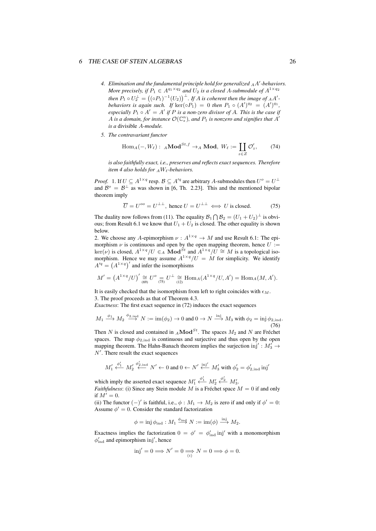- *4. Elimination and the fundamental principle hold for generalized <sup>A</sup>A ′ -behaviors. More precisely, if*  $P_1 \in A^{q_1 \times q_2}$  *and*  $U_2$  *is a closed A*-submodule of  $A^{1 \times q_2}$ *then*  $P_1 \circ U_2^{\perp} = ((\circ P_1)^{-1}(U_2))^{\perp}$ . If *A* is coherent then the image of <sub>A</sub>A' *behaviors is again such.* If  $\ker(\circ P_1) = 0$  *then*  $P_1 \circ (A')^{q_2} = (A')^{q_1}$ , *especially*  $P_1 \circ A' = A'$  *if*  $P$  *is a non-zero divisor of*  $A$ *. This is the case if A* is a domain, for instance  $\mathcal{O}(\mathbb{C}_s^n)$ , and  $P_1$  is nonzero and signifies that  $A'$ *is a* divisible *A-module.*
- *5. The contravariant functor*

$$
\text{Hom}_A(-,W_\ell): \ {}_A\textbf{Mod}^{St,f} \to_A \textbf{Mod}, \ W_\ell := \coprod_{z \in Z} \mathcal{O}'_z, \tag{74}
$$

*is also faithfully exact, i.e., preserves and reflects exact sequences. Therefore item 4 also holds for*  $_A W_\ell$ *-behaviors.* 

*Proof.* 1. If  $U \subseteq A^{1 \times q}$  resp.  $B \subseteq A'^q$  are arbitrary *A*-submodules then  $U^o = U^{\perp}$ and  $\mathcal{B}^{\circ} = \mathcal{B}^{\perp}$  as was shown in [6, Th. 2.23]. This and the mentioned bipolar theorem imply

$$
\overline{U} = U^{oo} = U^{\perp \perp}, \text{ hence } U = U^{\perp \perp} \iff U \text{ is closed.}
$$
 (75)

The duality now follows from (11). The equality  $B_1 \bigcap B_2 = (U_1 + U_2)^{\perp}$  is obvious; from Result 6.1 we know that  $U_1 + U_2$  is closed. The other equality is shown below.

2. We choose any *A*-epimorphism  $\nu : A^{1 \times q} \to M$  and use Result 6.1: The epimorphism  $\nu$  is continuous and open by the open mapping theorem, hence  $U :=$  $\ker(\nu)$  is closed,  $A^{1 \times q}/U \in A$  **Mod**<sup>*St*</sup> and  $A^{1 \times q}/U \cong M$  is a topological isomorphism. Hence we may assume  $A^{1 \times q}/U = M$  for simplicity. We identify  $A'^{q} = (A^{1 \times q})'$  and infer the isomorphisms

$$
M' = (A^{1 \times q}/U)' \cong U^{\circ} = U^{\perp} \cong \text{Hom}_{A}(A^{1 \times q}/U, A') = \text{Hom}_{A}(M, A').
$$

It is easily checked that the isomorphism from left to right coincides with  $\epsilon_M$ . 3. The proof proceeds as that of Theorem 4.3.

*Exactness*: The first exact sequence in (72) induces the exact sequences

$$
M_1 \xrightarrow{\phi_1} M_2 \xrightarrow{\phi_{2,\text{ind}}} N := \text{im}(\phi_2) \to 0 \text{ and } 0 \to N \xrightarrow{\text{inj}} M_3 \text{ with } \phi_2 = \text{inj } \phi_{2,\text{ind}}.
$$
\n(76)

Then *N* is closed and contained in *<sup>A</sup>***Mod***St*. The spaces *M*<sup>2</sup> and *N* are Fréchet spaces. The map  $\phi_{2,ind}$  is continuous and surjective and thus open by the open mapping theorem. The Hahn-Banach theorem implies the surjection inj' :  $M'_3 \rightarrow$ *N ′* . There result the exact sequences

$$
M'_1 \xleftarrow{\phi'_1} M'_2 \xleftarrow{\phi'_2, \text{ind}} N' \leftarrow 0 \text{ and } 0 \leftarrow N' \xleftarrow{\text{inj'}} M'_3 \text{ with } \phi'_2 = \phi'_{2, \text{ind}} \text{ inj'}
$$

which imply the asserted exact sequence  $M'_1 \stackrel{\phi'_1}{\longleftarrow} M'_2 \stackrel{\phi'_2}{\longleftarrow} M'_3$ . *Faithfulness*: (i) Since any Stein module *M* is a Fréchet space  $M = 0$  if and only

if  $M' = 0$ .

(ii) The functor  $(−)'$  is faithful, i.e.,  $\phi : M_1 \rightarrow M_2$  is zero if and only if  $\phi' = 0$ : Assume  $\phi' = 0$ . Consider the standard factorization

$$
\phi = \operatorname{inj} \phi_{\mathrm{ind}} : M_1 \stackrel{\phi_{\mathrm{ind}}}{\longrightarrow} N := \operatorname{im}(\phi) \stackrel{\operatorname{inj}}{\longrightarrow} M_2.
$$

Exactness implies the factorization  $0 = \phi' = \phi'_{\text{ind}}$  inj' with a monomorphism  $\phi'_{\text{ind}}$  and epimorphism inj', hence

$$
\text{inj}' = 0 \Longrightarrow N' = 0 \Longrightarrow N = 0 \Longrightarrow \phi = 0.
$$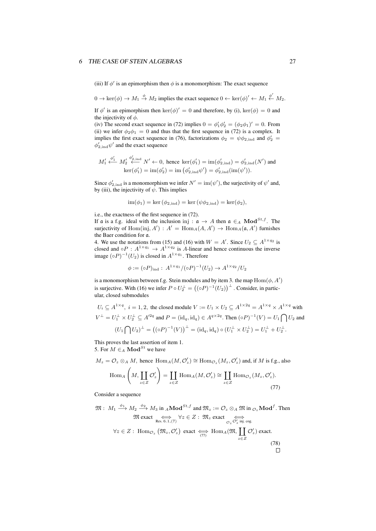(iii) If  $\phi'$  is an epimorphism then  $\phi$  is a monomorphism: The exact sequence

$$
0 \to \ker(\phi) \to M_1 \stackrel{\phi}{\to} M_2
$$
 implies the exact sequence  $0 \leftarrow \ker(\phi)' \leftarrow M_1 \stackrel{\phi'}{\leftarrow} M_2$ .

If  $\phi'$  is an epimorphism then ker $(\phi)' = 0$  and therefore, by (i), ker $(\phi) = 0$  and the injectivity of *ϕ*.

(iv) The second exact sequence in (72) implies  $0 = \phi'_1 \phi'_2 = (\phi_2 \phi_1)' = 0$ . From (ii) we infer  $\phi_2 \phi_1 = 0$  and thus that the first sequence in (72) is a complex. It implies the first exact sequence in (76), factorizations  $\phi_2 = \psi \phi_{2,\text{ind}}$  and  $\phi'_2 =$  $\phi'_{2, \text{ind}} \psi'$  and the exact sequence

$$
M'_1 \xleftarrow{\phi'_1} M'_2 \xleftarrow{\phi'_{2,\text{ind}}} N' \leftarrow 0, \text{ hence } \ker(\phi'_1) = \text{im}(\phi'_{2,\text{ind}}) = \phi'_{2,\text{ind}}(N') \text{ and } \ker(\phi'_1) = \text{im}(\phi'_2) = \text{im}(\phi'_{2,\text{ind}}\psi') = \phi'_{2,\text{ind}}(\text{im}(\psi')).
$$

Since  $\phi'_{2, \text{ind}}$  is a monomorphism we infer  $N' = \text{im}(\psi')$ , the surjectivity of  $\psi'$  and, by (iii), the injectivity of *ψ*. This implies

$$
im(\phi_1) = \ker(\phi_{2,ind}) = \ker(\psi \phi_{2,ind}) = \ker(\phi_2),
$$

i.e., the exactness of the first sequence in (72).

If a is a f.g. ideal with the inclusion inj :  $a \rightarrow A$  then  $a \in A$  Mod<sup>St, f</sup>. The surjectivity of  $Hom(inj, A') : A' = Hom_A(A, A') \rightarrow Hom_A(\mathfrak{a}, A')$  furnishes the Baer condition for a.

4. We use the notations from (15) and (16) with  $W = A'$ . Since  $U_2 \subseteq A^{1 \times q_2}$  is closed and  $\circ P : A^{1 \times q_1} \to A^{1 \times q_2}$  is *A*-linear and hence continuous the inverse image  $({\circ}P)^{-1}(U_2)$  is closed in  $A^{1 \times q_1}$ . Therefore

$$
\phi := (\circ P)_{\text{ind}} : A^{1 \times q_1} / (\circ P)^{-1}(U_2) \to A^{1 \times q_2} / U_2
$$

is a monomorphism between f.g. Stein modules and by item 3. the map  $\text{Hom}(\phi, A')$ is surjective. With (16) we infer  $P \circ U_2^{\perp} = ((\circ P)^{-1}(U_2))^{\perp}$ . Consider, in particular, closed submodules

$$
U_i \subseteq A^{1 \times q}, \ i = 1, 2, \text{ the closed module } V := U_1 \times U_2 \subseteq A^{1 \times 2q} = A^{1 \times q} \times A^{1 \times q} \text{ with}
$$
  

$$
V^{\perp} = U_1^{\perp} \times U_2^{\perp} \subseteq A'^{2q} \text{ and } P = (\text{id}_q, \text{id}_q) \in A^{q \times 2q}. \text{ Then } (\circ P)^{-1}(V) = U_1 \bigcap U_2 \text{ and}
$$
  

$$
(U_1 \bigcap U_2)^{\perp} = ((\circ P)^{-1}(V))^{\perp} = (\text{id}_q, \text{id}_q) \circ (U_1^{\perp} \times U_2^{\perp}) = U_1^{\perp} + U_2^{\perp}.
$$

This proves the last assertion of item 1. 5. For  $M \in A$  **Mod**<sup>*St*</sup> we have

$$
M_z = \mathcal{O}_z \otimes_A M
$$
, hence  $\text{Hom}_A(M, \mathcal{O}'_z) \cong \text{Hom}_{\mathcal{O}_z}(M_z, \mathcal{O}'_z)$  and, if M is f.g., also

$$
\text{Hom}_{A}\left(M,\coprod_{z\in Z}\mathcal{O}'_{z}\right) = \coprod_{z\in Z}\text{Hom}_{A}(M,\mathcal{O}'_{z}) \cong \coprod_{z\in Z}\text{Hom}_{\mathcal{O}_{z}}(M_{z},\mathcal{O}'_{z}).
$$
\n(77)

Consider a sequence

$$
\mathfrak{M}: M_1 \xrightarrow{\phi_1} M_2 \xrightarrow{\phi_2} M_3 \text{ in } {}_A \text{Mod}^{St, f} \text{ and } \mathfrak{M}_z := \mathcal{O}_z \otimes_A \mathfrak{M} \text{ in } \mathcal{O}_z \text{Mod}^f. \text{ Then}
$$
  

$$
\mathfrak{M} \text{ exact} \underset{\text{Res. 6.1},(7)}{\iff} \forall z \in Z : \mathfrak{M}_z \text{ exact} \underset{\mathcal{O}_z}{\iff} \mathcal{O}'_z \underset{z \in Z}{\iff} \text{Hom}_A(\mathfrak{M}, \coprod_{z \in Z} \mathcal{O}'_z) \text{ exact.}
$$
  

$$
\forall z \in Z : \text{Hom}_{\mathcal{O}_z} (\mathfrak{M}_z, \mathcal{O}'_z) \text{ exact} \underset{(77)}{\iff} \text{Hom}_A(\mathfrak{M}, \coprod_{z \in Z} \mathcal{O}'_z) \text{ exact.}
$$
  
(78)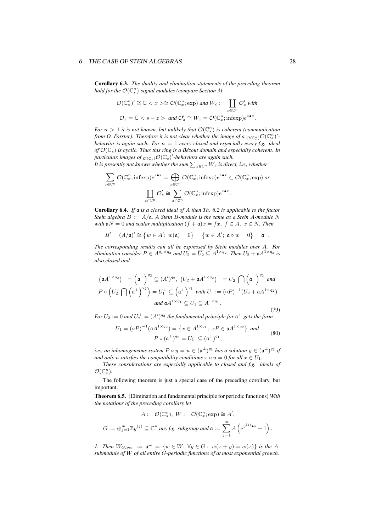Corollary 6.3. *The duality and elimination statements of the preceding theorem hold for the O*(C *n <sup>s</sup>* )*-signal modules (compare Section 3)*

$$
\mathcal{O}(\mathbb{C}_s^n)' \cong \mathbb{C} < x \geq \mathcal{O}(\mathbb{C}_x^n; \exp) \text{ and } W_\ell := \coprod_{z \in \mathbb{C}^n} \mathcal{O}_z' \text{ with}
$$
\n
$$
\mathcal{O}_z = \mathbb{C} < s - z > \text{ and } \mathcal{O}_z' \cong W_z = \mathcal{O}(\mathbb{C}_x^n; \text{infexp})e^{z \cdot \bullet x}.
$$

*For*  $n > 1$  *it is not known, but unlikely that*  $\mathcal{O}(\mathbb{C}_{s}^{n})$  *is coherent (communication*) *from O. Forster). Therefore it is not clear whether the image of a*  $_{\mathcal{O}(\mathbb{C}_{s}^{n})}$  $\mathcal{O}(\mathbb{C}_{s}^{n})'$ *. behavior is again such. For*  $n = 1$  *every closed and especially every f.g. ideal of O*(C*s*) *is cyclic. Thus this ring is a Bézout domain and especially coherent. In particular, images of*  $_{\mathcal{O}(\mathbb{C}_s)}\mathcal{O}(\mathbb{C}_s)'$ *-behaviors are again such.* 

*It is presently not known whether the sum*  $\sum_{z \in \mathbb{C}^n} W_z$  *<i>is direct, i.e., whether* 

$$
\sum_{z \in \mathbb{C}^n} \mathcal{O}(\mathbb{C}_x^n; \text{infexp})e^{z \bullet x} = \bigoplus_{z \in \mathbb{C}^n} \mathcal{O}(\mathbb{C}_x^n; \text{infexp})e^{z \bullet x} \subset \mathcal{O}(\mathbb{C}_x^n; \text{exp}) \text{ or }
$$

$$
\coprod_{z \in \mathbb{C}^n} \mathcal{O}'_z \cong \sum_{z \in \mathbb{C}^n} \mathcal{O}(\mathbb{C}_x^n; \text{infexp})e^{z \bullet x}.
$$

Corollary 6.4. *If* a *is a closed ideal of A then Th. 6.2 is applicable to the factor Stein algebra*  $B := A/\mathfrak{a}$ *. A Stein B-module is the same as a Stein A-module N with*  $aN = 0$  *and scalar multiplication*  $(f + a)x = fx, f \in A, x \in N$ *. Then* 

$$
B' = (A/\mathfrak{a})' \cong \{ w \in A'; w(\mathfrak{a}) = 0 \} = \{ w \in A'; \mathfrak{a} \circ w = 0 \} = \mathfrak{a}^{\perp}.
$$

*The corresponding results can all be expressed by Stein modules over A. For elimination consider*  $P \in A^{q_1 \times q_2}$  *and*  $U_2 = \overline{U_2} \subseteq A^{1 \times q_2}$ . *Then*  $U_2 + \mathfrak{a} A^{1 \times q_2}$  *is also closed and*

$$
\left(\mathfrak{a}A^{1\times q_{2}}\right)^{\perp}=\left(\mathfrak{a}^{\perp}\right)^{q_{2}}\subseteq (A')^{q_{2}},\ \left(U_{2}+\mathfrak{a}A^{1\times q_{2}}\right)^{\perp}=U_{2}^{\perp}\bigcap\left(\mathfrak{a}^{\perp}\right)^{q_{2}}\ and
$$
  
\n
$$
P\circ\left(U_{2}^{\perp}\bigcap\left(\mathfrak{a}^{\perp}\right)^{q_{2}}\right)=U_{1}^{\perp}\subseteq\left(\mathfrak{a}^{\perp}\right)^{q_{1}}\ \text{with}\ U_{1}:=(\circ P)^{-1}(U_{2}+\mathfrak{a}A^{1\times q_{2}})
$$
  
\nand  $\mathfrak{a}A^{1\times q_{1}}\subseteq U_{1}\subseteq A^{1\times q_{1}}.$  (79)

*For*  $U_2 := 0$  and  $U_2^{\perp} = (A')^{q_2}$  the fundamental principle for  $\mathfrak{a}^{\perp}$  gets the form

$$
U_1 = (\circ P)^{-1} (\mathfrak{a} A^{1 \times q_2}) = \left\{ x \in A^{1 \times q_1}; \ xP \in \mathfrak{a} A^{1 \times q_2} \right\} \text{ and}
$$
  
\n
$$
P \circ (\mathfrak{a}^\perp)^{q_2} = U_1^\perp \subseteq (\mathfrak{a}^\perp)^{q_1},
$$
\n(80)

*i.e., an inhomogeneous system*  $P \circ y = u \in (\mathfrak{a}^{\perp})^{q_1}$  *has a solution*  $y \in (\mathfrak{a}^{\perp})^{q_2}$  *if and only u satisfies the compatibility conditions*  $x \circ u = 0$  *for all*  $x \in U_1$ *.* 

*These considerations are especially applicable to closed and f.g. ideals of*  $\mathcal{O}(\mathbb{C}_s^n)$ .

The following theorem is just a special case of the preceding corollary, but important.

Theorem 6.5. (Elimination and fundamental principle for periodic functions) *With the notations of the preceding corollary let*

$$
A := \mathcal{O}(\mathbb{C}_s^n), \ W := \mathcal{O}(\mathbb{C}_x^n; \exp) \cong A',
$$
  

$$
G := \bigoplus_{j=1}^m \mathbb{Z}y^{(j)} \subseteq \mathbb{C}^n \text{ any } f.g. \text{ subgroup and } \mathfrak{a} := \sum_{j=1}^m A\left(e^{y^{(j)} \bullet s} - 1\right).
$$

*1. Then*  $W_{G,per} := \mathfrak{a}^{\perp} = \{w \in W; \forall y \in G: w(x+y) = w(x)\}$  is the A*submodule of W of all entire G-periodic functions of at most exponential growth.*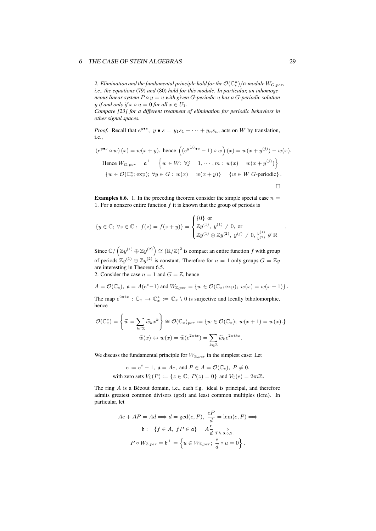2. Elimination and the fundamental principle hold for the  $\mathcal{O}(\mathbb{C}^n_s)/\mathfrak{a}$ -module  $W_{G,per}$ , *i.e., the equations* (79) *and* (80) *hold for this module. In particular, an inhomogeneous linear system*  $P \circ y = u$  *with given G*-periodic *u has a G*-periodic *solution y if and only if*  $x \circ u = 0$  *for all*  $x \in U_1$ .

*Compare [23] for a different treatment of elimination for periodic behaviors in other signal spaces.*

*Proof.* Recall that  $e^{y \bullet s}$ ,  $y \bullet s = y_1 s_1 + \cdots + y_n s_n$ , acts on *W* by translation, i.e.,

$$
(e^{y \bullet s} \circ w)(x) = w(x + y), \text{ hence } \left( (e^{y^{(j)} \bullet s} - 1) \circ w \right)(x) = w(x + y^{(j)}) - w(x).
$$
  
Hence  $W_{G,per} = \mathfrak{a}^{\perp} = \left\{ w \in W; \ \forall j = 1, \cdots, m: w(x) = w(x + y^{(j)}) \right\} =$   

$$
\left\{ w \in \mathcal{O}(\mathbb{C}_x^n; \text{exp}); \ \forall y \in G: w(x) = w(x + y) \right\} = \left\{ w \in W \text{ } G \text{-periodic} \right\}.
$$

**Examples 6.6.** 1. In the preceding theorem consider the simple special case  $n =$ 1. For a nonzero entire function *f* it is known that the group of periods is

$$
\{y \in \mathbb{C}; \ \forall z \in \mathbb{C} : f(z) = f(z + y)\} = \begin{cases} \{0\} \text{ or} \\ \mathbb{Z}y^{(1)}, y^{(1)} \neq 0, \text{ or} \\ \mathbb{Z}y^{(1)} \oplus \mathbb{Z}y^{(2)}, y^{(j)} \neq 0, \frac{y^{(1)}}{y^{(2)}} \notin \mathbb{R} \end{cases}
$$

 $\mathbb{R}^2$ 

Since  $\mathbb{C}/(\mathbb{Z}y^{(1)} \oplus \mathbb{Z}y^{(2)}) \cong (\mathbb{R}/\mathbb{Z})^2$  is compact an entire function *f* with group of periods  $\mathbb{Z}y^{(1)} \oplus \mathbb{Z}y^{(2)}$  is constant. Therefore for  $n = 1$  only groups  $G = \mathbb{Z}y$ are interesting in Theorem 6.5.

2. Consider the case  $n = 1$  and  $G = \mathbb{Z}$ , hence

$$
A = \mathcal{O}(\mathbb{C}_s), \ \mathfrak{a} = A(e^s - 1) \text{ and } W_{\mathbb{Z},per} = \{ w \in \mathcal{O}(\mathbb{C}_x; \exp); \ w(x) = w(x+1) \}.
$$

The map  $e^{2\pi ix}: \mathbb{C}_x \to \mathbb{C}_x^* := \mathbb{C}_x \setminus 0$  is surjective and locally biholomorphic, hence

$$
\mathcal{O}(\mathbb{C}_x^*) = \left\{ \widetilde{w} = \sum_{k \in \mathbb{Z}} \widetilde{w}_k x^k \right\} \cong \mathcal{O}(\mathbb{C}_x)_{per} := \{ w \in \mathcal{O}(\mathbb{C}_x); \ w(x+1) = w(x) . \}
$$

$$
\widetilde{w}(x) \leftrightarrow w(x) = \widetilde{w}(e^{2\pi ix}) = \sum_{k \in \mathbb{Z}} \widetilde{w}_k e^{2\pi i k x}.
$$

We discuss the fundamental principle for  $W_{\mathbb{Z},per}$  in the simplest case: Let

$$
e := es - 1, \mathfrak{a} = Ae, \text{ and } P \in A = \mathcal{O}(\mathbb{C}_s), P \neq 0,
$$
  
with zero sets  $V_{\mathbb{C}}(P) := \{ z \in \mathbb{C}; \ P(z) = 0 \}$  and  $V_{\mathbb{C}}(e) = 2\pi i \mathbb{Z}.$ 

The ring *A* is a Bézout domain, i.e., each f.g. ideal is principal, and therefore admits greatest common divisors (gcd) and least common multiples (lcm). In particular, let

$$
Ae + AP = Ad \Longrightarrow d = \gcd(e, P), \frac{eP}{d} = \text{lcm}(e, P) \Longrightarrow
$$

$$
\mathfrak{b} := \{ f \in A, \ fP \in \mathfrak{a} \} = A \frac{e}{d} \Longrightarrow_{\text{Th.6.5,2.}}
$$

$$
P \circ W_{\mathbb{Z}, per} = \mathfrak{b}^{\perp} = \left\{ u \in W_{\mathbb{Z}, per}; \ \frac{e}{d} \circ u = 0 \right\}.
$$

*.*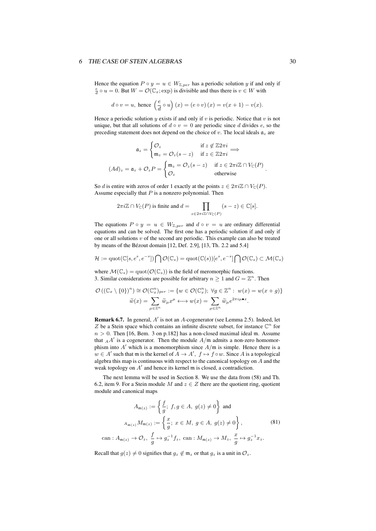Hence the equation  $P \circ y = u \in W_{\mathbb{Z},per}$  has a periodic solution *y* if and only if  $\frac{e}{d} \circ u = 0$ . But  $W = \mathcal{O}(\mathbb{C}_x; \exp)$  is divisible and thus there is  $v \in W$  with

$$
d \circ v = u
$$
, hence  $\left(\frac{e}{d} \circ u\right)(x) = (e \circ v)(x) = v(x+1) - v(x)$ .

Hence a periodic solution  $y$  exists if and only if  $v$  is periodic. Notice that  $v$  is not unique, but that all solutions of  $d \circ v = 0$  are periodic since *d* divides *e*, so the preceding statement does not depend on the choice of *v*. The local ideals a*<sup>z</sup>* are

$$
\mathfrak{a}_z = \begin{cases} \mathcal{O}_z & \text{if } z \notin \mathbb{Z} 2\pi i \\ \mathfrak{m}_z = \mathcal{O}_z (s - z) & \text{if } z \in \mathbb{Z} 2\pi i \end{cases} \Longrightarrow
$$

$$
(Ad)_z = \mathfrak{a}_z + \mathcal{O}_z P = \begin{cases} \mathfrak{m}_z = \mathcal{O}_z (s - z) & \text{if } z \in 2\pi i \mathbb{Z} \cap V_{\mathbb{C}}(P) \\ \mathcal{O}_z & \text{otherwise} \end{cases}.
$$

So *d* is entire with zeros of order 1 exactly at the points  $z \in 2\pi i\mathbb{Z} \cap V_{\mathbb{C}}(P)$ . Assume especially that *P* is a nonzero polynomial. Then

$$
2\pi i \mathbb{Z} \cap V_{\mathbb{C}}(P) \text{ is finite and } d = \prod_{z \in 2\pi i \mathbb{Z} \cap V_{\mathbb{C}}(P)} (s - z) \in \mathbb{C}[s].
$$

The equations  $P \circ y = u \in W_{\mathbb{Z},per}$  and  $d \circ v = u$  are ordinary differential equations and can be solved. The first one has a periodic solution if and only if one or all solutions *v* of the second are periodic. This example can also be treated by means of the Bézout domain [12, Def. 2.9], [13, Th. 2.2 and 5.4]

$$
\mathcal{H}:=\mathrm{quot}(\mathbb{C}[s,e^s,e^{-s}])\bigcap\mathcal{O}(\mathbb{C}_s)=\mathrm{quot}(\mathbb{C}(s))[e^s,e^{-s}]\bigcap\mathcal{O}(\mathbb{C}_s)\subset\mathcal{M}(\mathbb{C}_s)
$$

where  $\mathcal{M}(\mathbb{C}_s) = \text{quot}(\mathcal{O}(\mathbb{C}_s))$  is the field of meromorphic functions. 3. Similar considerations are possible for arbitrary  $n \geq 1$  and  $G = \mathbb{Z}^n$ . Then

$$
\mathcal{O}\left((\mathbb{C}_x \setminus \{0\})^n\right) \cong \mathcal{O}(\mathbb{C}_x^n)_{per} := \{w \in \mathcal{O}(\mathbb{C}_x^n); \ \forall g \in \mathbb{Z}^n : w(x) = w(x + g)\}
$$

$$
\widetilde{w}(x) = \sum_{\mu \in \mathbb{Z}^n} \widetilde{w}_{\mu} x^{\mu} \longleftrightarrow w(x) = \sum_{\mu \in \mathbb{Z}^n} \widetilde{w}_{\mu} e^{2\pi i \mu \bullet x}.
$$

Remark 6.7. In general, *A ′* is not an *A*-cogenerator (see Lemma 2.5). Indeed, let  $Z$  be a Stein space which contains an infinite discrete subset, for instance  $\mathbb{C}^n$  for  $n > 0$ . Then [16, Bem. 3 on p.182] has a non-closed maximal ideal m. Assume that  $_A A'$  is a cogenerator. Then the module  $A/\mathfrak{m}$  admits a non-zero homomorphism into  $A'$  which is a monomorphism since  $A/\mathfrak{m}$  is simple. Hence there is a *w* ∈ *A*<sup> $\prime$ </sup> such that m is the kernel of *A* → *A*<sup> $\prime$ </sup>, *f* → *f*  $\circ$ *w*. Since *A* is a topological algebra this map is continuous with respect to the canonical topology on *A* and the weak topology on *A ′* and hence its kernel m is closed, a contradiction.

The next lemma will be used in Section 8. We use the data from (58) and Th. 6.2, item 9. For a Stein module *M* and  $z \in Z$  there are the quotient ring, quotient module and canonical maps

$$
A_{\mathfrak{m}(z)} := \left\{ \frac{f}{g}; f, g \in A, g(z) \neq 0 \right\} \text{ and}
$$

$$
A_{\mathfrak{m}(z)} M_{\mathfrak{m}(z)} := \left\{ \frac{x}{g}; x \in M, g \in A, g(z) \neq 0 \right\}, \tag{81}
$$

$$
\text{can}: A_{\mathfrak{m}(z)} \to \mathcal{O}_z, \frac{f}{g} \mapsto g_z^{-1} f_z, \text{ can}: M_{\mathfrak{m}(z)} \to M_z, \frac{x}{g} \mapsto g_z^{-1} x_z.
$$

Recall that  $q(z) \neq 0$  signifies that  $q_z \notin \mathfrak{m}_z$  or that  $q_z$  is a unit in  $\mathcal{O}_z$ .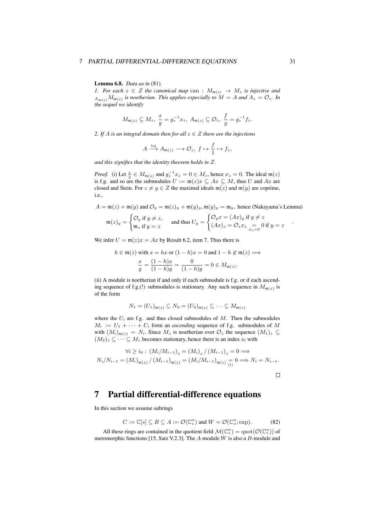Lemma 6.8. *Data as in* (81)*.*

*1. For each*  $z \in Z$  *the canonical map* can :  $M_{m(z)} \rightarrow M_z$  *is injective and*  $A_{\mathfrak{m}(z)}M_{\mathfrak{m}(z)}$  *is noetherian. This applies especially to*  $M = A$  *and*  $A_z = \mathcal{O}_z$ *. In the sequel we identify*

$$
M_{\mathfrak{m}(z)} \subseteq M_z
$$
,  $\frac{x}{g} = g_z^{-1} x_z$ ,  $A_{\mathfrak{m}(z)} \subseteq \mathcal{O}_z$ ,  $\frac{f}{g} = g_z^{-1} f_z$ .

2. If *A* is an integral domain then for all  $z \in Z$  there are the injections

$$
A \xrightarrow{\operatorname{inj}} A_{\mathfrak{m}(z)} \longrightarrow \mathcal{O}_z, \ f \mapsto \frac{f}{1} \mapsto f_z,
$$

*and this signifies that the identity theorem holds in Z.*

*Proof.* (i) Let  $\frac{x}{g} \in M_{\mathfrak{m}(z)}$  and  $g_z^{-1}x_z = 0 \in M_z$ , hence  $x_z = 0$ . The ideal  $\mathfrak{m}(z)$ is f.g. and so are the submodules  $U := \mathfrak{m}(z)x \subseteq Ax \subseteq M$ , thus *U* and *Ax* are closed and Stein. For  $z \neq y \in Z$  the maximal ideals  $\mathfrak{m}(z)$  and  $\mathfrak{m}(y)$  are coprime, i.e.,

$$
A = \mathfrak{m}(z) + \mathfrak{m}(y) \text{ and } \mathcal{O}_y = \mathfrak{m}(z)_y + \mathfrak{m}(y)_y, \mathfrak{m}(y)_y = \mathfrak{m}_y, \text{ hence (Nakayama's Lemma)}
$$

$$
\mathfrak{m}(z)_y = \begin{cases} \mathcal{O}_y \text{ if } y \neq z, \\ \text{ and thus } U_y = \begin{cases} \mathcal{O}_y x = (Ax)_y \text{ if } y \neq z \\ (Ax)^2 - \mathcal{O}_y x = 0 \text{ if } y = z \end{cases} \end{cases}
$$

$$
\mathfrak{m}(z)_y = \begin{cases} \mathcal{O}_y \text{ if } y \neq z, \\ \mathfrak{m}_z \text{ if } y = z \end{cases} \text{ and thus } U_y = \begin{cases} \mathcal{O}_y x = (Ax)_y \text{ if } y \neq z \\ (Ax)_z = \mathcal{O}_z x_z \underset{x_z = 0}{=} 0 \text{ if } y = z \end{cases}
$$

We infer  $U = m(z)x = Ax$  by Result 6.2, item 7. Thus there is

$$
h \in \mathfrak{m}(z) \text{ with } x = hx \text{ or } (1 - h)x = 0 \text{ and } 1 - h \notin \mathfrak{m}(z) \Longrightarrow
$$

$$
\frac{x}{g} = \frac{(1 - h)x}{(1 - h)g} = \frac{0}{(1 - h)g} = 0 \in M_{\mathfrak{m}(z)}.
$$

(ii) A module is noetherian if and only if each submodule is f.g. or if each ascending sequence of f.g.(!) submodules is stationary. Any such sequence in  $M_{m(z)}$  is of the form

$$
N_1=(U_1)_{\mathfrak{m}(z)}\subseteq N_2=(U_2)_{\mathfrak{m}(z)}\subseteq\cdots\subseteq M_{\mathfrak{m}(z)}
$$

where the  $U_i$  are f.g. and thus closed submodules of  $M$ . Then the submodules  $M_i := U_1 + \cdots + U_i$  form an *ascending* sequence of f.g. submodules of M with  $(M_i)_{\mathfrak{m}(z)} = N_i$ . Since  $M_z$  is noetherian over  $\mathcal{O}_z$  the sequence  $(M_1)_z \subseteq$  $(M_2)_z \subseteq \cdots \subseteq M_z$  becomes stationary, hence there is an index  $i_0$  with

$$
\forall i \ge i_0 : (M_i / M_{i-1})_z = (M_i)_z / (M_{i-1})_z = 0 \Longrightarrow
$$
  

$$
N_i / N_{i-1} = (M_i)_{\mathfrak{m}(z)} / (M_{i-1})_{\mathfrak{m}(z)} = (M_i / M_{i-1})_{\mathfrak{m}(z)} \underset{(i)}{=} 0 \Longrightarrow N_i = N_{i-1}.
$$

 $\Box$ 

# 7 Partial differential-difference equations

In this section we assume subrings

$$
C := \mathbb{C}[s] \subseteq B \subseteq A := \mathcal{O}(\mathbb{C}_s^n) \text{ and } W = \mathcal{O}(\mathbb{C}_x^n; \text{exp}).
$$
 (82)

All these rings are contained in the quotient field  $\mathcal{M}(\mathbb{C}_s^n) = \text{quot}(\mathcal{O}(\mathbb{C}_s^n))$  of meromorphic functions [15, Satz V.2.3]. The *A*-module *W* is also a *B*-module and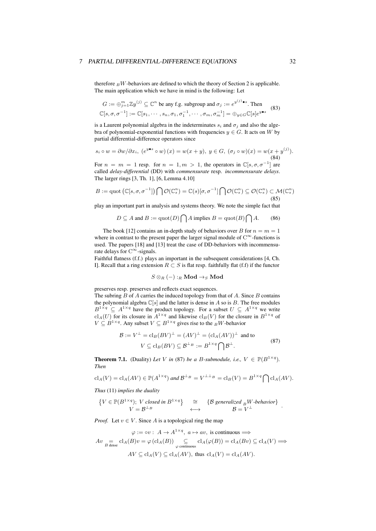therefore  $\frac{B}{B}W$ -behaviors are defined to which the theory of Section 2 is applicable. The main application which we have in mind is the following: Let

$$
G := \bigoplus_{j=1}^{m} \mathbb{Z}y^{(j)} \subseteq \mathbb{C}^n \text{ be any f.g. subgroup and } \sigma_j := e^{y^{(j)} \bullet s}. \text{ Then}
$$
  

$$
\mathbb{C}[s, \sigma, \sigma^{-1}] := \mathbb{C}[s_1, \cdots, s_n, \sigma_1, \sigma_1^{-1}, \cdots, \sigma_m, \sigma_m^{-1}] = \bigoplus_{y \in G} \mathbb{C}[s]e^{y \bullet s}
$$
(83)

is a Laurent polynomial algebra in the indeterminates  $s_i$  and  $\sigma_j$  and also the algebra of polynomial-exponential functions with frequencies  $y \in G$ . It acts on *W* by partial differential-difference operators since

$$
s_i \circ w = \partial w / \partial x_i, \ (e^{y \bullet s} \circ w)(x) = w(x+y), \ y \in G, \ (\sigma_j \circ w)(x) = w(x+y^{(j)}).
$$
\n
$$
(84)
$$

For  $n = m = 1$  resp. for  $n = 1, m > 1$ , the operators in  $\mathbb{C}[s, \sigma, \sigma^{-1}]$  are called *delay-differential* (DD) with *commensurate* resp. *incommensurate delays*. The larger rings [3, Th. 1], [6, Lemma 4.10]

$$
B := \text{quot} \left( \mathbb{C}[s, \sigma, \sigma^{-1}] \right) \bigcap \mathcal{O}(\mathbb{C}_s^n) = \mathbb{C}(s)[\sigma, \sigma^{-1}] \bigcap \mathcal{O}(\mathbb{C}_s^n) \subseteq \mathcal{O}(\mathbb{C}_s^n) \subset \mathcal{M}(\mathbb{C}_s^n)
$$
\n(85)

play an important part in analysis and systems theory. We note the simple fact that

$$
D \subseteq A \text{ and } B := \text{quot}(D) \bigcap A \text{ implies } B = \text{quot}(B) \bigcap A. \tag{86}
$$

The book [12] contains an in-depth study of behaviors over *B* for  $n = m = 1$ where in contrast to the present paper the larger signal module of  $C^{\infty}$ -functions is used. The papers [18] and [13] treat the case of DD-behaviors with incommensurate delays for C *<sup>∞</sup>*-signals.

Faithful flatness (f.f.) plays an important in the subsequent considerations [4, Ch. I]. Recall that a ring extension *R*  $\subset$  *S* is flat resp. faithfully flat (f.f) if the functor

$$
S\otimes_R (-):_R\mathbf{Mod}\to_S\mathbf{Mod}
$$

preserves resp. preserves and reflects exact sequences.

The subring *B* of *A* carries the induced topology from that of *A*. Since *B* contains the polynomial algebra  $\mathbb{C}[s]$  and the latter is dense in *A* so is *B*. The free modules  $B^{1 \times q} \subseteq A^{1 \times q}$  have the product topology. For a subset  $U \subseteq A^{1 \times q}$  we write  $\operatorname{cl}_A(U)$  for its closure in  $A^{1 \times q}$  and likewise  $\operatorname{cl}_B(V)$  for the closure in  $B^{1 \times q}$  of *V* ⊆ *B*<sup>1×*q*</sup>. Any subset *V* ⊆ *B*<sup>1×*q*</sup></sub> gives rise to the *BW*-behavior

$$
\mathcal{B} := V^{\perp} = \mathrm{cl}_{B}(BV)^{\perp} = (AV)^{\perp} = (\mathrm{cl}_{A}(AV))^{\perp} \text{ and to}
$$
  
\n
$$
V \subseteq \mathrm{cl}_{B}(BV) \subseteq \mathcal{B}^{\perp_{B}} := B^{1 \times q} \cap \mathcal{B}^{\perp}.
$$
 (87)

**Theorem 7.1.** (Duality) Let V in (87) be a *B*-submodule, i.e.,  $V \in \mathbb{P}(B^{1 \times q})$ . *Then*

$$
\mathrm{cl}_A(V) = \mathrm{cl}_A(AV) \in \mathbb{P}(A^{1 \times q}) \text{ and } \mathcal{B}^{\perp_B} = V^{\perp \perp_B} = \mathrm{cl}_B(V) = B^{1 \times q} \bigcap \mathrm{cl}_A(AV).
$$

*Thus* (11) *implies the duality*

$$
\begin{array}{ccc}\n\{V \in \mathbb{P}(B^{1 \times q});\ V \text{ closed in } B^{1 \times q}\} & \cong & \{\mathcal{B} \text{ generalized }_B W \text{-behavior}\}\\
V = \mathcal{B}^{\perp_B} & \longleftrightarrow & \mathcal{B} = V^{\perp}\n\end{array}.
$$

*Proof.* Let  $v \in V$ . Since *A* is a topological ring the map

$$
\varphi := \circ v : A \to A^{1 \times q}, \ a \mapsto av, \text{ is continuous} \Longrightarrow
$$
  
\n
$$
Av \underset{B \text{ dense}}{=} cl_A(B)v = \varphi(cl_A(B)) \underset{\varphi \text{ continuous}}{\subseteq} cl_A(\varphi(B)) = cl_A(Bv) \subseteq cl_A(V) \Longrightarrow
$$
  
\n
$$
AV \subseteq cl_A(V) \subseteq cl_A(AV), \text{ thus } cl_A(V) = cl_A(AV).
$$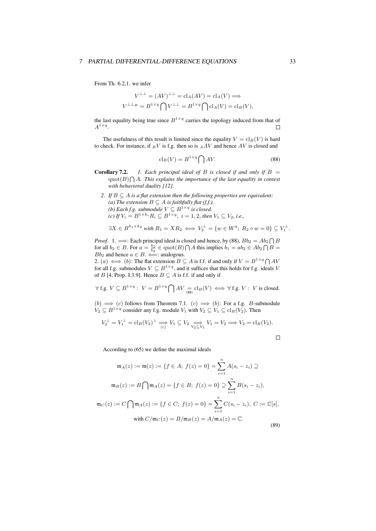From Th. 6.2,1. we infer

$$
V^{\perp\perp} = (AV)^{\perp\perp} = \text{cl}_A(AV) = \text{cl}_A(V) \Longrightarrow
$$
  

$$
V^{\perp\perp_B} = B^{1 \times q} \bigcap V^{\perp\perp} = B^{1 \times q} \bigcap \text{cl}_A(V) = \text{cl}_B(V),
$$

the last equality being true since  $B^{1\times q}$  carries the topology induced from that of  $A^{1\times q}$ .  $\Box$ 

The usefulness of this result is limited since the equality  $V = \text{cl}_B(V)$  is hard to check. For instance, if *<sup>B</sup>V* is f.g. then so is *<sup>A</sup>AV* and hence *AV* is closed and

$$
\operatorname{cl}_B(V) = B^{1 \times q} \bigcap AV. \tag{88}
$$

- **Corollary 7.2.** *1. Each principal ideal of B is closed if and only if*  $B =$  $\text{quot}(B) \bigcap A$ *. This explains the importance of the last equality in context with behavioral duality [12].*
	- *2. If*  $B \subseteq A$  *is a flat extension then the following properties are equivalent: (a) The extension*  $B \subseteq A$  *is faithfully flat (f.f.). (b)* Each f.g. submodule  $V \subseteq B^{1 \times q}$  is closed. *(c) If*  $V_i = B^{1 \times k_i} R_i$  ⊆  $B^{1 \times q}$ ,  $i = 1, 2$ , *then*  $V_1$  ⊆  $V_2$ , *i.e.*,

$$
\exists X \in B^{k_1 \times k_2} \text{ with } R_1 = X R_2 \iff V_2^{\perp} = \{ w \in W^q; R_2 \circ w = 0 \} \subseteq V_1^{\perp}.
$$

*Proof.* 1.  $\implies$ : Each principal ideal is closed and hence, by (88),  $Bb_2 = Ab_2 \cap B$ for all  $b_2 \in B$ . For  $a = \frac{b_1}{b_2} \in \text{quot}(B) \cap A$  this implies  $b_1 = ab_2 \in Ab_2 \cap B$ *Bb*<sub>2</sub> and hence  $a \in B$ .  $\Longleftarrow$ : analogous.

2. (*a*)  $\iff$  (*b*): The flat extension  $B \subseteq A$  is f.f. if and only if  $V = B^{1 \times q} \cap A V$ for all f.g. submodules  $V \subseteq B^{1 \times q}$ , and it suffices that this holds for f.g. ideals *V* of *B* [4, Prop. I.3.9]. Hence  $B \subseteq A$  is f.f. if and only if

$$
\forall f.g. V \subseteq B^{1 \times q} : V = B^{1 \times q} \bigcap AV =_{(88)} cl_B(V) \iff \forall f.g. V : V \text{ is closed.}
$$

(*b*) =*⇒* (*c*) follows from Theorem 7.1. (*c*) =*⇒* (*b*): For a f.g. *B*-submodule *V*<sub>2</sub>  $\subseteq$  *B*<sup>1×*q*</sup> consider any f.g. module *V*<sub>1</sub> with *V*<sub>2</sub>  $\subseteq$  *V*<sub>1</sub>  $\subseteq$  cl<sub>*B*</sub>(*V*<sub>2</sub>). Then

$$
V_2^{\perp} = V_1^{\perp} = \mathcal{C}l_B(V_2)^{\perp} \Longrightarrow V_1 \subseteq V_2 \Longrightarrow V_2 \Longrightarrow V_1 = V_2 \Longrightarrow V_2 = \mathcal{C}l_B(V_2).
$$

 $\Box$ 

According to (65) we define the maximal ideals

$$
\mathfrak{m}_A(z) := \mathfrak{m}(z) := \{ f \in A; \ f(z) = 0 \} = \sum_{i=1}^n A(s_i - z_i) \supseteq
$$

$$
\mathfrak{m}_B(z) := B \bigcap \mathfrak{m}_A(z) = \{ f \in B; \ f(z) = 0 \} \supseteq \sum_{i=1}^n B(s_i - z_i),
$$

$$
\mathfrak{m}_C(z) := C \bigcap \mathfrak{m}_A(z) := \{ f \in C; \ f(z) = 0 \} = \sum_{i=1}^n C(s_i - z_i), \ C := \mathbb{C}[s],
$$

$$
\text{with } C/\mathfrak{m}_C(z) = B/\mathfrak{m}_B(z) = A/\mathfrak{m}_A(z) = \mathbb{C}.
$$
(89)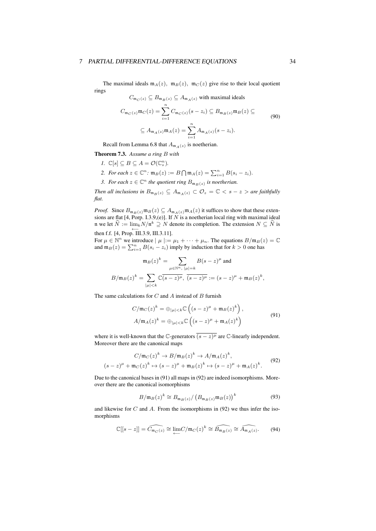The maximal ideals  $m_A(z)$ ,  $m_B(z)$ ,  $m_C(z)$  give rise to their local quotient rings

$$
C_{\mathfrak{m}_C(z)} \subseteq B_{\mathfrak{m}_B(z)} \subseteq A_{\mathfrak{m}_A(z)}
$$
 with maximal ideals
$$
C_{\mathfrak{m}_C(z)} \mathfrak{m}_C(z) = \sum_{i=1}^n C_{\mathfrak{m}_C(z)} (s - z_i) \subseteq B_{\mathfrak{m}_B(z)} \mathfrak{m}_B(z) \subseteq
$$

$$
\subseteq A_{\mathfrak{m}_A(z)} \mathfrak{m}_A(z) = \sum_{i=1}^n A_{\mathfrak{m}_A(z)} (s - z_i).
$$
(90)

Recall from Lemma 6.8 that  $A_{m_A(z)}$  is noetherian.

- Theorem 7.3. *Assume a ring B with*
	- *I*.  $\mathbb{C}[s] \subseteq B \subseteq A = \mathcal{O}(\mathbb{C}_s^n)$ *.*
	- *2. For each*  $z \in \mathbb{C}^n$ :  $\mathfrak{m}_B(z) := B \bigcap \mathfrak{m}_A(z) = \sum_{i=1}^n B(s_i z_i)$ *.*
	- *3. For each*  $z \in \mathbb{C}^n$  *the quotient ring*  $B_{\mathfrak{m}_B(z)}$  *is noetherian.*

*Then all inclusions in*  $B_{\mathfrak{m}_B(z)} \subseteq A_{\mathfrak{m}_A(z)} \subset \mathcal{O}_z = \mathbb{C} \langle z - z \rangle$  *are faithfully flat.*

*Proof.* Since  $B_{\mathfrak{m}_B(z)} \mathfrak{m}_B(z) \subseteq A_{\mathfrak{m}_A(z)} \mathfrak{m}_A(z)$  it suffices to show that these extensions are flat [4, Porp. I.3.9,(e)]. If *N* is a noetherian local ring with maximal ideal n we let  $\hat{N} := \lim_{k} N/n^k \supseteq N$  denote its completion. The extension  $N \subseteq \hat{N}$  is then f.f.  $[4, Prop. III.3.9, III.3.11]$ .

For  $\mu \in \mathbb{N}^n$  we introduce  $|\mu| := \mu_1 + \cdots + \mu_n$ . The equations  $B/\mathfrak{m}_B(z) = \mathbb{C}$ and  $\mathfrak{m}_B(z) = \sum_{i=1}^n B(s_i - z_i)$  imply by induction that for  $k > 0$  one has

$$
\mathfrak{m}_B(z)^k = \sum_{\mu \in \mathbb{N}^n, |\mu| = k} B(s - z)^{\mu} \text{ and}
$$
  

$$
B/\mathfrak{m}_B(z)^k = \sum_{|\mu| < k} \mathbb{C}\overline{(s - z)^{\mu}}, \ \overline{(s - z)^{\mu}} := (s - z)^{\mu} + \mathfrak{m}_B(z)^k,
$$

The same calculations for *C* and *A* instead of *B* furnish

(*s − z*)

$$
C/\mathfrak{m}_C(z)^k = \bigoplus_{|\mu| < k} \mathbb{C}\left( (s-z)^{\mu} + \mathfrak{m}_B(z)^k \right),
$$
\n
$$
A/\mathfrak{m}_A(z)^k = \bigoplus_{|\mu| < k} \mathbb{C}\left( (s-z)^{\mu} + \mathfrak{m}_A(z)^k \right)
$$
\n
$$
(91)
$$

where it is well-known that the  $\mathbb{C}$ -generators  $(s - z)^{\mu}$  are  $\mathbb{C}$ -linearly independent. Moreover there are the canonical maps

$$
C/\mathfrak{m}_C(z)^k \to B/\mathfrak{m}_B(z)^k \to A/\mathfrak{m}_A(z)^k,
$$
  

$$
-z)^{\mu} + \mathfrak{m}_C(z)^k \mapsto (s-z)^{\mu} + \mathfrak{m}_B(z)^k \mapsto (s-z)^{\mu} + \mathfrak{m}_A(z)^k.
$$
 (92)

Due to the canonical bases in (91) all maps in (92) are indeed isomorphisms. Moreover there are the canonical isomorphisms

$$
B/\mathfrak{m}_B(z)^k \cong B_{\mathfrak{m}_B(z)}/\left(B_{\mathfrak{m}_B(z)}\mathfrak{m}_B(z)\right)^k
$$
 (93)

and likewise for *C* and *A*. From the isomorphisms in (92) we thus infer the isomorphisms

$$
\mathbb{C}[[s-z]] = \widehat{C_{\mathfrak{m}_C(z)}} \cong \lim_{\longleftarrow} C/\mathfrak{m}_C(z)^k \cong \widehat{B_{\mathfrak{m}_B(z)}} \cong \widehat{A_{\mathfrak{m}_A(z)}}. \tag{94}
$$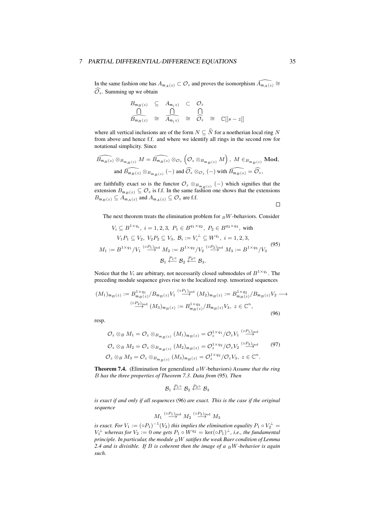In the same fashion one has  $A_{m_A(z)} \subset \mathcal{O}_z$  and proves the isomorphism  $\widehat{A_{m_A(z)}} \cong \mathcal{O}_z$  $\widehat{\mathcal{O}_z}$ . Summing up we obtain

$$
B_{\mathfrak{m}_B(z)} \subseteq A_{\mathfrak{m}_\mathbb{Z}} \subset \mathcal{O}_z
$$
  

$$
\overbrace{B_{\mathfrak{m}_B(z)}}^{\bigcap} \cong \overbrace{A_{\mathfrak{m}_\mathbb{Z}}^{\bigcap}}^{\bigcap} \cong \overbrace{\mathcal{O}_z}^{\bigcap} \cong \mathbb{C}[[s-z]]
$$

where all vertical inclusions are of the form  $N \subseteq \widehat{N}$  for a noetherian local ring *N* from above and hence f.f. and where we identify all rings in the second row for notational simplicity. Since

$$
\widehat{B_{\mathfrak{m}_B(z)}} \otimes_{B_{\mathfrak{m}_B(z)}} M = \widehat{B_{\mathfrak{m}_B(z)}} \otimes_{\mathcal{O}_z} (\mathcal{O}_z \otimes_{B_{\mathfrak{m}_B(z)}} M), M \in_{B_{\mathfrak{m}_B(z)}} \text{Mod},
$$
  
and  $\widehat{B_{\mathfrak{m}_B(z)}} \otimes_{B_{\mathfrak{m}_B(z)}} (-)$  and  $\widehat{O}_z \otimes_{\mathcal{O}_z} (-)$  with  $\widehat{B_{\mathfrak{m}_B(z)}} = \widehat{O}_z$ ,

are faithfully exact so is the functor  $\mathcal{O}_z \otimes_{B_{\mathfrak{m}_B}(z)} (-)$  which signifies that the extension  $B_{\mathfrak{m}_B(z)} \subseteq \mathcal{O}_z$  is f.f. In the same fashion one shows that the extensions  $B_{\mathfrak{m}_B(z)} \subseteq A_{\mathfrak{m}_A(z)}$  and  $A_{\mathfrak{m}_A(z)} \subseteq \mathcal{O}_z$  are f.f.  $\Box$ 

The next theorem treats the elimination problem for  $\frac{B}{B}$ *W*-behaviors. Consider

$$
V_i \subseteq B^{1 \times q_i}, \ i = 1, 2, 3, \ P_1 \in B^{q_1 \times q_2}, \ P_2 \in B^{q_2 \times q_3}, \text{ with}
$$

$$
V_1 P_1 \subseteq V_2, \ V_2 P_2 \subseteq V_3, \ B_i := V_i^{\perp} \subseteq W^{q_i}, \ i = 1, 2, 3,
$$

$$
M_1 := B^{1 \times q_1} / V_1 \stackrel{(o_{1})_{\text{ind}}}{\longrightarrow} M_2 := B^{1 \times q_2} / V_2 \stackrel{(o_{2})_{\text{ind}}}{\longrightarrow} M_3 := B^{1 \times q_3} / V_3
$$

$$
\beta_1 \stackrel{P_1 o}{\longleftrightarrow} \beta_2 \stackrel{P_2 o}{\longleftrightarrow} \beta_3.
$$

$$
(95)
$$

Notice that the  $V_i$  are arbitrary, not necessarily closed submodules of  $B^{1 \times q_i}$ . The preceding module sequence gives rise to the localized resp. tensorized sequences

$$
(M_1)_{\mathfrak{m}_B(z)} := B_{\mathfrak{m}_B(z)}^{1 \times q_1} / B_{\mathfrak{m}_B(z)} V_1 \stackrel{(oP_1)_{\text{ind}}}{\longrightarrow} (M_2)_{\mathfrak{m}_B(z)} := B_{\mathfrak{m}_B(z)}^{1 \times q_2} / B_{\mathfrak{m}_B(z)} V_2 \longrightarrow
$$
  

$$
\stackrel{(oP_2)_{\text{ind}}}{\longrightarrow} (M_3)_{\mathfrak{m}_B(z)} := B_{\mathfrak{m}_B(z)}^{1 \times q_3} / B_{\mathfrak{m}_B(z)} V_3, \ z \in \mathbb{C}^n,
$$
 (96)

resp.

$$
\mathcal{O}_z \otimes_B M_1 = \mathcal{O}_z \otimes_{B_{\mathfrak{m}_B(z)}} (M_1)_{\mathfrak{m}_B(z)} = \mathcal{O}_z^{1 \times q_1} / \mathcal{O}_z V_1 \stackrel{(oP_1)_{\text{ind}}}{\longrightarrow}
$$
  

$$
\mathcal{O}_z \otimes_B M_2 = \mathcal{O}_z \otimes_{B_{\mathfrak{m}_B(z)}} (M_2)_{\mathfrak{m}_B(z)} = \mathcal{O}_z^{1 \times q_2} / \mathcal{O}_z V_2 \stackrel{(oP_2)_{\text{ind}}}{\longrightarrow} (97)
$$
  

$$
\mathcal{O}_z \otimes_B M_3 = \mathcal{O}_z \otimes_{B_{\mathfrak{m}_B(z)}} (M_3)_{\mathfrak{m}_B(z)} = \mathcal{O}_z^{1 \times q_3} / \mathcal{O}_z V_3, z \in \mathbb{C}^n.
$$

Theorem 7.4. (Elimination for generalized *<sup>B</sup>W*-behaviors) *Assume that the ring B has the three properties of Theorem 7.3. Data from* (95)*. Then*

$$
\mathcal{B}_1 \stackrel{P_1 \circ}{\longleftarrow} \mathcal{B}_2 \stackrel{P_2 \circ}{\longleftarrow} \mathcal{B}_3
$$

*is exact if and only if all sequences* (96) *are exact. This is the case if the original sequence*

$$
M_1 \stackrel{(\circ P_1)_{\text{ind}}}{\longrightarrow} M_2 \stackrel{(\circ P_2)_{\text{ind}}}{\longrightarrow} M_3
$$

*is exact. For*  $V_1 := (\circ P_1)^{-1}(V_2)$  *this implies the elimination equality*  $P_1 \circ V_2^{\perp} =$  $V_1^{\perp}$  *whereas for*  $V_2 := 0$  *one gets*  $P_1 \circ W^{q_2} = \text{ker}(\circ P_1)^{\perp}$ *, i.e., the fundamental principle. In particular, the module <sup>B</sup>W satifies the weak Baer condition of Lemma 2.4 and is divisible. If B is coherent then the image of a <sup>B</sup>W-behavior is again such.*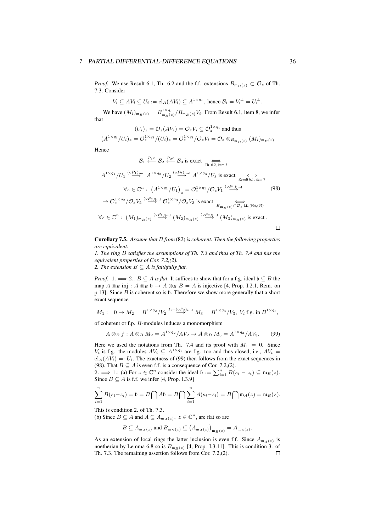*Proof.* We use Result 6.1, Th. 6.2 and the f.f. extensions  $B_{\mathfrak{m}_B(z)} \subset \mathcal{O}_z$  of Th. 7.3. Consider

$$
V_i \subseteq AV_i \subseteq U_i := \mathrm{cl}_A(AV_i) \subseteq A^{1 \times q_i}, \text{ hence } \mathcal{B}_i = V_i^{\perp} = U_i^{\perp}.
$$

We have  $(M_i)_{\mathfrak{m}_B(z)} = B_{\mathfrak{m}_B(z)}^{1 \times q_i} / B_{\mathfrak{m}_B(z)} V_i$ . From Result 6.1, item 8, we infer that

$$
(U_i)_z = \mathcal{O}_z(AV_i) = \mathcal{O}_z V_i \subseteq \mathcal{O}_z^{1 \times q_i}
$$
 and thus

$$
(A^{1\times q_i}/U_i)_z = \mathcal{O}_z^{1\times q_i}/(U_i)_z = \mathcal{O}_z^{1\times q_i}/\mathcal{O}_zV_i = \mathcal{O}_z \otimes_{B_{\mathfrak{m}_B(z)}} (M_i)_{\mathfrak{m}_B(z)}
$$

Hence

$$
\mathcal{B}_{1} \xleftarrow{P_{1} \circ \mathcal{B}_{2}} \mathcal{B}_{3} \text{ is exact} \xrightarrow{\longleftrightarrow}_{\text{Th. 6.2, item 3}} \mathcal{A}^{1 \times q_{1}} / U_{1} \xrightarrow{(o_{1})_{ind}} A^{1 \times q_{2}} / U_{2} \xrightarrow{(o_{2})_{ind}} A^{1 \times q_{3}} / U_{3} \text{ is exact} \xrightarrow{\longleftrightarrow}_{\text{Result 6.1, item 7}} \mathcal{V}_{z} \in \mathbb{C}^{n}: \left(A^{1 \times q_{1}} / U_{1}\right)_{z} = \mathcal{O}_{z}^{1 \times q_{1}} / \mathcal{O}_{z} V_{1} \xrightarrow{(o_{1})_{ind}} \mathcal{O}_{z}^{1 \times q_{2}} / \mathcal{O}_{z} V_{2} \xrightarrow{(o_{2})_{ind}} \mathcal{O}_{z}^{1 \times q_{3}} / \mathcal{O}_{z} V_{3} \text{ is exact} \xrightarrow{\longleftrightarrow}_{\text{B}_{m_{B}(z)} \subset \mathcal{O}_{z} \text{ ff.}, (96), (97)} \mathcal{V}_{z} \in \mathbb{C}^{n}: \left(M_{1}\right)_{m_{B}(z)} \xrightarrow{(o_{1})_{ind}} \left(M_{2}\right)_{m_{B}(z)} \xrightarrow{(o_{2})_{ind}} \left(M_{3}\right)_{m_{B}(z)} \text{ is exact}.
$$

 $\Box$ 

Corollary 7.5. *Assume that B from* (82) *is coherent. Then the following properties are equivalent:*

*1. The ring B satisfies the assumptions of Th. 7.3 and thus of Th. 7.4 and has the equivalent properties of Cor. 7.2,(2).*

*2. The extension*  $B \subseteq A$  *is faithfully flat.* 

*Proof.* 1.  $\implies$  2*.*: *B*  $\subseteq$  *A is flat*: It suffices to show that for a f.g. ideal  $\mathfrak{b} \subseteq B$  the map  $A \otimes_B \text{inj}: A \otimes_B \mathfrak{b} \to A \otimes_B B = A$  is injective [4, Prop. I.2.1, Rem. on p.13]. Since *B* is coherent so is b. Therefore we show more generally that a short exact sequence

$$
M_1 := 0 \to M_2 = B^{1 \times q_2} / V_2 \xrightarrow{f := (0, P_2)_{\text{ind}}} M_3 = B^{1 \times q_3} / V_3
$$
,  $V_i$  f.g. in  $B^{1 \times q_i}$ ,

of coherent or f.p. *B*-modules induces a monomorphism

$$
A \otimes_B f : A \otimes_B M_2 = A^{1 \times q_2} / A V_2 \to A \otimes_B M_3 = A^{1 \times q_3} / A V_3. \tag{99}
$$

Here we used the notations from Th. 7.4 and its proof with  $M_1 = 0$ . Since *V<sub>i</sub>* is f.g. the modules  $AV_i \subseteq A^{1 \times q_i}$  are f.g. too and thus closed, i.e.,  $AV_i =$  $cl_A(AV_i) =: U_i$ . The exactness of (99) then follows from the exact sequences in (98). That  $B \subseteq A$  is even f.f. is a consequence of Cor. 7.2,(2).

2*.*  $\implies$  1*.*: (a) For  $z \in \mathbb{C}^n$  consider the ideal  $\mathfrak{b} := \sum_{i=1}^n B(s_i - z_i) \subseteq \mathfrak{m}_B(z)$ . Since  $B \subseteq A$  is f.f. we infer [4, Prop. I.3.9]

$$
\sum_{i=1}^n B(s_i - z_i) = \mathfrak{b} = B \bigcap A\mathfrak{b} = B \bigcap \sum_{i=1}^n A(s_i - z_i) = B \bigcap \mathfrak{m}_A(z) = \mathfrak{m}_B(z).
$$

This is condition 2. of Th. 7.3.

(b) Since  $B \subseteq A$  and  $A \subseteq A_{m_A(z)}$ ,  $z \in \mathbb{C}^n$ , are flat so are

 $B \subseteq A_{\mathfrak{m}_A(z)}$  and  $B_{\mathfrak{m}_B(z)} \subseteq (A_{\mathfrak{m}_A(z)})_{\mathfrak{m}_B(z)} = A_{\mathfrak{m}_A(z)}$ .

As an extension of local rings the latter inclusion is even f.f. Since  $A_{m_A(z)}$  is noetherian by Lemma 6.8 so is  $B_{\mathfrak{m}_B(z)}$  [4, Prop. I.3.11]. This is condition 3. of Th. 7.3. The remaining assertion follows from Cor. 7.2.(2). Th. 7.3. The remaining assertion follows from Cor. 7.2,(2).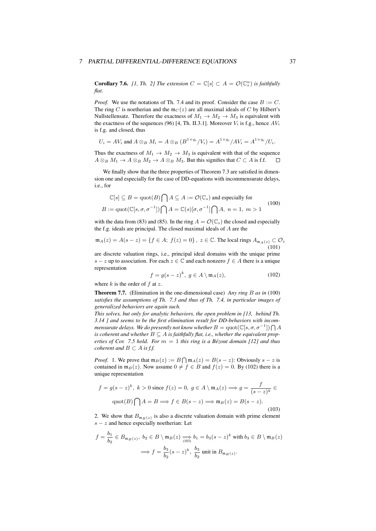**Corollary 7.6.** *[1, Th. 2] The extension*  $C = \mathbb{C}[s] \subset A = \mathcal{O}(\mathbb{C}_s^n)$  *is faithfully flat.*

*Proof.* We use the notations of Th. 7.4 and its proof. Consider the case  $B := C$ . The ring *C* is noetherian and the  $m_C(z)$  are all maximal ideals of *C* by Hilbert's Nullstellensatz. Therefore the exactness of  $M_1 \rightarrow M_2 \rightarrow M_3$  is equivalent with the exactness of the sequences (96) [4, Th. II.3.1]. Moreover  $V_i$  is f.g., hence  $AV_i$ is f.g. and closed, thus

$$
U_i = AV_i \text{ and } A \otimes_B M_i = A \otimes_B (B^{1 \times q_i} / V_i) = A^{1 \times q_i} / AV_i = A^{1 \times q_i} / U_i.
$$

Thus the exactness of  $M_1 \rightarrow M_2 \rightarrow M_3$  is equivalent with that of the sequence  $A \otimes_B M_1 \to A \otimes_B M_2 \to A \otimes_B M_3$ . But this signifies that  $C \subset A$  is f.f.  $\Box$ 

We finally show that the three properties of Theorem 7.3 are satisfied in dimension one and especially for the case of DD-equations with incommensurate delays, i.e., for

$$
\mathbb{C}[s] \subseteq B = \text{quot}(B) \bigcap A \subseteq A := \mathcal{O}(\mathbb{C}_s) \text{ and especially for}
$$
  

$$
B := \text{quot}(\mathbb{C}[s, \sigma, \sigma^{-1}]) \bigcap A = \mathbb{C}(s)[\sigma, \sigma^{-1}] \bigcap A, n = 1, m > 1
$$
 (100)

with the data from (83) and (85). In the ring  $A = \mathcal{O}(\mathbb{C}_s)$  the closed and especially the f.g. ideals are principal. The closed maximal ideals of *A* are the

$$
\mathfrak{m}_A(z) = A(s - z) = \{ f \in A; \ f(z) = 0 \}, \ z \in \mathbb{C}. \text{ The local rings } A_{\mathfrak{m}_A(z)} \subset \mathcal{O}_z \tag{101}
$$

are discrete valuation rings, i.e., principal ideal domains with the unique prime *s* − *z* up to association. For each  $z \in \mathbb{C}$  and each nonzero  $f \in A$  there is a unique representation

$$
f = g(s - z)^k, \ g \in A \setminus \mathfrak{m}_A(z), \tag{102}
$$

where *k* is the order of *f* at *z*.

Theorem 7.7. (Elimination in the one-dimensional case) *Any ring B as in* (100) *satisfies the assumptions of Th. 7.3 and thus of Th. 7.4, in particular images of generalized behaviors are again such.*

*This solves, but only for analytic behaviors, the open problem in [13, behind Th. 3.14 ] and seems to be the first elimination result for DD-behaviors with incommensurate delays. We do presently not know whether*  $B = \mathrm{quot}(\mathbb{C}[s, \sigma, \sigma^{-1}]) \bigcap A$ *is coherent and whether*  $B \subseteq A$  *is faithfully flat, i.e., whether the equivalent properties of Cor. 7.5 hold. For m* = 1 *this ring is a Bézout domain [12] and thus coherent and*  $B \subset A$  *is f.f.* 

*Proof.* 1. We prove that  $m_B(z) := B \bigcap m_A(z) = B(s - z)$ : Obviously  $s - z$  is contained in  $\mathfrak{m}_B(z)$ . Now assume  $0 \neq f \in B$  and  $f(z) = 0$ . By (102) there is a unique representation

$$
f = g(s - z)^k, \ k > 0 \text{ since } f(z) = 0, \ g \in A \setminus \mathfrak{m}_A(z) \Longrightarrow g = \frac{f}{(s - z)^k} \in
$$

$$
\text{quot}(B) \bigcap A = B \Longrightarrow f \in B(s - z) \Longrightarrow \mathfrak{m}_B(z) = B(s - z).
$$
(103)

2. We show that  $B_{\mathfrak{m}_B(z)}$  is also a discrete valuation domain with prime element *s − z* and hence especially noetherian: Let

$$
f = \frac{b_1}{b_2} \in B_{\mathfrak{m}_B(z)}, \ b_2 \in B \setminus \mathfrak{m}_B(z) \xrightarrow[103]{} b_1 = b_3(s - z)^k \text{ with } b_3 \in B \setminus \mathfrak{m}_B(z)
$$

$$
\implies f = \frac{b_3}{b_2}(s - z)^k, \ \frac{b_3}{b_2} \text{ unit in } B_{\mathfrak{m}_B(z)}.
$$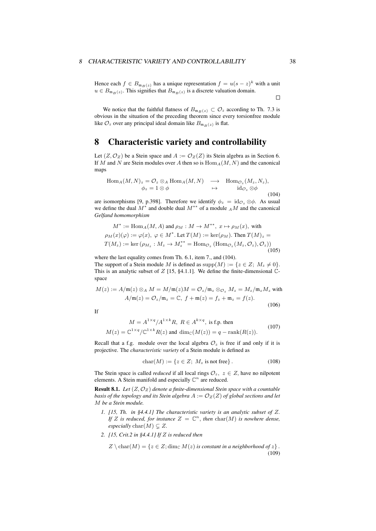Hence each  $f \in B_{\mathfrak{m}_B(z)}$  has a unique representation  $f = u(s - z)^k$  with a unit  $u \in B_{\mathfrak{m}_B(z)}$ . This signifies that  $B_{\mathfrak{m}_B(z)}$  is a discrete valuation domain.

 $\Box$ 

We notice that the faithful flatness of  $B_{\mathfrak{m}_B(z)} \subset \mathcal{O}_z$  according to Th. 7.3 is obvious in the situation of the preceding theorem since every torsionfree module like  $\mathcal{O}_z$  over any principal ideal domain like  $B_{\mathfrak{m}_B(z)}$  is flat.

## 8 Characteristic variety and controllability

Let  $(Z, \mathcal{O}_Z)$  be a Stein space and  $A := \mathcal{O}_Z(Z)$  its Stein algebra as in Section 6. If *M* and *N* are Stein modules over *A* then so is Hom*A*(*M, N*) and the canonical maps

$$
\text{Hom}_{A}(M, N)_{z} = \mathcal{O}_{z} \otimes_{A} \text{Hom}_{A}(M, N) \longrightarrow \text{Hom}_{\mathcal{O}_{z}}(M_{z}, N_{z}),
$$
\n
$$
\phi_{z} = 1 \otimes \phi \longrightarrow \text{id}_{\mathcal{O}_{z}} \otimes \phi \tag{104}
$$

are isomorphisms [9, p.398]. Therefore we identify  $\phi_z = \mathrm{id}_{\mathcal{O}_z} \otimes \phi$ . As usual we define the dual *M<sup>∗</sup>* and double dual *M∗∗* of a module *<sup>A</sup>M* and the canonical *Gelfand homomorphism*

$$
M^* := \text{Hom}_A(M, A) \text{ and } \rho_M : M \to M^{**}, \ x \mapsto \rho_M(x), \text{ with}
$$
  
\n
$$
\rho_M(x)(\varphi) := \varphi(x), \ \varphi \in M^*. \text{ Let } T(M) := \text{ker}(\rho_M). \text{ Then } T(M)_z =
$$
  
\n
$$
T(M_z) := \text{ker}(\rho_{M_z} : M_z \to M_z^{**} = \text{Hom}_{\mathcal{O}_z}(\text{Hom}_{\mathcal{O}_z}(M_z, \mathcal{O}_z), \mathcal{O}_z))
$$
\n(105)

where the last equality comes from Th. 6.1, item 7., and (104). The support of a Stein module *M* is defined as  $\text{supp}(M) := \{z \in Z; M_z \neq 0\}.$ This is an analytic subset of *Z* [15, §4.1.1]. We define the finite-dimensional  $\mathbb{C}$ space

$$
M(z) := A/\mathfrak{m}(z) \otimes_A M = M/\mathfrak{m}(z)M = \mathcal{O}_z/\mathfrak{m}_z \otimes_{\mathcal{O}_z} M_z = M_z/\mathfrak{m}_z M_z \text{ with}
$$
  

$$
A/\mathfrak{m}(z) = \mathcal{O}_z/\mathfrak{m}_z = \mathbb{C}, \ f + \mathfrak{m}(z) = f_z + \mathfrak{m}_z = f(z).
$$
 (106)

If

$$
M = A^{1 \times q} / A^{1 \times k} R, R \in A^{k \times q}
$$
, is f.p. then  

$$
M(z) = \mathbb{C}^{1 \times q} / \mathbb{C}^{1 \times k} R(z)
$$
 and 
$$
\dim_{\mathbb{C}}(M(z)) = q - \text{rank}(R(z)).
$$
 (107)

Recall that a f.g. module over the local algebra  $\mathcal{O}_z$  is free if and only if it is projective. The *characteristic variety* of a Stein module is defined as

$$
char(M) := \{ z \in Z; M_z \text{ is not free} \}.
$$
 (108)

The Stein space is called *reduced* if all local rings  $\mathcal{O}_z$ ,  $z \in \mathbb{Z}$ , have no nilpotent elements. A Stein manifold and especially C *n* are reduced.

Result 8.1. *Let* (*Z, O<sup>Z</sup>* ) *denote a finite-dimensional Stein space with a countable basis of the topology and its Stein algebra*  $A := \mathcal{O}_Z(Z)$  *of global sections and let M be a Stein module.*

- *1. [15, Th. in §4.4.1] The characteristic variety is an analytic subset of Z.* If *Z* is reduced, for instance  $Z = \mathbb{C}^n$ , then  $char(M)$  is nowhere dense, *especially* char $(M) \subseteq Z$ .
- *2. [15, Crit.2 in §4.4.1] If Z is reduced then*

$$
Z \setminus \text{char}(M) = \{ z \in Z; \dim_{\mathbb{C}} M(z) \text{ is constant in a neighborhood of } z \}.
$$
\n(109)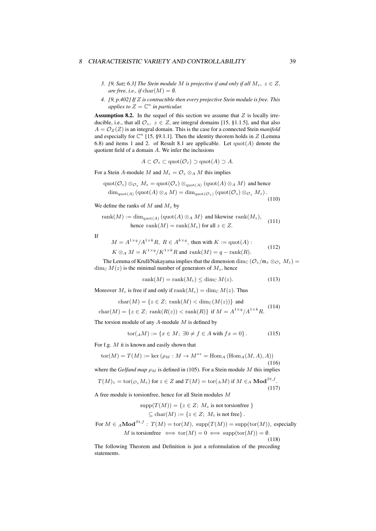#### <sup>8</sup> CHARACTERISTIC VARIETY AND CONTROLLABILITY 39

- *3. [9, Satz 6.3] The Stein module M is projective if and only if all*  $M_z$ ,  $z \in Z$ , *are free, i.e., if*  $char(M) = \emptyset$ *.*
- *4. [9, p.402] If Z is contractible then every projective Stein module is free. This applies to*  $Z = \mathbb{C}^n$  *in particular.*

Assumption 8.2. In the sequel of this section we assume that *Z* is locally irreducible, i.e., that all  $\mathcal{O}_z$ ,  $z \in \mathbb{Z}$ , are integral domains [15, §1.1.5], and that also  $A = \mathcal{O}_Z(Z)$  is an integral domain. This is the case for a connected Stein *manifold* and especially for  $\mathbb{C}^n$  [15, §9.1.1]. Then the identity theorem holds in  $Z$  (Lemma 6.8) and items 1 and 2. of Result 8.1 are applicable. Let quot(*A*) denote the quotient field of a domain *A*. We infer the inclusions

$$
A \subset \mathcal{O}_z \subset \mathrm{quot}(\mathcal{O}_z) \supset \mathrm{quot}(A) \supset A.
$$

For a Stein *A*-module *M* and  $M_z = \mathcal{O}_z \otimes_A M$  this implies

$$
\operatorname{quot}(\mathcal{O}_z) \otimes_{\mathcal{O}_z} M_z = \operatorname{quot}(\mathcal{O}_z) \otimes_{\operatorname{quot}(A)} (\operatorname{quot}(A) \otimes_A M) \text{ and hence}
$$
  

$$
\operatorname{dim}_{\operatorname{quot}(A)} (\operatorname{quot}(A) \otimes_A M) = \operatorname{dim}_{\operatorname{quot}(\mathcal{O}_z)} (\operatorname{quot}(\mathcal{O}_z) \otimes_{\mathcal{O}_z} M_z).
$$
(110)

We define the ranks of  $M$  and  $M_z$  by

$$
rank(M) := dim_{quot(A)} (quot(A) \otimes_A M) \text{ and likewise } rank(M_z),
$$
  
hence  $rank(M) = rank(M_z) \text{ for all } z \in Z.$  (111)

If

$$
M = A^{1 \times q} / A^{1 \times k} R, R \in A^{k \times q}
$$
, then with  $K := \text{quot}(A)$ :  
\n
$$
K \otimes_A M = K^{1 \times q} / K^{1 \times k} R
$$
 and  $\text{rank}(M) = q - \text{rank}(R)$ . (112)

The Lemma of Krull/Nakayama implies that the dimension dim<sub>C</sub> ( $\mathcal{O}_z/\mathfrak{m}_z \otimes_{\mathcal{O}_z} M_z$ ) =  $\dim_{\mathbb{C}} M(z)$  is the minimal number of generators of  $M_z$ , hence

$$
rank(M) = rank(M_z) \leq dim_{\mathbb{C}} M(z). \tag{113}
$$

Moreover  $M_z$  is free if and only if  $\text{rank}(M_z) = \dim_{\mathbb{C}} M(z)$ . Thus

$$
\text{char}(M) = \{ z \in Z; \text{ rank}(M) < \dim_{\mathbb{C}}(M(z)) \} \text{ and}
$$
\n
$$
\text{char}(M) = \{ z \in Z; \text{ rank}(R(z)) < \text{rank}(R) \} \text{ if } M = A^{1 \times q} / A^{1 \times k} R. \tag{114}
$$

The torsion module of any *A*-module *M* is defined by

$$
tor(A M) := \{ x \in M; \ \exists 0 \neq f \in A \text{ with } fx = 0 \}.
$$
 (115)

(117)

For f.g. *M* it is known and easily shown that

$$
tor(M) = T(M) := ker(\rho_M : M \to M^{**} = Hom_A (Hom_A(M, A), A))
$$
\n(116)

where the *Gelfand map*  $\rho_M$  is defined in (105). For a Stein module *M* this implies

$$
T(M)_z = \text{tor}(\mathcal{O}_z M_z)
$$
 for  $z \in Z$  and  $T(M) = \text{tor}({}_AM)$  if  $M \in {}_A \text{Mod}^{St,f}$ .

A free module is torsionfree, hence for all Stein modules *M*

$$
supp(T(M)) = \{ z \in Z; M_z \text{ is not torsionfree } \}
$$
  

$$
\subseteq \text{char}(M) := \{ z \in Z; M_z \text{ is not free } \}.
$$

For 
$$
M \in {}_A \textbf{Mod}^{St,f}
$$
:  $T(M) = \text{tor}(M)$ ,  $\text{supp}(T(M)) = \text{supp}(\text{tor}(M))$ , especially  
\n $M$  is torsionfree  $\iff \text{tor}(M) = 0 \iff \text{supp}(\text{tor}(M)) = \emptyset$ . (118)

The following Theorem and Definition is just a reformulation of the preceding statements.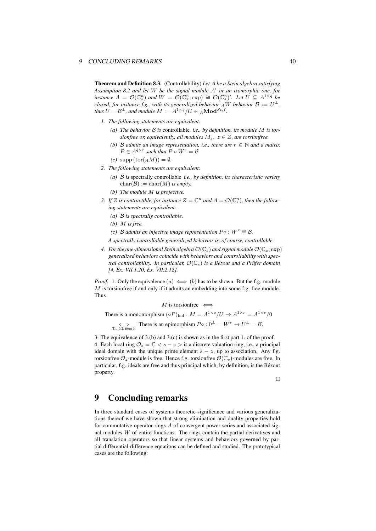Theorem and Definition 8.3. (Controllability) *Let A be a Stein algebra satisfying Assumption 8.2 and let W be the signal module A ′ or an isomorphic one, for* instance  $A = \mathcal{O}(\mathbb{C}_s^n)$  and  $W = \mathcal{O}(\mathbb{C}_x^n; \exp) \cong \mathcal{O}(\mathbb{C}_s^n)'$ . Let  $U \subseteq A^{1 \times q}$  be *closed, for instance f.g., with its generalized behavior*  $_A$ *W-behavior*  $B := U^{\perp}$ *, thus*  $U = \mathcal{B}^{\perp}$ *, and module*  $M := A^{1 \times q}/U \in {}_{A}\textbf{Mod}^{St, f}$ *.* 

- *1. The following statements are equivalent:*
	- *(a) The behavior B is* controllable*, i.e., by definition, its module M is torsionfree or, equivalently, all modules*  $M_z$ ,  $z \in Z$ *, are torsionfree.*
	- *(b) B admits an image representation, i.e., there are*  $r \in \mathbb{N}$  *and a matrix*  $P \in A^{q \times r}$  such that  $P \circ W^r = B$
	- $(c) \text{ supp}(\text{tor}(A M)) = \emptyset.$
- *2. The following statements are equivalent:*
	- *(a) B is* spectrally controllable *i.e., by definition, its characteristic variety*  $char(\mathcal{B}) := char(M)$  *is empty.*
	- *(b) The module M is projective.*
- *3. If Z is contractible, for instance*  $Z = \mathbb{C}^n$  *and*  $A = \mathcal{O}(\mathbb{C}_s^n)$ *, then the following statements are equivalent:*
	- *(a) B is spectrally controllable.*
	- *(b) M is free.*
	- *(c) B admits an injective image representation*  $P \circ : W^r \cong \mathcal{B}$ .
	- *A spectrally controllable generalized behavior is, of course, controllable.*
- *4.* For the one-dimensional Stein algebra  $\mathcal{O}(\mathbb{C}_s)$  and signal module  $\mathcal{O}(\mathbb{C}_x;\exp)$ *generalized behaviors coincide with behaviors and controllability with spectral controllability. In particular, O*(C*s*) *is a Bézout and a Prüfer domain [4, Ex. VII.1.20, Ex. VII.2.12].*

*Proof.* 1. Only the equivalence  $(a) \iff (b)$  has to be shown. But the f.g. module *M* is torsionfree if and only if it admits an embedding into some f.g. free module. Thus

$$
M \hbox{ is torsionfree } \Longleftrightarrow
$$

There is a monomorphism  $({\circ}P)_{\text{ind}} : M = A^{1 \times q}/U \rightarrow A^{1 \times r} = A^{1 \times r}/0$  $\overrightarrow{P}_{\text{Th. 6.2, item 3.}}$  There is an epimorphism  $P \circ : 0^{\perp} = W^r \rightarrow U^{\perp} = \mathcal{B}.$ 

3. The equivalence of 3.(b) and 3.(c) is shown as in the first part 1. of the proof. 4. Each local ring  $\mathcal{O}_z = \mathbb{C} < s - z >$  is a discrete valuation ring, i.e., a principal ideal domain with the unique prime element  $s - z$ , up to association. Any f.g. torsionfree  $\mathcal{O}_z$ -module is free. Hence f.g. torsionfree  $\mathcal{O}(\mathbb{C}_s)$ -modules are free. In particular, f.g. ideals are free and thus principal which, by definition, is the Bézout property.

 $\Box$ 

## 9 Concluding remarks

In three standard cases of systems theoretic significance and various generalizations thereof we have shown that strong elimination and duality properties hold for commutative operator rings *A* of convergent power series and associated signal modules *W* of entire functions. The rings contain the partial derivatives and all translation operators so that linear systems and behaviors governed by partial differential-difference equations can be defined and studied. The prototypical cases are the following: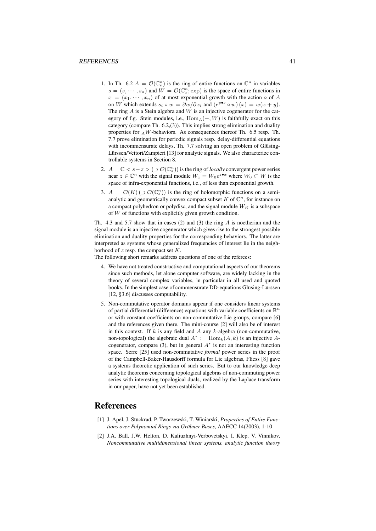- 1. In Th. 6.2  $A = \mathcal{O}(\mathbb{C}_s^n)$  is the ring of entire functions on  $\mathbb{C}^n$  in variables  $s = (s, \dots, s_n)$  and  $W = \mathcal{O}(\mathbb{C}^n_x; \text{exp})$  is the space of entire functions in  $x = (x_1, \dots, x_n)$  of at most exponential growth with the action  $\circ$  of *A* on *W* which extends  $s_i \circ w = \partial w / \partial x_i$  and  $(e^{y \bullet s} \circ w)(x) = w(x + y)$ . The ring *A* is a Stein algebra and *W* is an injective cogenerator for the category of f.g. Stein modules, i.e., Hom*A*(*−, W*) is faithfully exact on this category (compare Th. 6.2,(3)). This implies strong elimination and duality properties for *<sup>A</sup>W*-behaviors. As consequences thereof Th. 6.5 resp. Th. 7.7 prove elimination for periodic signals resp. delay-differential equations with incommensurate delays, Th. 7.7 solving an open problem of Glüsing-Lürssen/Vettori/Zampieri [13] for analytic signals. We also characterize controllable systems in Section 8.
- 2.  $A = \mathbb{C} \le s z > (\supset \mathcal{O}(\mathbb{C}_s^n))$  is the ring of *locally* convergent power series near  $z \in \mathbb{C}^n$  with the signal module  $W_z = W_0 e^{z \cdot x}$  where  $W_0 \subset W$  is the space of infra-exponential functions, i.e., of less than exponential growth.
- 3.  $A = \mathcal{O}(K) \left( \supset \mathcal{O}(\mathbb{C}_s^n) \right)$  is the ring of holomorphic functions on a semianalytic and geometrically convex compact subset  $K$  of  $\mathbb{C}^n$ , for instance on a compact polyhedron or polydisc, and the signal module  $W_K$  is a subspace of *W* of functions with explicitly given growth condition.

Th. 4.3 and 5.7 show that in cases (2) and (3) the ring *A* is noetherian and the signal module is an injective cogenerator which gives rise to the strongest possible elimination and duality properties for the corresponding behaviors. The latter are interpreted as systems whose generalized frequencies of interest lie in the neighborhood of *z* resp. the compact set *K*.

The following short remarks address questions of one of the referees:

- 4. We have not treated constructive and computational aspects of our theorems since such methods, let alone computer software, are widely lacking in the theory of several complex variables, in particular in all used and quoted books. In the simplest case of commensurate DD-equations Glüsing-Lürssen [12, §3.6] discusses computability.
- 5. Non-commutative operator domains appear if one considers linear systems of partial differential-(difference) equations with variable coefficients on  $\mathbb{R}^n$ or with constant coefficients on non-commutative Lie groups, compare [6] and the references given there. The mini-course [2] will also be of interest in this context. If *k* is any field and *A* any *k*-algebra (non-commutative, non-topological) the algebraic dual  $A^* := \text{Hom}_k(A, k)$  is an injective Acogenerator, compare (3), but in general *A ∗* is not an interesting function space. Serre [25] used non-commutative *formal* power series in the proof of the Campbell-Baker-Hausdorff formula for Lie algebras, Fliess [8] gave a systems theoretic application of such series. But to our knowledge deep analytic theorems concerning topological algebras of non-commuting power series with interesting topological duals, realized by the Laplace transform in our paper, have not yet been established.

### **References**

- [1] J. Apel, J. Stückrad, P. Tworzewski, T. Winiarski, *Properties of Entire Functions over Polynomial Rings via Gröbner Bases*, AAECC 14(2003), 1-10
- [2] J.A. Ball, J.W. Helton, D. Kaliuzhnyi-Verbovetskyi, I. Klep, V. Vinnikov, *Noncommutative multidimensional linear systems, analytic function theory*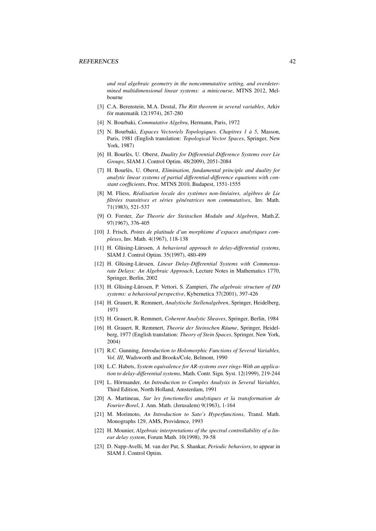*and real algebraic geometry in the noncommutative setting, and overdetermined multidimensional linear systems: a minicourse*, MTNS 2012, Melbourne

- [3] C.A. Berenstein, M.A. Dostal, *The Ritt theorem in several variables*, Arkiv för matematik 12(1974), 267-280
- [4] N. Bourbaki, *Commutative Algebra*, Hermann, Paris, 1972
- [5] N. Bourbaki, *Espaces Vectoriels Topologiques. Chapitres 1 à 5*, Masson, Paris, 1981 (English translation: *Topological Vector Spaces*, Springer, New York, 1987)
- [6] H. Bourlès, U. Oberst, *Duality for Differential-Difference Systems over Lie Groups*, SIAM J. Control Optim. 48(2009), 2051-2084
- [7] H. Bourlès, U. Oberst, *Elimination, fundamental principle and duality for analytic linear systems of partial differential-difference equations with constant coefficients*, Proc. MTNS 2010, Budapest, 1551-1555
- [8] M. Fliess, *Réalisation locale des systèmes non-linéaires, algèbres de Lie filtrées transitives et séries génératrices non commutatives*, Inv. Math. 71(1983), 521-537
- [9] O. Forster, *Zur Theorie der Steinschen Moduln und Algebren*, Math.Z. 97(1967), 376-405
- [10] J. Frisch, *Points de platitude d'un morphisme d'espaces analytiques complexes*, Inv. Math. 4(1967), 118-138
- [11] H. Glüsing-Lürssen, *A behavioral approach to delay-differential systems*, SIAM J. Control Optim. 35(1997), 480-499
- [12] H. Glüsing-Lürssen, *Linear Delay-Differential Systems with Commensurate Delays: An Algebraic Approach*, Lecture Notes in Mathematics 1770, Springer, Berlin, 2002
- [13] H. Glüsing-Lürssen, P. Vettori, S. Zampieri, *The algebraic structure of DD systems: a behavioral perspective*, Kybernetica 37(2001), 397-426
- [14] H. Grauert, R. Remmert, *Analytische Stellenalgebren*, Springer, Heidelberg, 1971
- [15] H. Grauert, R. Remmert, *Coherent Analytic Sheaves*, Springer, Berlin, 1984
- [16] H. Grauert, R. Remmert, *Theorie der Steinschen Räume*, Springer, Heidelberg, 1977 (English translation: *Theory of Stein Spaces*, Springer, New York, 2004)
- [17] R.C. Gunning, *Introduction to Holomorphic Functions of Several Variables, Vol. III*, Wadsworth and Brooks/Cole, Belmont, 1990
- [18] L.C. Habets, *System equivalence for AR-systems over rings-With an application to delay-differential systems*, Math. Contr. Sign. Syst. 12(1999), 219-244
- [19] L. Hörmander, *An Introduction to Complex Analysis in Several Variables*, Third Edition, North Holland, Amsterdam, 1991
- [20] A. Martineau, *Sur les fonctionelles analytiques et la transformation de Fourier-Borel*, J. Ann. Math. (Jerusalem) 9(1963), 1-164
- [21] M. Morimoto, *An Introduction to Sato's Hyperfunctions*, Transl. Math. Monographs 129, AMS, Providence, 1993
- [22] H. Mounier, *Algebraic interpretations of the spectral controllability of a linear delay system*, Forum Math. 10(1998), 39-58
- [23] D. Napp-Avelli, M. van der Put, S. Shankar, *Periodic behaviors*, to appear in SIAM J. Control Optim.